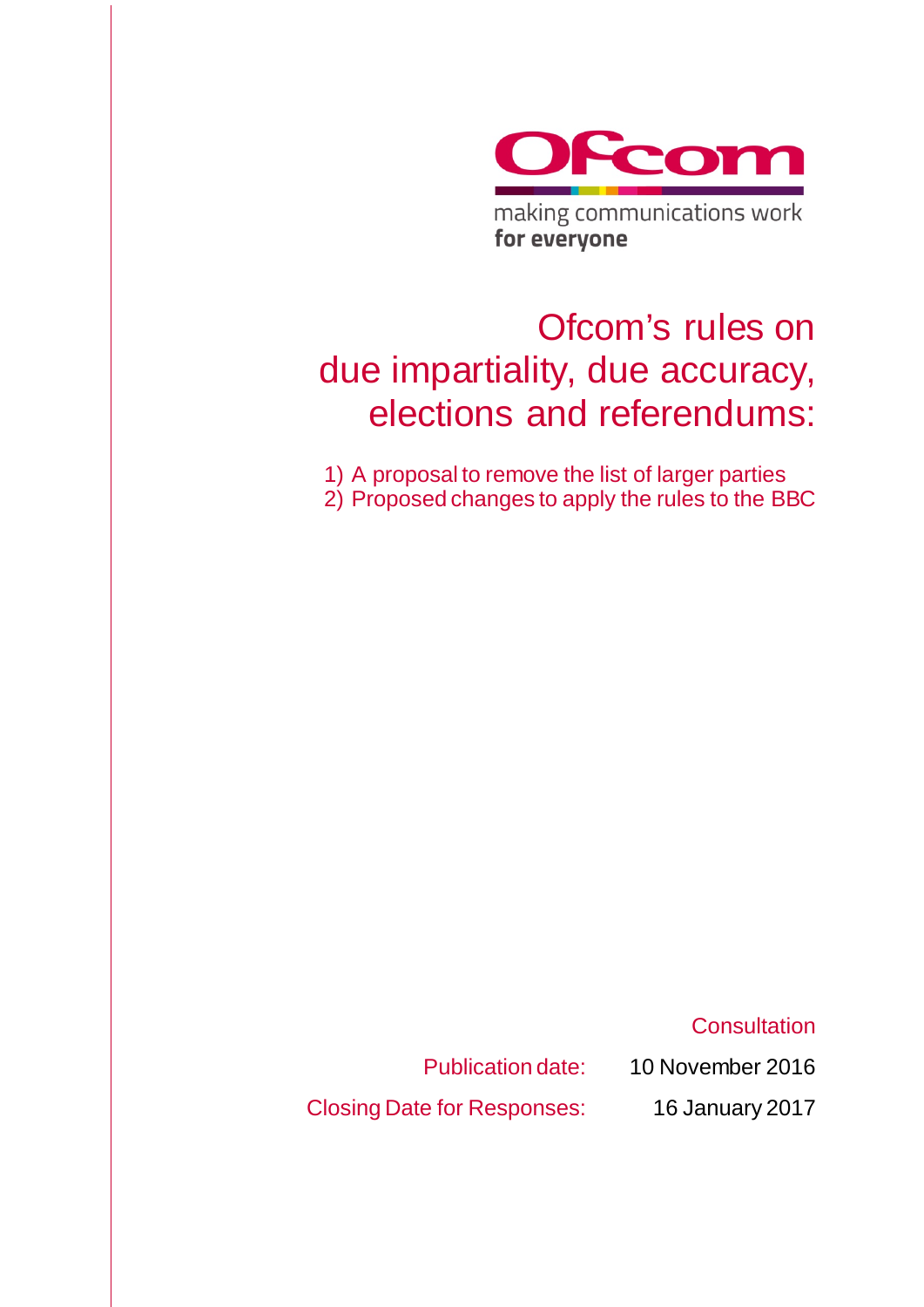

for everyone

# Ofcom's rules on due impartiality, due accuracy, elections and referendums:

1) A proposal to remove the list of larger parties 2) Proposed changes to apply the rules to the BBC

**Consultation** 

Publication date: 10 November 2016

Closing Date for Responses: 16 January 2017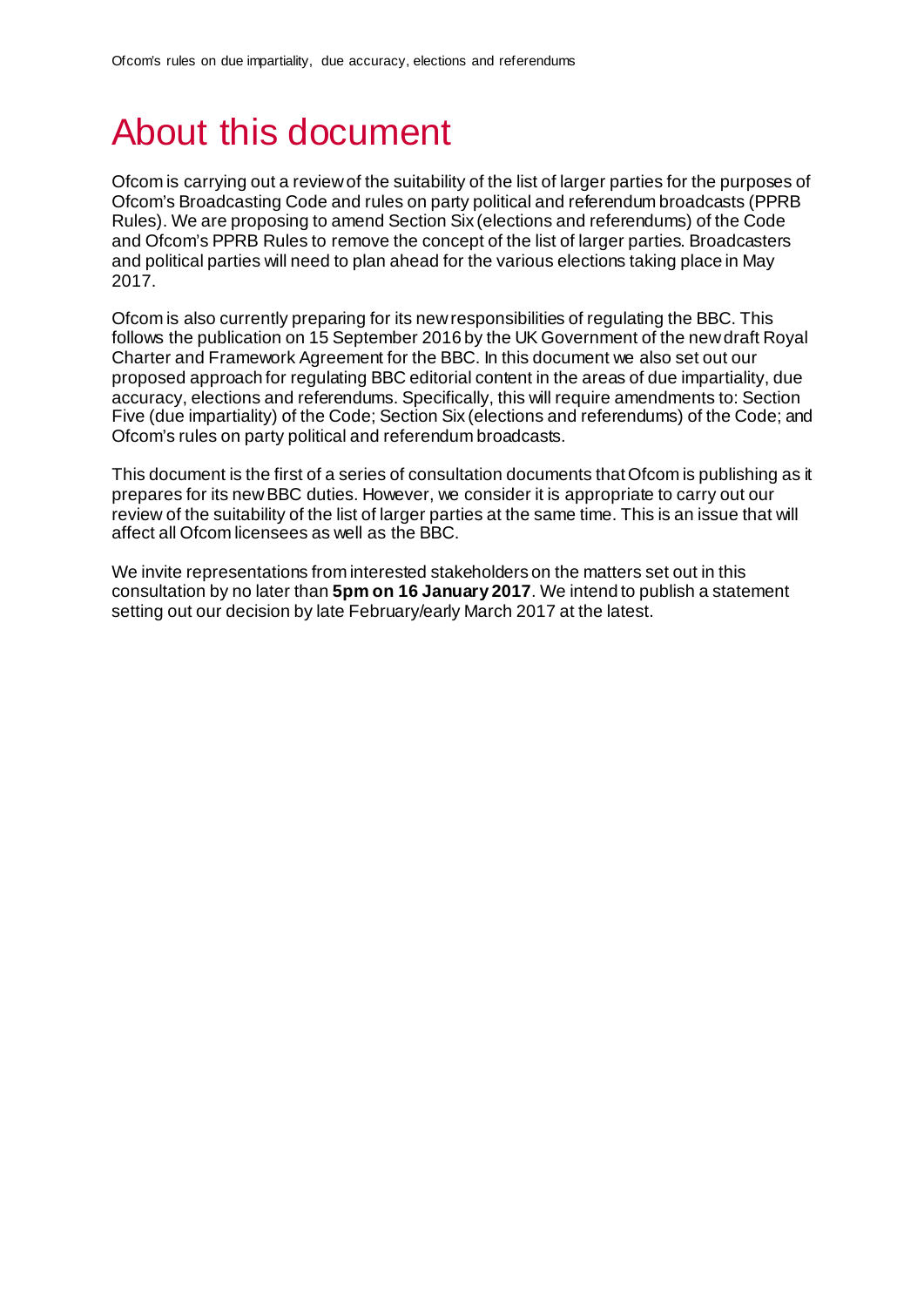# About this document

Ofcom is carrying out a review of the suitability of the list of larger parties for the purposes of Ofcom's Broadcasting Code and rules on party political and referendum broadcasts (PPRB Rules). We are proposing to amend Section Six (elections and referendums) of the Code and Ofcom's PPRB Rules to remove the concept of the list of larger parties. Broadcasters and political parties will need to plan ahead for the various elections taking place in May 2017.

Ofcom is also currently preparing for its new responsibilities of regulating the BBC. This follows the publication on 15 September 2016 by the UK Government of the new draft Royal Charter and Framework Agreement for the BBC. In this document we also set out our proposed approach for regulating BBC editorial content in the areas of due impartiality, due accuracy, elections and referendums. Specifically, this will require amendments to: Section Five (due impartiality) of the Code; Section Six (elections and referendums) of the Code; and Ofcom's rules on party political and referendum broadcasts.

This document is the first of a series of consultation documents that Ofcom is publishing as it prepares for its new BBC duties. However, we consider it is appropriate to carry out our review of the suitability of the list of larger parties at the same time. This is an issue that will affect all Ofcom licensees as well as the BBC.

We invite representations from interested stakeholders on the matters set out in this consultation by no later than **5pm on 16 January 2017**. We intend to publish a statement setting out our decision by late February/early March 2017 at the latest.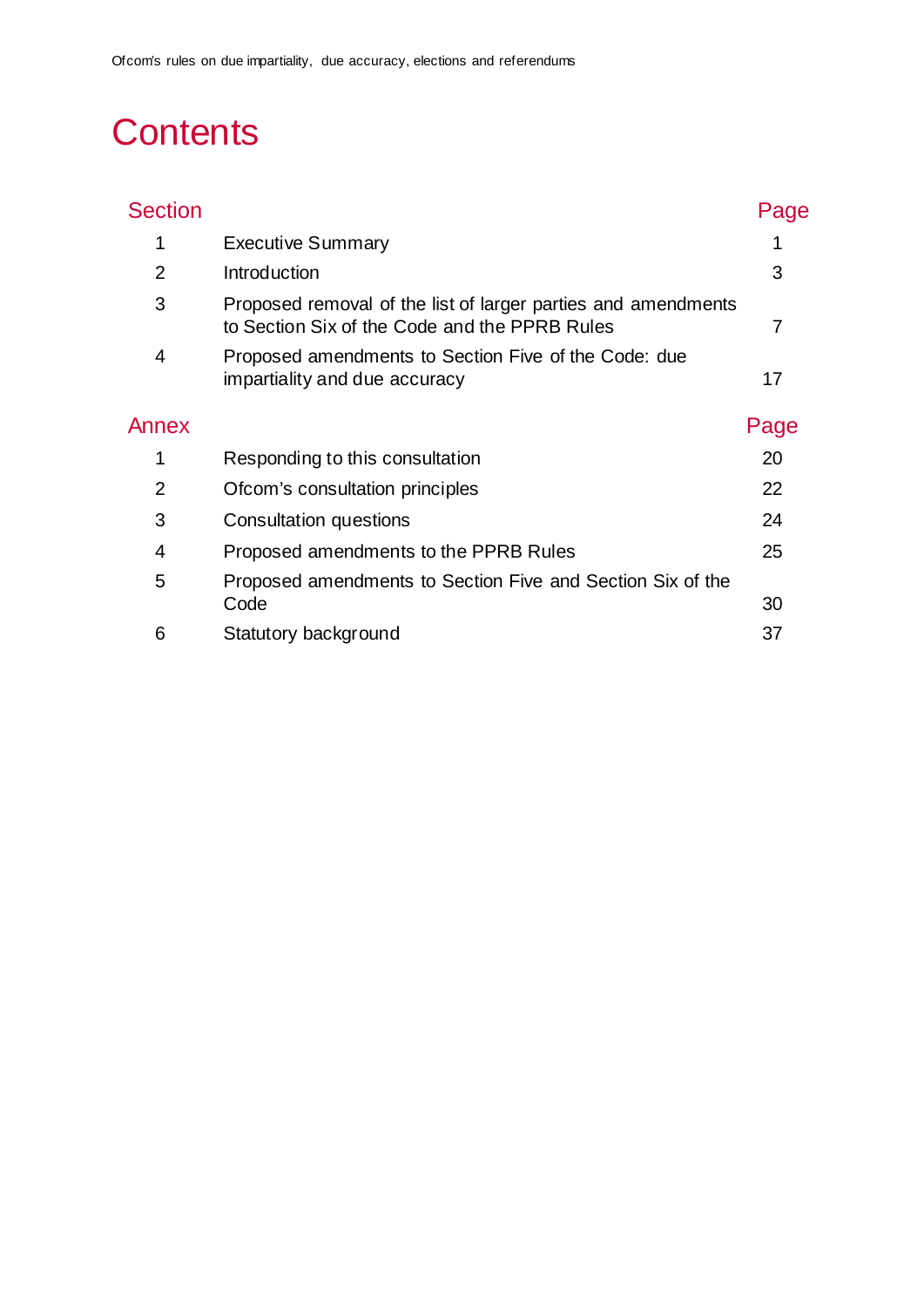# **Contents**

| <b>Section</b> |                                                                                                                | Page |
|----------------|----------------------------------------------------------------------------------------------------------------|------|
| 1              | <b>Executive Summary</b>                                                                                       |      |
| $\overline{2}$ | Introduction                                                                                                   | 3    |
| 3              | Proposed removal of the list of larger parties and amendments<br>to Section Six of the Code and the PPRB Rules | 7    |
| $\overline{4}$ | Proposed amendments to Section Five of the Code: due<br>impartiality and due accuracy                          | 17   |
| Annex          |                                                                                                                | Page |
| 1              | Responding to this consultation                                                                                | 20   |
| 2              | Ofcom's consultation principles                                                                                | 22   |
| 3              | Consultation questions                                                                                         | 24   |
| 4              | Proposed amendments to the PPRB Rules                                                                          | 25   |
| 5              | Proposed amendments to Section Five and Section Six of the<br>Code                                             | 30   |
| 6              | Statutory background                                                                                           | 37   |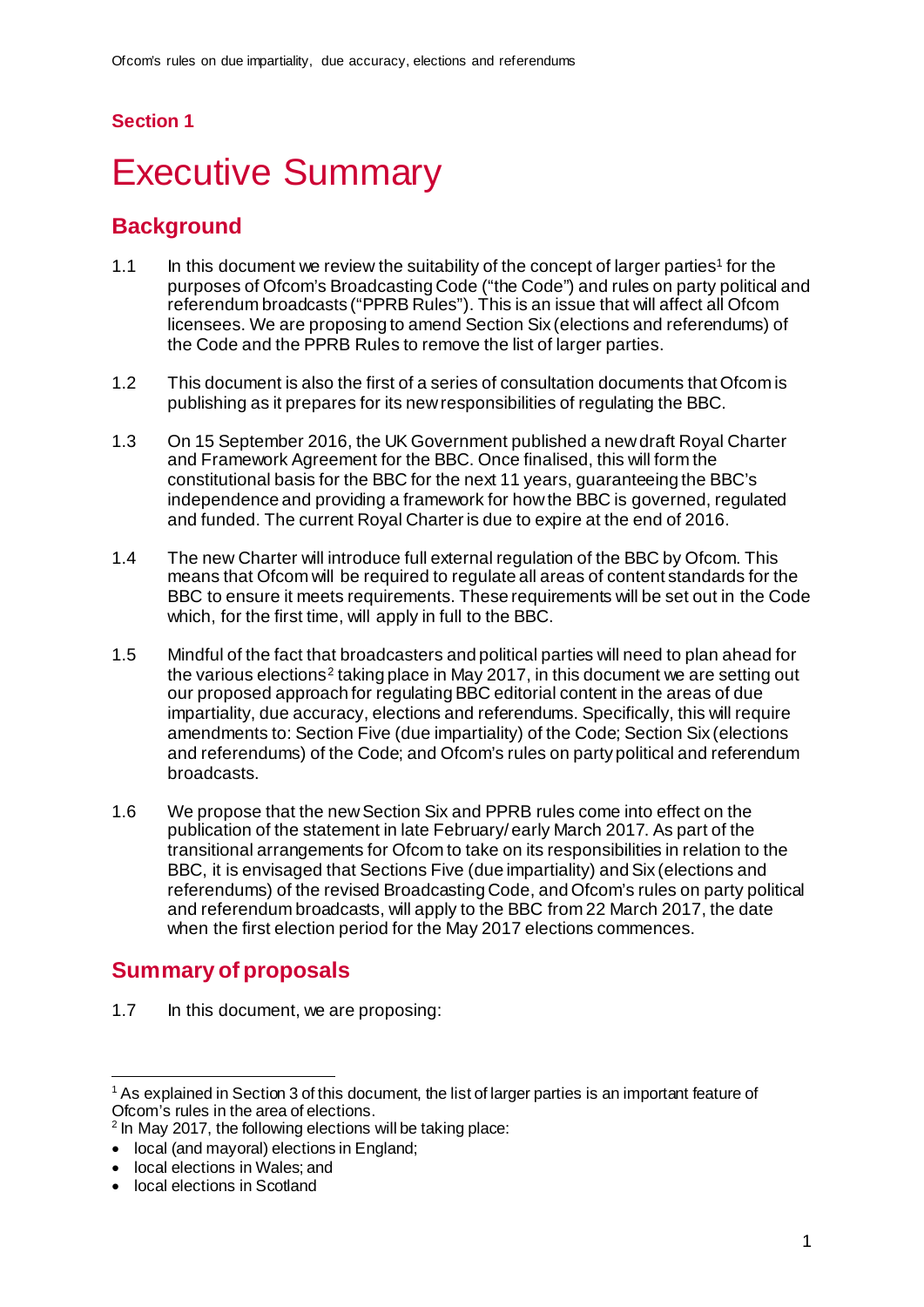# **Section 1**

# <span id="page-3-0"></span>**Executive Summary**

# **Background**

- [1](#page-3-1).1 In this document we review the suitability of the concept of larger parties<sup>1</sup> for the purposes of Ofcom's Broadcasting Code ("the Code") and rules on party political and referendum broadcasts ("PPRB Rules"). This is an issue that will affect all Ofcom licensees. We are proposing to amend Section Six (elections and referendums) of the Code and the PPRB Rules to remove the list of larger parties.
- 1.2 This document is also the first of a series of consultation documents that Ofcom is publishing as it prepares for its new responsibilities of regulating the BBC.
- 1.3 On 15 September 2016, the UK Government published a new draft Royal Charter and Framework Agreement for the BBC. Once finalised, this will form the constitutional basis for the BBC for the next 11 years, guaranteeing the BBC's independence and providing a framework for how the BBC is governed, regulated and funded. The current Royal Charter is due to expire at the end of 2016.
- 1.4 The new Charter will introduce full external regulation of the BBC by Ofcom. This means that Ofcom will be required to regulate all areas of content standards for the BBC to ensure it meets requirements. These requirements will be set out in the Code which, for the first time, will apply in full to the BBC.
- 1.5 Mindful of the fact that broadcasters and political parties will need to plan ahead for the various elections<sup>[2](#page-3-2)</sup> taking place in May 2017, in this document we are setting out our proposed approach for regulating BBC editorial content in the areas of due impartiality, due accuracy, elections and referendums. Specifically, this will require amendments to: Section Five (due impartiality) of the Code; Section Six (elections and referendums) of the Code; and Ofcom's rules on party political and referendum broadcasts.
- 1.6 We propose that the new Section Six and PPRB rules come into effect on the publication of the statement in late February/ early March 2017. As part of the transitional arrangements for Ofcom to take on its responsibilities in relation to the BBC, it is envisaged that Sections Five (due impartiality) and Six (elections and referendums) of the revised Broadcasting Code, and Ofcom's rules on party political and referendum broadcasts, will apply to the BBC from 22 March 2017, the date when the first election period for the May 2017 elections commences.

# **Summary of proposals**

1.7 In this document, we are proposing:

<span id="page-3-1"></span> $1$  As explained in Section 3 of this document, the list of larger parties is an important feature of Ofcom's rules in the area of elections.

<span id="page-3-2"></span> $2$  In May 2017, the following elections will be taking place:

<sup>•</sup> local (and mayoral) elections in England;

<sup>•</sup> local elections in Wales; and

<sup>•</sup> local elections in Scotland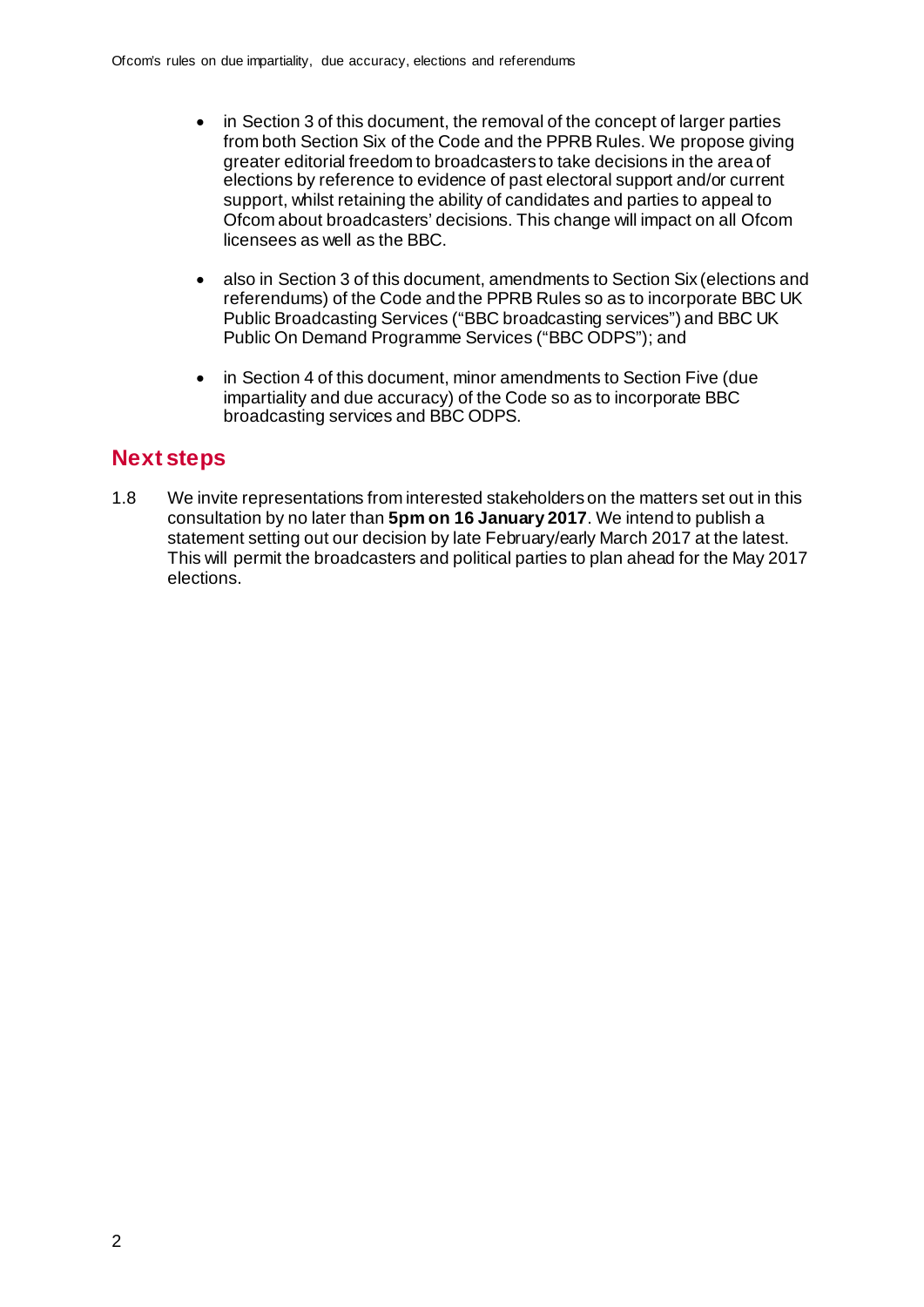- in Section 3 of this document, the removal of the concept of larger parties from both Section Six of the Code and the PPRB Rules. We propose giving greater editorial freedom to broadcasters to take decisions in the area of elections by reference to evidence of past electoral support and/or current support, whilst retaining the ability of candidates and parties to appeal to Ofcom about broadcasters' decisions. This change will impact on all Ofcom licensees as well as the BBC.
- also in Section 3 of this document, amendments to Section Six (elections and referendums) of the Code and the PPRB Rules so as to incorporate BBC UK Public Broadcasting Services ("BBC broadcasting services") and BBC UK Public On Demand Programme Services ("BBC ODPS"); and
- in Section 4 of this document, minor amendments to Section Five (due impartiality and due accuracy) of the Code so as to incorporate BBC broadcasting services and BBC ODPS.

# **Next steps**

1.8 We invite representations from interested stakeholders on the matters set out in this consultation by no later than **5pm on 16 January 2017**. We intend to publish a statement setting out our decision by late February/early March 2017 at the latest. This will permit the broadcasters and political parties to plan ahead for the May 2017 elections.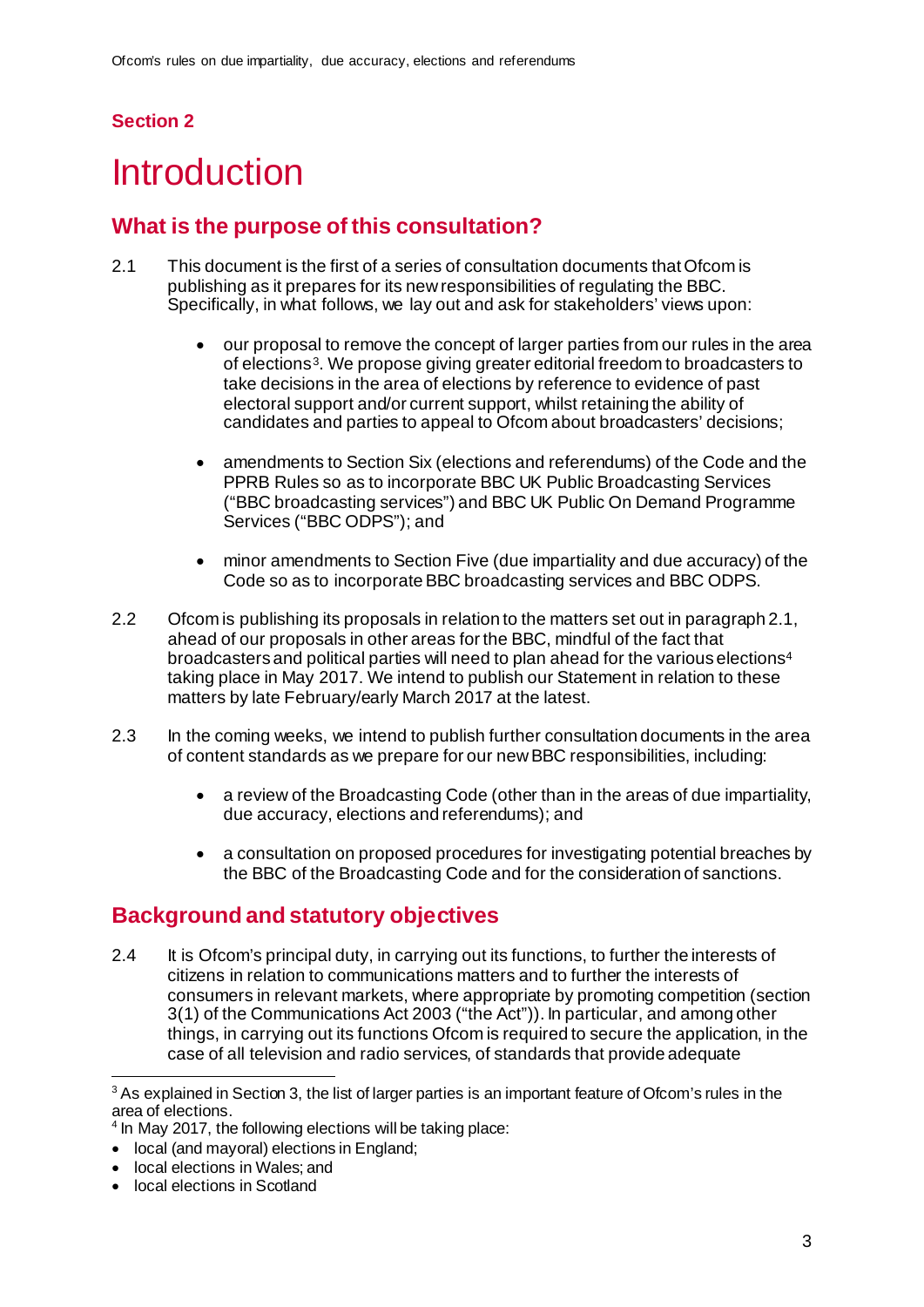## **Section 2**

# <span id="page-5-0"></span>**Introduction**

# **What is the purpose of this consultation?**

- 2.1 This document is the first of a series of consultation documents that Ofcom is publishing as it prepares for its new responsibilities of regulating the BBC. Specifically, in what follows, we lay out and ask for stakeholders' views upon:
	- our proposal to remove the concept of larger parties from our rules in the area of elections[3.](#page-5-1) We propose giving greater editorial freedom to broadcasters to take decisions in the area of elections by reference to evidence of past electoral support and/or current support, whilst retaining the ability of candidates and parties to appeal to Ofcom about broadcasters' decisions;
	- amendments to Section Six (elections and referendums) of the Code and the PPRB Rules so as to incorporate BBC UK Public Broadcasting Services ("BBC broadcasting services") and BBC UK Public On Demand Programme Services ("BBC ODPS"); and
	- minor amendments to Section Five (due impartiality and due accuracy) of the Code so as to incorporate BBC broadcasting services and BBC ODPS.
- 2.2 Ofcom is publishing its proposals in relation to the matters set out in paragraph 2.1, ahead of our proposals in other areas for the BBC, mindful of the fact that broadcasters and political parties will need to plan ahead for the various elections<sup>4</sup> taking place in May 2017. We intend to publish our Statement in relation to these matters by late February/early March 2017 at the latest.
- 2.3 In the coming weeks, we intend to publish further consultation documents in the area of content standards as we prepare for our new BBC responsibilities, including:
	- a review of the Broadcasting Code (other than in the areas of due impartiality, due accuracy, elections and referendums); and
	- a consultation on proposed procedures for investigating potential breaches by the BBC of the Broadcasting Code and for the consideration of sanctions.

## **Background and statutory objectives**

2.4 It is Ofcom's principal duty, in carrying out its functions, to further the interests of citizens in relation to communications matters and to further the interests of consumers in relevant markets, where appropriate by promoting competition (section 3(1) of the Communications Act 2003 ("the Act")). In particular, and among other things, in carrying out its functions Ofcom is required to secure the application, in the case of all television and radio services, of standards that provide adequate

<span id="page-5-1"></span><sup>&</sup>lt;sup>3</sup> As explained in Section 3, the list of larger parties is an important feature of Ofcom's rules in the area of elections.

<span id="page-5-2"></span><sup>&</sup>lt;sup>4</sup> In May 2017, the following elections will be taking place:

<sup>•</sup> local (and mayoral) elections in England;

<sup>•</sup> local elections in Wales; and

<sup>•</sup> local elections in Scotland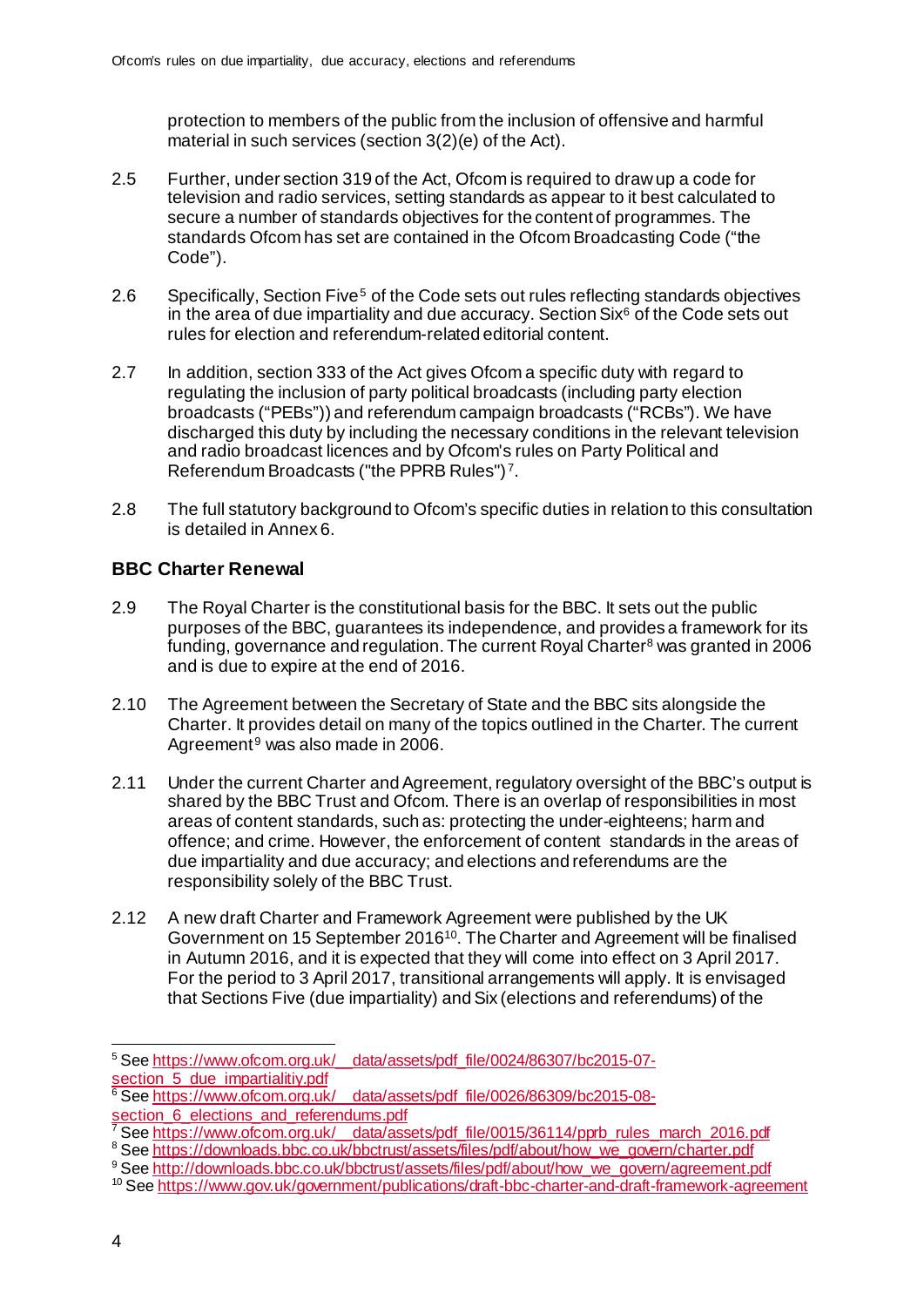protection to members of the public from the inclusion of offensive and harmful material in such services (section 3(2)(e) of the Act).

- 2.5 Further, under section 319 of the Act, Ofcom is required to draw up a code for television and radio services, setting standards as appear to it best calculated to secure a number of standards objectives for the content of programmes. The standards Ofcom has set are contained in the Ofcom Broadcasting Code ("the Code").
- 2.6 Specifically, Section Five<sup>[5](#page-6-0)</sup> of the Code sets out rules reflecting standards objectives in the area of due impartiality and due accuracy. Section  $\text{Six}^6$  $\text{Six}^6$  of the Code sets out rules for election and referendum-related editorial content.
- 2.7 In addition, section 333 of the Act gives Ofcom a specific duty with regard to regulating the inclusion of party political broadcasts (including party election broadcasts ("PEBs")) and referendum campaign broadcasts ("RCBs"). We have discharged this duty by including the necessary conditions in the relevant television and radio broadcast licences and by Ofcom's rules on Party Political and Referendum Broadcasts ("the PPRB Rules") [7](#page-6-2).
- 2.8 The full statutory background to Ofcom's specific duties in relation to this consultation is detailed in Annex 6.

### **BBC Charter Renewal**

- 2.9 The Royal Charter is the constitutional basis for the BBC. It sets out the public purposes of the BBC, guarantees its independence, and provides a framework for its funding, governance and regulation. The current Royal Charter<sup>[8](#page-6-3)</sup> was granted in 2006 and is due to expire at the end of 2016.
- 2.10 The Agreement between the Secretary of State and the BBC sits alongside the Charter. It provides detail on many of the topics outlined in the Charter. The current Agreement[9](#page-6-4) was also made in 2006.
- 2.11 Under the current Charter and Agreement, regulatory oversight of the BBC's output is shared by the BBC Trust and Ofcom. There is an overlap of responsibilities in most areas of content standards, such as: protecting the under-eighteens; harm and offence; and crime. However, the enforcement of content standards in the areas of due impartiality and due accuracy; and elections and referendums are the responsibility solely of the BBC Trust.
- 2.12 A new draft Charter and Framework Agreement were published by the UK Government on 15 September 2016<sup>10</sup>. The Charter and Agreement will be finalised in Autumn 2016, and it is expected that they will come into effect on 3 April 2017. For the period to 3 April 2017, transitional arrangements will apply. It is envisaged that Sections Five (due impartiality) and Six (elections and referendums) of the

<span id="page-6-5"></span><span id="page-6-4"></span><span id="page-6-3"></span><span id="page-6-2"></span><sup>9</sup> See [http://downloads.bbc.co.uk/bbctrust/assets/files/pdf/about/how\\_we\\_govern/agreement.pdf](http://downloads.bbc.co.uk/bbctrust/assets/files/pdf/about/how_we_govern/agreement.pdf)

<span id="page-6-0"></span><sup>5</sup> See https://www.ofcom.org.uk/ data/assets/pdf\_file/0024/86307/bc2015-07section 5 due impartialitiy.pdf

<span id="page-6-1"></span> $6$  See https://www.ofcom.org.uk/ data/assets/pdf\_file/0026/86309/bc2015-08section 6 elections and referendums.pdf

<sup>&</sup>lt;sup>7</sup> See https://www.ofcom.org.uk/ data/assets/pdf\_file/0015/36114/pprb\_rules\_march\_2016.pdf

<sup>&</sup>lt;sup>8</sup> See [https://downloads.bbc.co.uk/bbctrust/assets/files/pdf/about/how\\_we\\_govern/charter.pdf](https://downloads.bbc.co.uk/bbctrust/assets/files/pdf/about/how_we_govern/charter.pdf)

<sup>&</sup>lt;sup>10</sup> See<https://www.gov.uk/government/publications/draft-bbc-charter-and-draft-framework-agreement>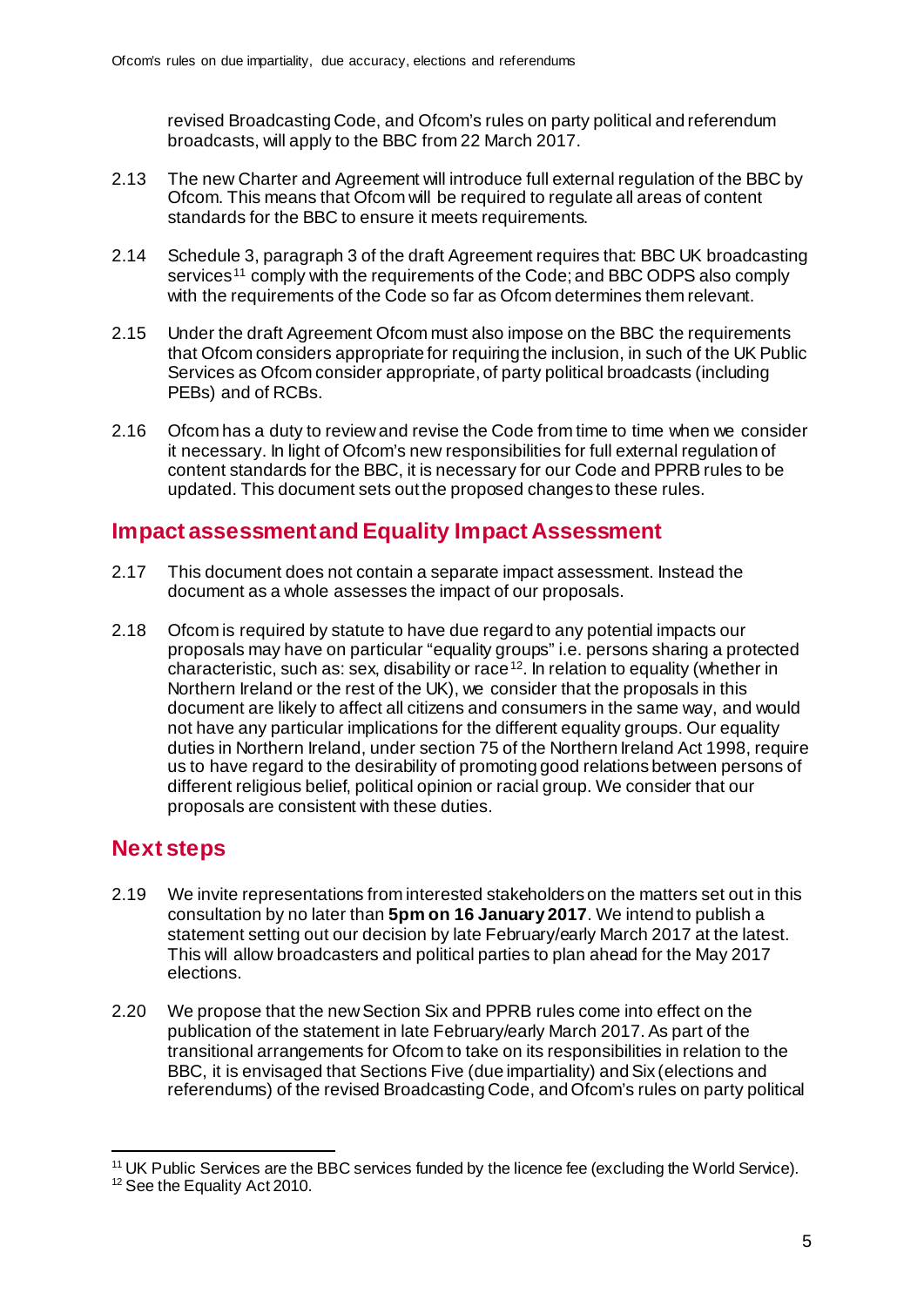revised Broadcasting Code, and Ofcom's rules on party political and referendum broadcasts, will apply to the BBC from 22 March 2017.

- 2.13 The new Charter and Agreement will introduce full external regulation of the BBC by Ofcom. This means that Ofcom will be required to regulate all areas of content standards for the BBC to ensure it meets requirements.
- 2.14 Schedule 3, paragraph 3 of the draft Agreement requires that: BBC UK broadcasting services<sup>[11](#page-7-0)</sup> comply with the requirements of the Code; and BBC ODPS also comply with the requirements of the Code so far as Ofcom determines them relevant.
- 2.15 Under the draft Agreement Ofcom must also impose on the BBC the requirements that Ofcom considers appropriate for requiring the inclusion, in such of the UK Public Services as Ofcom consider appropriate, of party political broadcasts (including PEBs) and of RCBs.
- 2.16 Ofcom has a duty to review and revise the Code from time to time when we consider it necessary. In light of Ofcom's new responsibilities for full external regulation of content standards for the BBC, it is necessary for our Code and PPRB rules to be updated. This document sets out the proposed changes to these rules.

## **Impact assessmentand Equality Impact Assessment**

- 2.17 This document does not contain a separate impact assessment. Instead the document as a whole assesses the impact of our proposals.
- 2.18 Ofcom is required by statute to have due regard to any potential impacts our proposals may have on particular "equality groups" i.e. persons sharing a protected characteristic, such as: sex, disability or race<sup>12</sup>. In relation to equality (whether in Northern Ireland or the rest of the UK), we consider that the proposals in this document are likely to affect all citizens and consumers in the same way, and would not have any particular implications for the different equality groups. Our equality duties in Northern Ireland, under section 75 of the Northern Ireland Act 1998, require us to have regard to the desirability of promoting good relations between persons of different religious belief, political opinion or racial group. We consider that our proposals are consistent with these duties.

# **Next steps**

- 2.19 We invite representations from interested stakeholders on the matters set out in this consultation by no later than **5pm on 16 January 2017**. We intend to publish a statement setting out our decision by late February/early March 2017 at the latest. This will allow broadcasters and political parties to plan ahead for the May 2017 elections.
- 2.20 We propose that the new Section Six and PPRB rules come into effect on the publication of the statement in late February/early March 2017.As part of the transitional arrangements for Ofcom to take on its responsibilities in relation to the BBC, it is envisaged that Sections Five (due impartiality) and Six (elections and referendums) of the revised Broadcasting Code, and Ofcom's rules on party political

<span id="page-7-1"></span><span id="page-7-0"></span><sup>&</sup>lt;sup>11</sup> UK Public Services are the BBC services funded by the licence fee (excluding the World Service). <sup>12</sup> See the Equality Act 2010.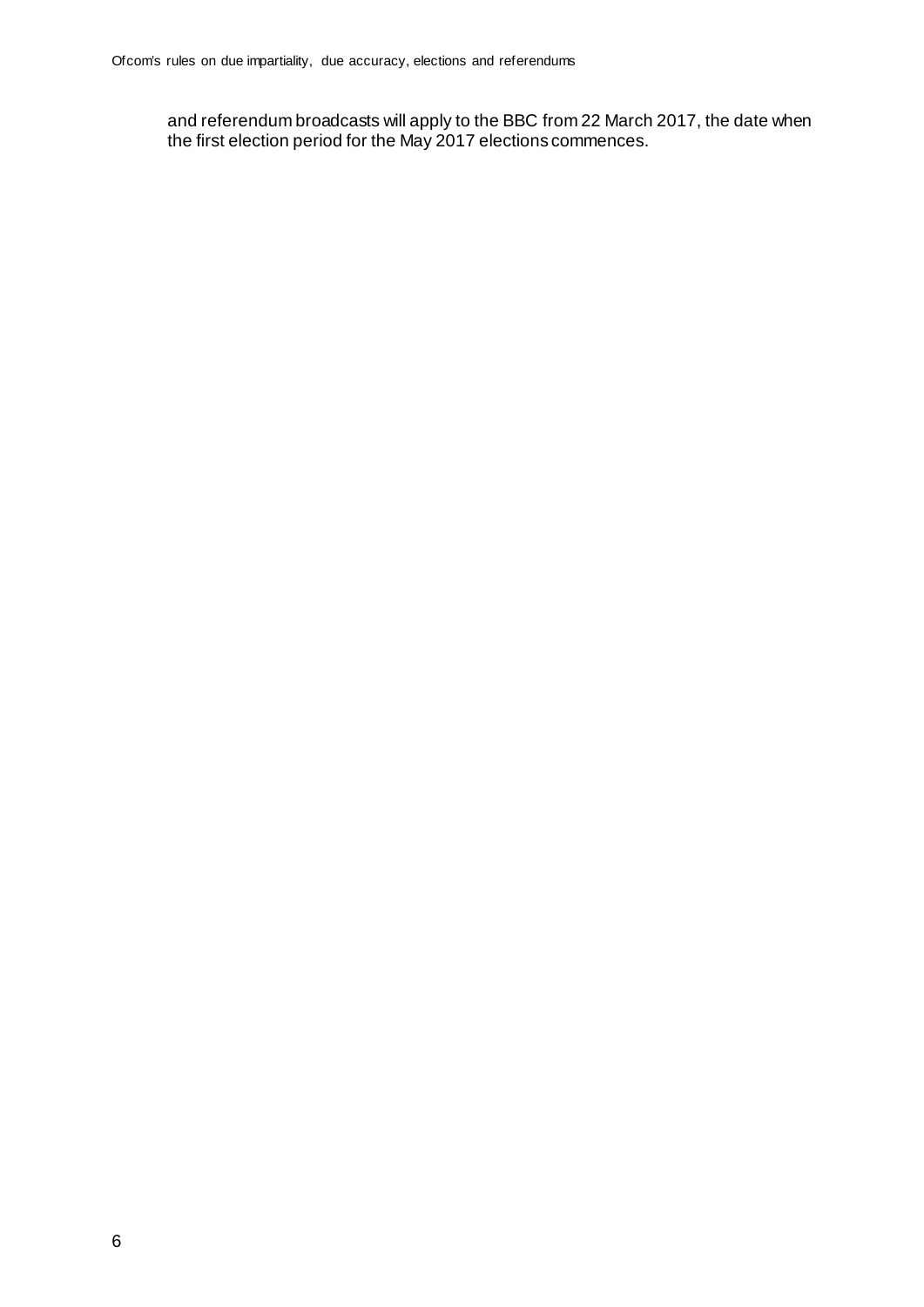and referendum broadcasts will apply to the BBC from 22 March 2017, the date when the first election period for the May 2017 elections commences.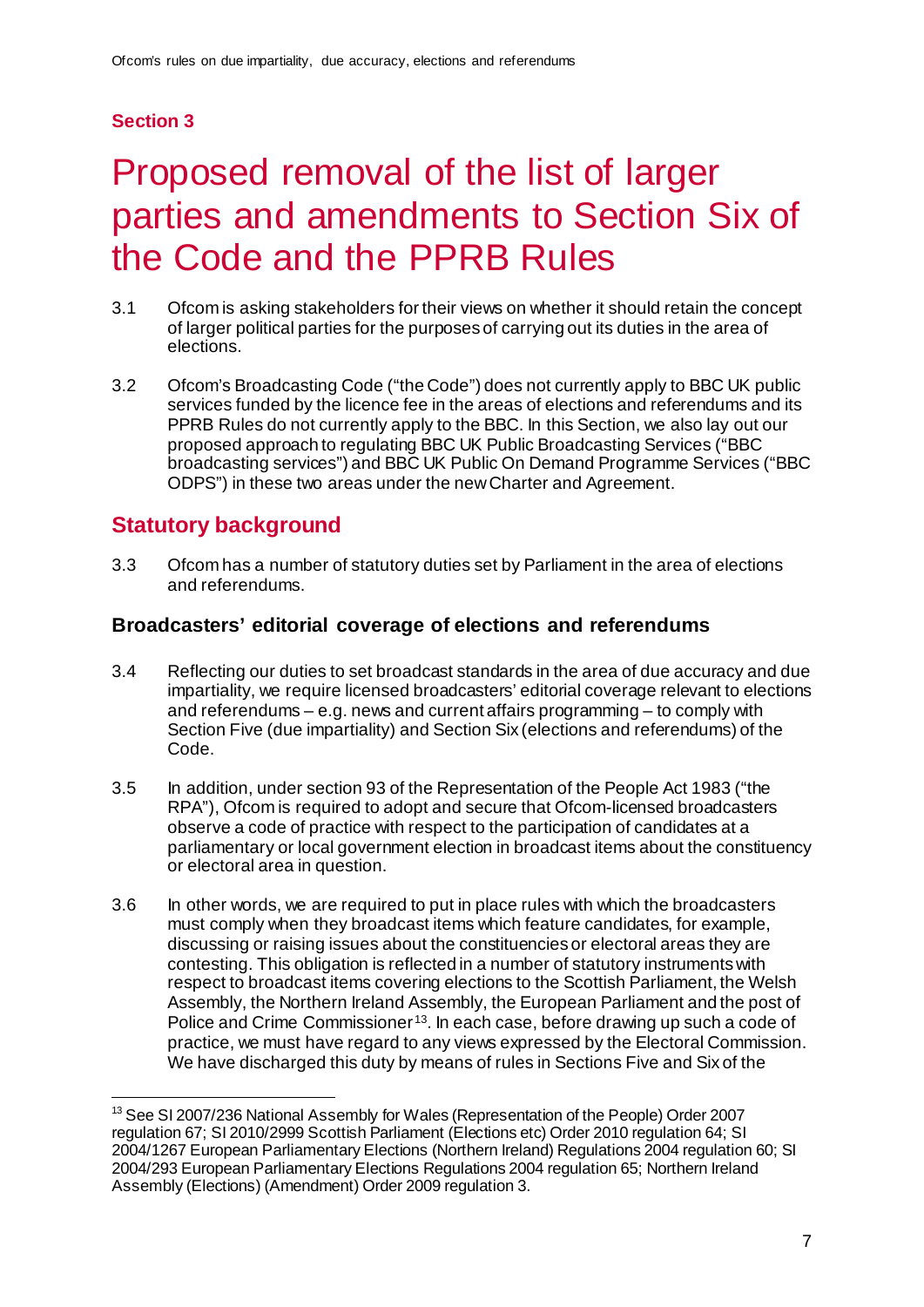# **Section 3**

# <span id="page-9-0"></span>3 Proposed removal of the list of larger parties and amendments to Section Six of the Code and the PPRB Rules

- 3.1 Ofcom is asking stakeholders for their views on whether it should retain the concept of larger political parties for the purposes of carrying out its duties in the area of elections.
- 3.2 Ofcom's Broadcasting Code ("the Code") does not currently apply to BBC UK public services funded by the licence fee in the areas of elections and referendums and its PPRB Rules do not currently apply to the BBC. In this Section, we also lay out our proposed approach to regulating BBC UK Public Broadcasting Services ("BBC broadcasting services") and BBC UK Public On Demand Programme Services ("BBC ODPS") in these two areas under the new Charter and Agreement.

# **Statutory background**

3.3 Ofcom has a number of statutory duties set by Parliament in the area of elections and referendums.

## **Broadcasters' editorial coverage of elections and referendums**

- 3.4 Reflecting our duties to set broadcast standards in the area of due accuracy and due impartiality, we require licensed broadcasters' editorial coverage relevant to elections and referendums – e.g. news and current affairs programming – to comply with Section Five (due impartiality) and Section Six (elections and referendums) of the Code.
- 3.5 In addition, under section 93 of the Representation of the People Act 1983 ("the RPA"), Ofcom is required to adopt and secure that Ofcom-licensed broadcasters observe a code of practice with respect to the participation of candidates at a parliamentary or local government election in broadcast items about the constituency or electoral area in question.
- 3.6 In other words, we are required to put in place rules with which the broadcasters must comply when they broadcast items which feature candidates, for example, discussing or raising issues about the constituencies or electoral areas they are contesting. This obligation is reflected in a number of statutory instruments with respect to broadcast items covering elections to the Scottish Parliament, the Welsh Assembly, the Northern Ireland Assembly, the European Parliament and the post of Police and Crime Commissioner<sup>[13](#page-9-1)</sup>. In each case, before drawing up such a code of practice, we must have regard to any views expressed by the Electoral Commission. We have discharged this duty by means of rules in Sections Five and Six of the

<span id="page-9-1"></span> <sup>13</sup> See SI 2007/236 National Assembly for Wales (Representation of the People) Order 2007 regulation 67; SI 2010/2999 Scottish Parliament (Elections etc) Order 2010 regulation 64; SI 2004/1267 European Parliamentary Elections (Northern Ireland) Regulations 2004 regulation 60; SI 2004/293 European Parliamentary Elections Regulations 2004 regulation 65; Northern Ireland Assembly (Elections) (Amendment) Order 2009 regulation 3.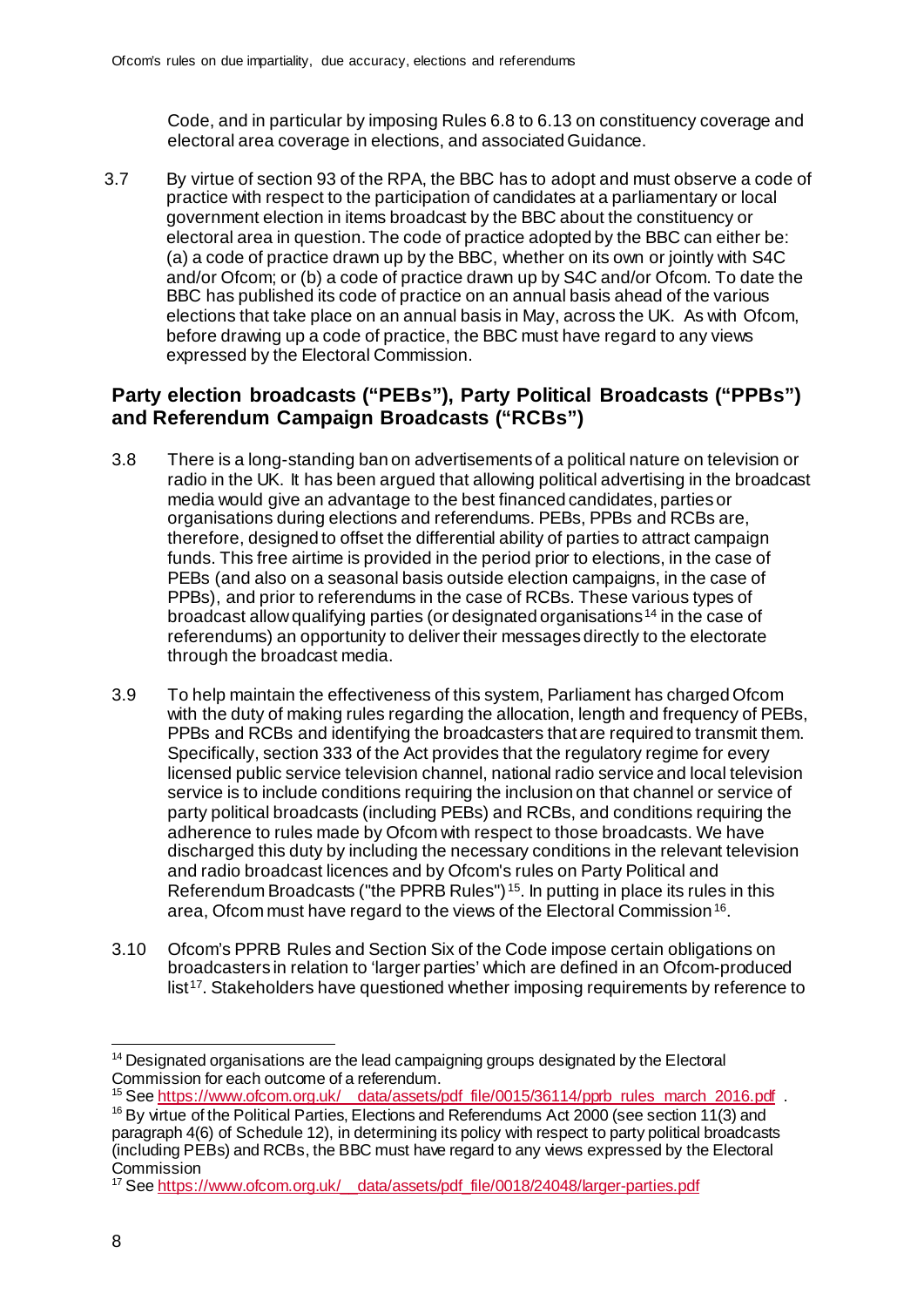Code, and in particular by imposing Rules 6.8 to 6.13 on constituency coverage and electoral area coverage in elections, and associated Guidance.

3.7 By virtue of section 93 of the RPA, the BBC has to adopt and must observe a code of practice with respect to the participation of candidates at a parliamentary or local government election in items broadcast by the BBC about the constituency or electoral area in question. The code of practice adopted by the BBC can either be: (a) a code of practice drawn up by the BBC, whether on its own or jointly with S4C and/or Ofcom; or (b) a code of practice drawn up by S4C and/or Ofcom. To date the BBC has published its code of practice on an annual basis ahead of the various elections that take place on an annual basis in May, across the UK. As with Ofcom, before drawing up a code of practice, the BBC must have regard to any views expressed by the Electoral Commission.

## **Party election broadcasts ("PEBs"), Party Political Broadcasts ("PPBs") and Referendum Campaign Broadcasts ("RCBs")**

- 3.8 There is a long-standing ban on advertisements of a political nature on television or radio in the UK. It has been argued that allowing political advertising in the broadcast media would give an advantage to the best financed candidates, parties or organisations during elections and referendums. PEBs, PPBs and RCBs are, therefore, designed to offset the differential ability of parties to attract campaign funds. This free airtime is provided in the period prior to elections, in the case of PEBs (and also on a seasonal basis outside election campaigns, in the case of PPBs), and prior to referendums in the case of RCBs. These various types of broadcast allow qualifying parties (or designated organisations<sup>[14](#page-10-0)</sup> in the case of referendums) an opportunity to deliver their messages directly to the electorate through the broadcast media.
- 3.9 To help maintain the effectiveness of this system, Parliament has charged Ofcom with the duty of making rules regarding the allocation, length and frequency of PEBs. PPBs and RCBs and identifying the broadcasters that are required to transmit them. Specifically, section 333 of the Act provides that the regulatory regime for every licensed public service television channel, national radio service and local television service is to include conditions requiring the inclusion on that channel or service of party political broadcasts (including PEBs) and RCBs, and conditions requiring the adherence to rules made by Ofcom with respect to those broadcasts. We have discharged this duty by including the necessary conditions in the relevant television and radio broadcast licences and by Ofcom's rules on Party Political and Referendum Broadcasts ("the PPRB Rules") [15](#page-10-1). In putting in place its rules in this area, Ofcom must have regard to the views of the Electoral Commission<sup>[16](#page-10-2)</sup>.
- 3.10 Ofcom's PPRB Rules and Section Six of the Code impose certain obligations on broadcasters in relation to 'larger parties' which are defined in an Ofcom-produced list<sup>[17](#page-10-3)</sup>. Stakeholders have questioned whether imposing requirements by reference to

<span id="page-10-0"></span><sup>&</sup>lt;sup>14</sup> Designated organisations are the lead campaigning groups designated by the Electoral Commission for each outcome of a referendum.<br><sup>15</sup> See https://www.ofcom.org.uk/ data/assets/pdf file/0015/36114/pprb rules march 2016.pdf

<span id="page-10-2"></span><span id="page-10-1"></span> $16$  By virtue of the Political Parties. Elections and Referendums Act 2000 (see section 11(3) and paragraph 4(6) of Schedule 12), in determining its policy with respect to party political broadcasts (including PEBs) and RCBs, the BBC must have regard to any views expressed by the Electoral Commission

<span id="page-10-3"></span><sup>&</sup>lt;sup>17</sup> See https://www.ofcom.org.uk/ data/assets/pdf file/0018/24048/larger-parties.pdf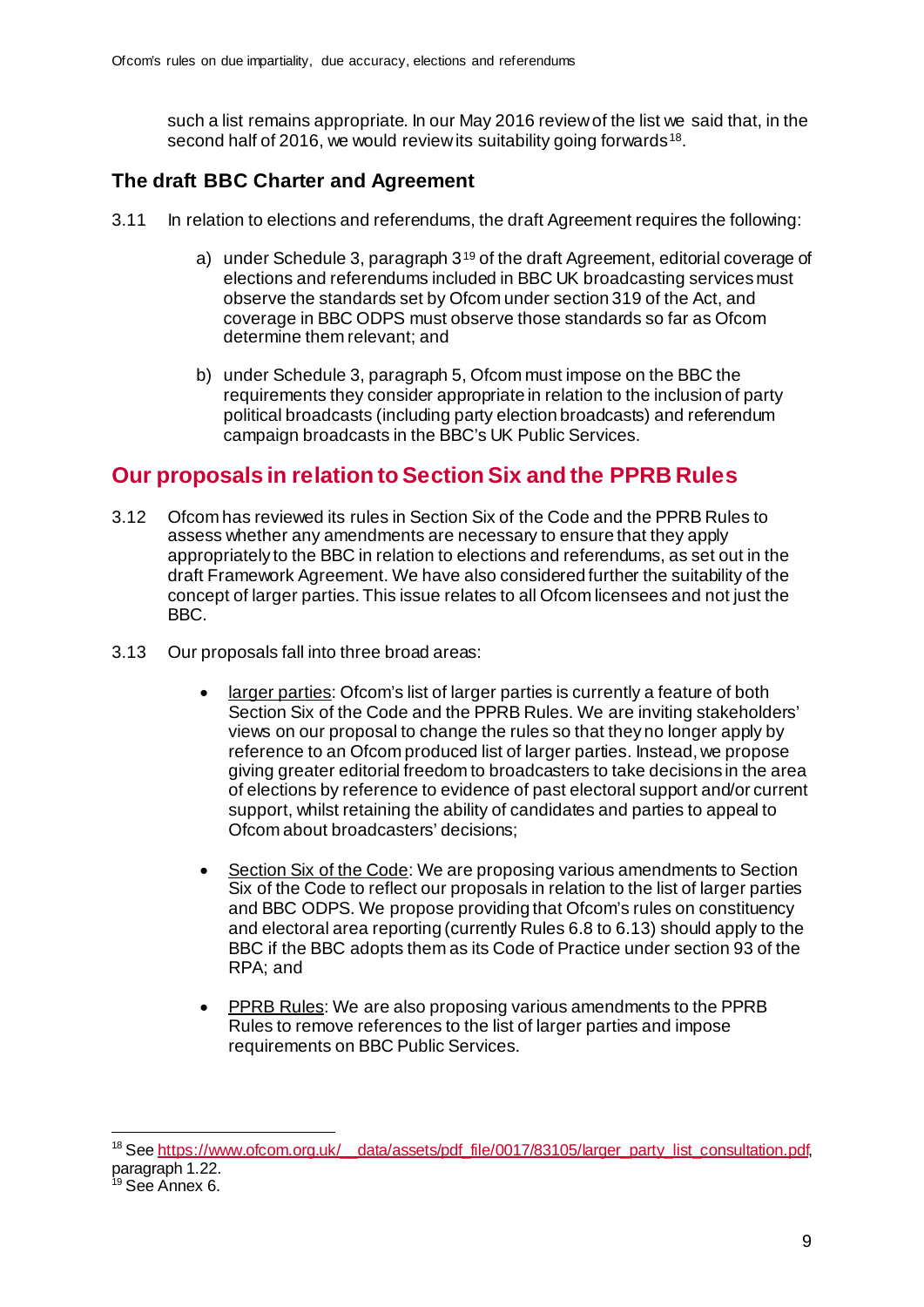such a list remains appropriate. In our May 2016 review of the list we said that, in the second half of 2016, we would review its suitability going forwards<sup>[18](#page-11-0)</sup>.

## **The draft BBC Charter and Agreement**

- 3.11 In relation to elections and referendums, the draft Agreement requires the following:
	- a) under Schedule 3, paragraph 3[19](#page-11-1) of the draft Agreement, editorial coverage of elections and referendums included in BBC UK broadcasting services must observe the standards set by Ofcom under section 319 of the Act, and coverage in BBC ODPS must observe those standards so far as Ofcom determine them relevant; and
	- b) under Schedule 3, paragraph 5, Ofcom must impose on the BBC the requirements they consider appropriate in relation to the inclusion of party political broadcasts (including party election broadcasts) and referendum campaign broadcasts in the BBC's UK Public Services.

# **Our proposals in relation to Section Six and the PPRB Rules**

- 3.12 Ofcom has reviewed its rules in Section Six of the Code and the PPRB Rules to assess whether any amendments are necessary to ensure that they apply appropriately to the BBC in relation to elections and referendums, as set out in the draft Framework Agreement. We have also considered further the suitability of the concept of larger parties. This issue relates to all Ofcom licensees and not just the BBC.
- 3.13 Our proposals fall into three broad areas:
	- larger parties: Ofcom's list of larger parties is currently a feature of both Section Six of the Code and the PPRB Rules. We are inviting stakeholders' views on our proposal to change the rules so that they no longer apply by reference to an Ofcom produced list of larger parties. Instead, we propose giving greater editorial freedom to broadcasters to take decisions in the area of elections by reference to evidence of past electoral support and/or current support, whilst retaining the ability of candidates and parties to appeal to Ofcom about broadcasters' decisions;
	- Section Six of the Code: We are proposing various amendments to Section Six of the Code to reflect our proposals in relation to the list of larger parties and BBC ODPS. We propose providing that Ofcom's rules on constituency and electoral area reporting (currently Rules 6.8 to 6.13) should apply to the BBC if the BBC adopts them as its Code of Practice under section 93 of the RPA; and
	- PPRB Rules: We are also proposing various amendments to the PPRB Rules to remove references to the list of larger parties and impose requirements on BBC Public Services.

<span id="page-11-0"></span><sup>&</sup>lt;sup>18</sup> See https://www.ofcom.org.uk/\_\_data/assets/pdf\_file/0017/83105/larger\_party\_list\_consultation.pdf paragraph 1.22.

<span id="page-11-1"></span> $9$  See Annex 6.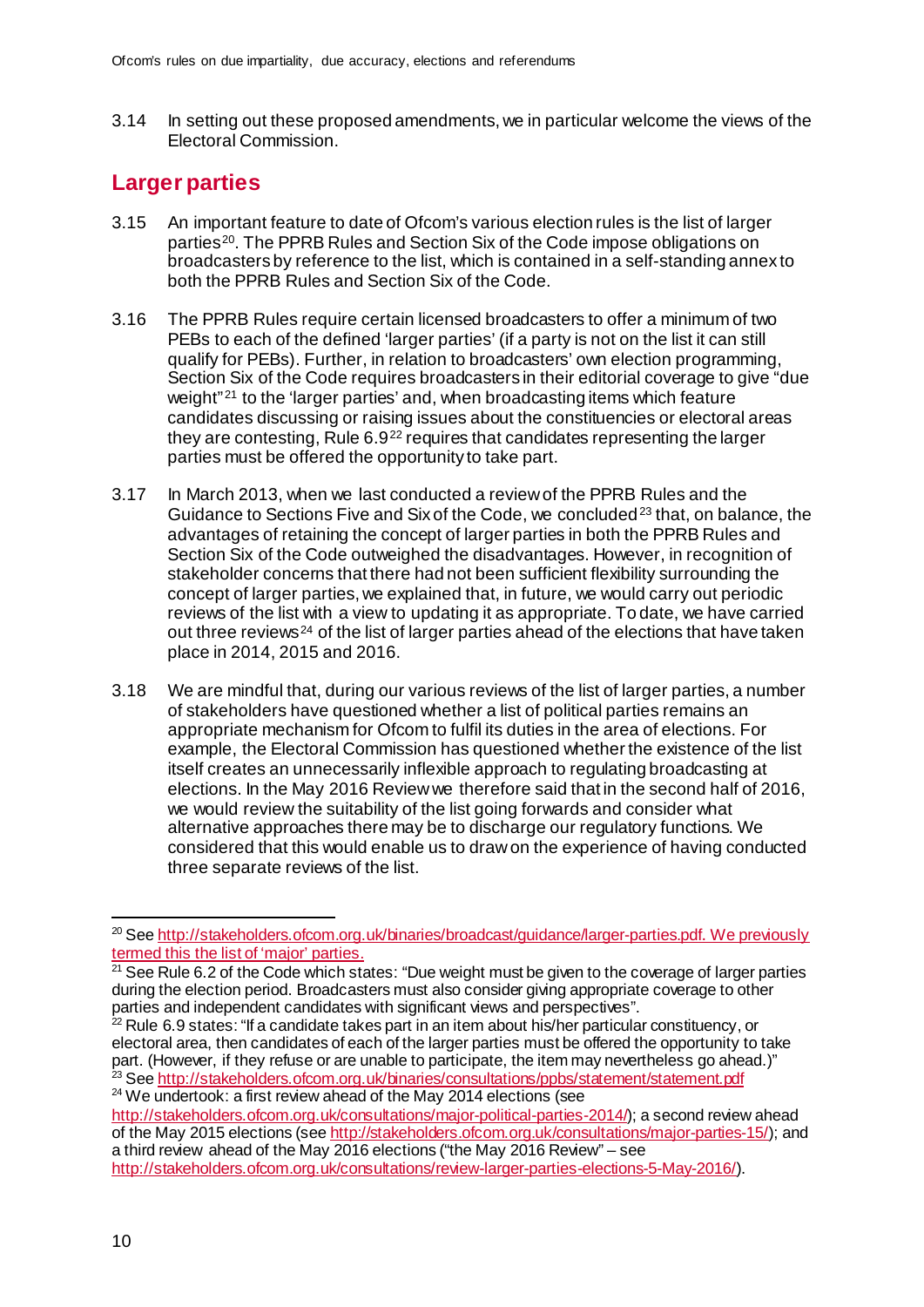3.14 In setting out these proposed amendments, we in particular welcome the views of the Electoral Commission.

# **Larger parties**

- 3.15 An important feature to date of Ofcom's various election rules is the list of larger parties<sup>[20](#page-12-0)</sup>. The PPRB Rules and Section Six of the Code impose obligations on broadcasters by reference to the list, which is contained in a self-standing annex to both the PPRB Rules and Section Six of the Code.
- 3.16 The PPRB Rules require certain licensed broadcasters to offer a minimum of two PEBs to each of the defined 'larger parties' (if a party is not on the list it can still qualify for PEBs). Further, in relation to broadcasters' own election programming, Section Six of the Code requires broadcasters in their editorial coverage to give "due weight"<sup>[21](#page-12-1)</sup> to the 'larger parties' and, when broadcasting items which feature candidates discussing or raising issues about the constituencies or electoral areas they are contesting, Rule  $6.9^{22}$  $6.9^{22}$  $6.9^{22}$  requires that candidates representing the larger parties must be offered the opportunity to take part.
- 3.17 In March 2013, when we last conducted a review of the PPRB Rules and the Guidance to Sections Five and Six of the Code, we concluded<sup>[23](#page-12-3)</sup> that, on balance, the advantages of retaining the concept of larger parties in both the PPRB Rules and Section Six of the Code outweighed the disadvantages. However, in recognition of stakeholder concerns that there had not been sufficient flexibility surrounding the concept of larger parties, we explained that, in future, we would carry out periodic reviews of the list with a view to updating it as appropriate. To date, we have carried out three reviews<sup>[24](#page-12-4)</sup> of the list of larger parties ahead of the elections that have taken place in 2014, 2015 and 2016.
- 3.18 We are mindful that, during our various reviews of the list of larger parties, a number of stakeholders have questioned whether a list of political parties remains an appropriate mechanism for Ofcom to fulfil its duties in the area of elections. For example, the Electoral Commission has questioned whether the existence of the list itself creates an unnecessarily inflexible approach to regulating broadcasting at elections. In the May 2016 Review we therefore said that in the second half of 2016, we would review the suitability of the list going forwards and consider what alternative approaches there may be to discharge our regulatory functions. We considered that this would enable us to draw on the experience of having conducted three separate reviews of the list.

<span id="page-12-3"></span>

<span id="page-12-4"></span><http://stakeholders.ofcom.org.uk/consultations/major-political-parties-2014/>); a second review ahead of the May 2015 elections (se[e http://stakeholders.ofcom.org.uk/consultations/major-parties-15/](http://stakeholders.ofcom.org.uk/consultations/major-parties-15/)); and a third review ahead of the May 2016 elections ("the May 2016 Review" – see <http://stakeholders.ofcom.org.uk/consultations/review-larger-parties-elections-5-May-2016/>).

<span id="page-12-0"></span><sup>&</sup>lt;sup>20</sup> See [http://stakeholders.ofcom.org.uk/binaries/broadcast/guidance/larger-parties.pdf.](http://stakeholders.ofcom.org.uk/binaries/broadcast/guidance/larger-parties.pdf) We previously termed this the list of 'major' parties.

<span id="page-12-1"></span><sup>&</sup>lt;sup>21</sup> See Rule 6.2 of the Code which states: "Due weight must be given to the coverage of larger parties during the election period. Broadcasters must also consider giving appropriate coverage to other parties and independent candidates with significant views and perspectives".

<span id="page-12-2"></span> $22$  Rule 6.9 states: "If a candidate takes part in an item about his/her particular constituency, or electoral area, then candidates of each of the larger parties must be offered the opportunity to take part. (However, if they refuse or are unable to participate, the item may nevertheless go ahead.)"  $23$  See<http://stakeholders.ofcom.org.uk/binaries/consultations/ppbs/statement/statement.pdf> $24$  We undertook: a first review ahead of the May 2014 elections (see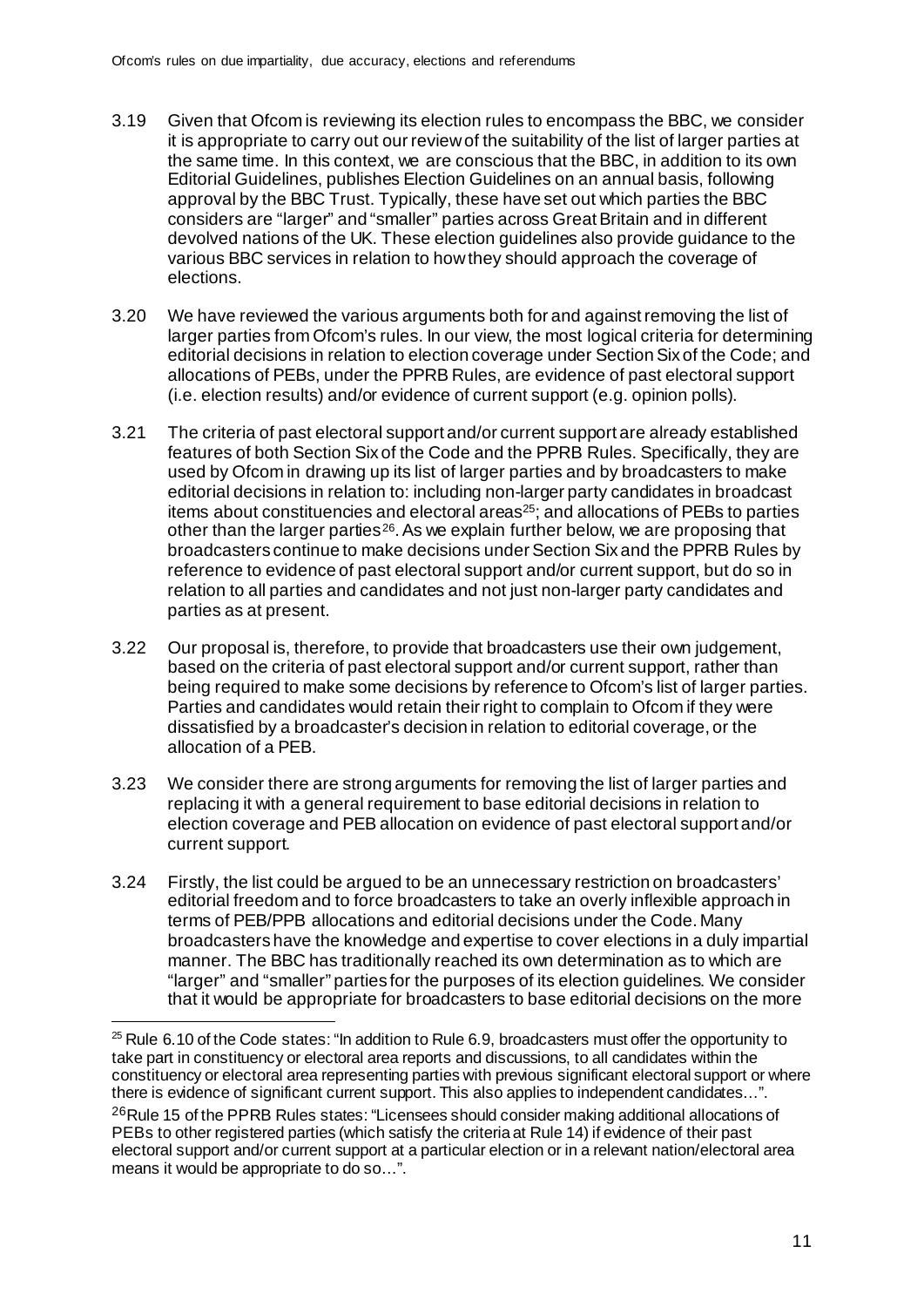- 3.19 Given that Ofcom is reviewing its election rules to encompass the BBC, we consider it is appropriate to carry out our review of the suitability of the list of larger parties at the same time. In this context, we are conscious that the BBC, in addition to its own Editorial Guidelines, publishes Election Guidelines on an annual basis, following approval by the BBC Trust. Typically, these have set out which parties the BBC considers are "larger" and "smaller" parties across Great Britain and in different devolved nations of the UK. These election guidelines also provide guidance to the various BBC services in relation to how they should approach the coverage of elections.
- 3.20 We have reviewed the various arguments both for and against removing the list of larger parties from Ofcom's rules. In our view, the most logical criteria for determining editorial decisions in relation to election coverage under Section Six of the Code; and allocations of PEBs, under the PPRB Rules, are evidence of past electoral support (i.e. election results) and/or evidence of current support (e.g. opinion polls).
- 3.21 The criteria of past electoral support and/or current support are already established features of both Section Six of the Code and the PPRB Rules. Specifically, they are used by Ofcom in drawing up its list of larger parties and by broadcasters to make editorial decisions in relation to: including non-larger party candidates in broadcast items about constituencies and electoral areas<sup>25</sup>; and allocations of PEBs to parties other than the larger parties<sup>[26](#page-13-1)</sup>. As we explain further below, we are proposing that broadcasters continue to make decisions under Section Six and the PPRB Rules by reference to evidence of past electoral support and/or current support, but do so in relation to all parties and candidates and not just non-larger party candidates and parties as at present.
- 3.22 Our proposal is, therefore, to provide that broadcasters use their own judgement, based on the criteria of past electoral support and/or current support, rather than being required to make some decisions by reference to Ofcom's list of larger parties. Parties and candidates would retain their right to complain to Ofcom if they were dissatisfied by a broadcaster's decision in relation to editorial coverage, or the allocation of a PEB.
- 3.23 We consider there are strong arguments for removing the list of larger parties and replacing it with a general requirement to base editorial decisions in relation to election coverage and PEB allocation on evidence of past electoral support and/or current support.
- 3.24 Firstly, the list could be argued to be an unnecessary restriction on broadcasters' editorial freedom and to force broadcasters to take an overly inflexible approach in terms of PEB/PPB allocations and editorial decisions under the Code. Many broadcasters have the knowledge and expertise to cover elections in a duly impartial manner. The BBC has traditionally reached its own determination as to which are "larger" and "smaller" parties for the purposes of its election guidelines. We consider that it would be appropriate for broadcasters to base editorial decisions on the more

<span id="page-13-1"></span><span id="page-13-0"></span> $25$  Rule 6.10 of the Code states: "In addition to Rule 6.9, broadcasters must offer the opportunity to take part in constituency or electoral area reports and discussions, to all candidates within the constituency or electoral area representing parties with previous significant electoral support or where there is evidence of significant current support. This also applies to independent candidates…". 26Rule 15 of the PPRB Rules states: "Licensees should consider making additional allocations of PEBs to other registered parties (which satisfy the criteria at Rule 14) if evidence of their past electoral support and/or current support at a particular election or in a relevant nation/electoral area means it would be appropriate to do so…".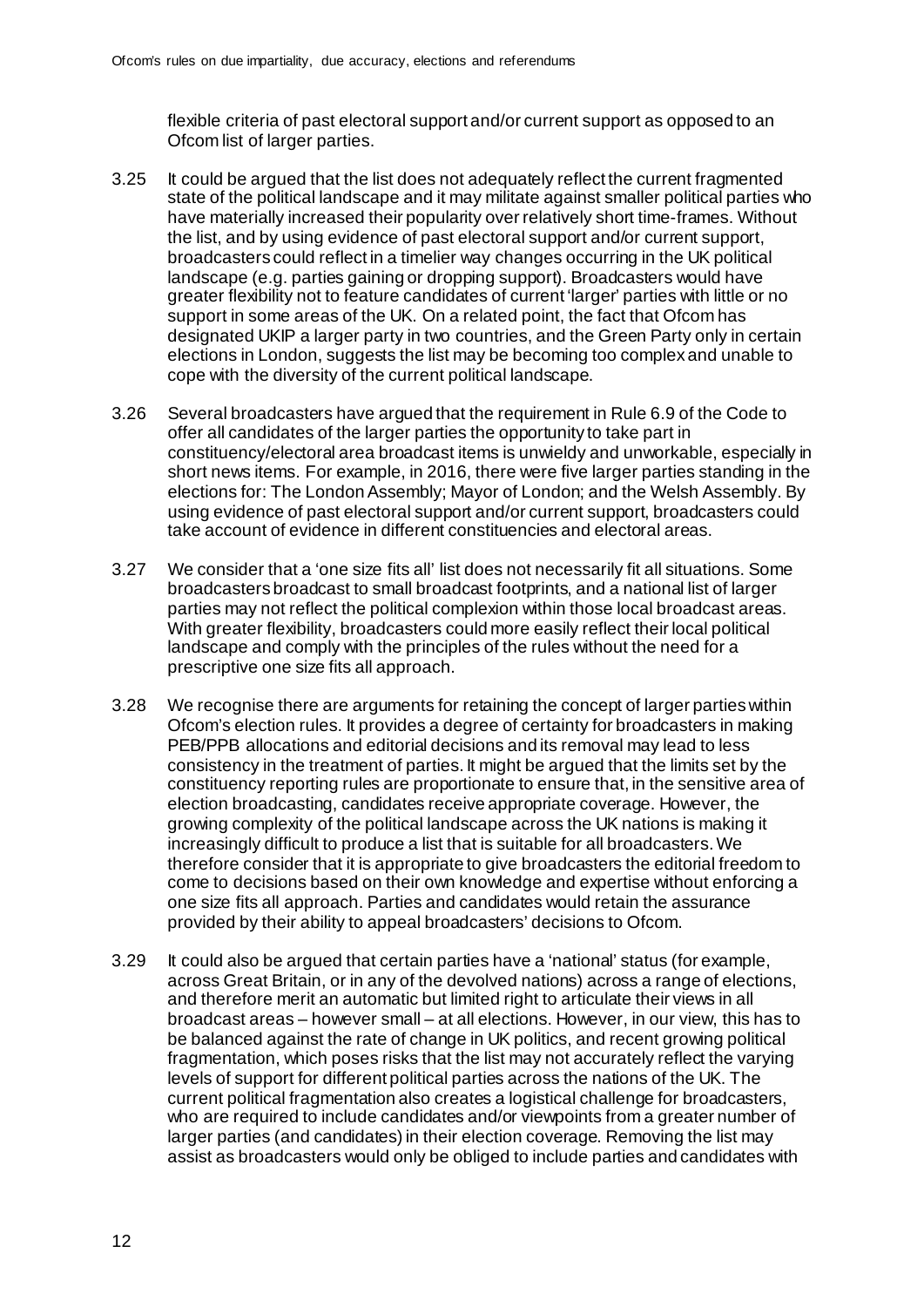flexible criteria of past electoral support and/or current support as opposed to an Ofcom list of larger parties.

- 3.25 It could be argued that the list does not adequately reflect the current fragmented state of the political landscape and it may militate against smaller political parties who have materially increased their popularity over relatively short time-frames. Without the list, and by using evidence of past electoral support and/or current support, broadcasters could reflect in a timelier way changes occurring in the UK political landscape (e.g. parties gaining or dropping support). Broadcasters would have greater flexibility not to feature candidates of current 'larger' parties with little or no support in some areas of the UK. On a related point, the fact that Ofcom has designated UKIP a larger party in two countries, and the Green Party only in certain elections in London, suggests the list may be becoming too complex and unable to cope with the diversity of the current political landscape.
- 3.26 Several broadcasters have argued that the requirement in Rule 6.9 of the Code to offer all candidates of the larger parties the opportunity to take part in constituency/electoral area broadcast items is unwieldy and unworkable, especially in short news items. For example, in 2016, there were five larger parties standing in the elections for: The London Assembly; Mayor of London; and the Welsh Assembly. By using evidence of past electoral support and/or current support, broadcasters could take account of evidence in different constituencies and electoral areas.
- 3.27 We consider that a 'one size fits all' list does not necessarily fit all situations. Some broadcasters broadcast to small broadcast footprints, and a national list of larger parties may not reflect the political complexion within those local broadcast areas. With greater flexibility, broadcasters could more easily reflect their local political landscape and comply with the principles of the rules without the need for a prescriptive one size fits all approach.
- 3.28 We recognise there are arguments for retaining the concept of larger parties within Ofcom's election rules. It provides a degree of certainty for broadcasters in making PEB/PPB allocations and editorial decisions and its removal may lead to less consistency in the treatment of parties. It might be argued that the limits set by the constituency reporting rules are proportionate to ensure that, in the sensitive area of election broadcasting, candidates receive appropriate coverage. However, the growing complexity of the political landscape across the UK nations is making it increasingly difficult to produce a list that is suitable for all broadcasters. We therefore consider that it is appropriate to give broadcasters the editorial freedom to come to decisions based on their own knowledge and expertise without enforcing a one size fits all approach. Parties and candidates would retain the assurance provided by their ability to appeal broadcasters' decisions to Ofcom.
- 3.29 It could also be argued that certain parties have a 'national' status (for example, across Great Britain, or in any of the devolved nations) across a range of elections, and therefore merit an automatic but limited right to articulate their views in all broadcast areas – however small – at all elections. However, in our view, this has to be balanced against the rate of change in UK politics, and recent growing political fragmentation, which poses risks that the list may not accurately reflect the varying levels of support for different political parties across the nations of the UK. The current political fragmentation also creates a logistical challenge for broadcasters, who are required to include candidates and/or viewpoints from a greater number of larger parties (and candidates) in their election coverage. Removing the list may assist as broadcasters would only be obliged to include parties and candidates with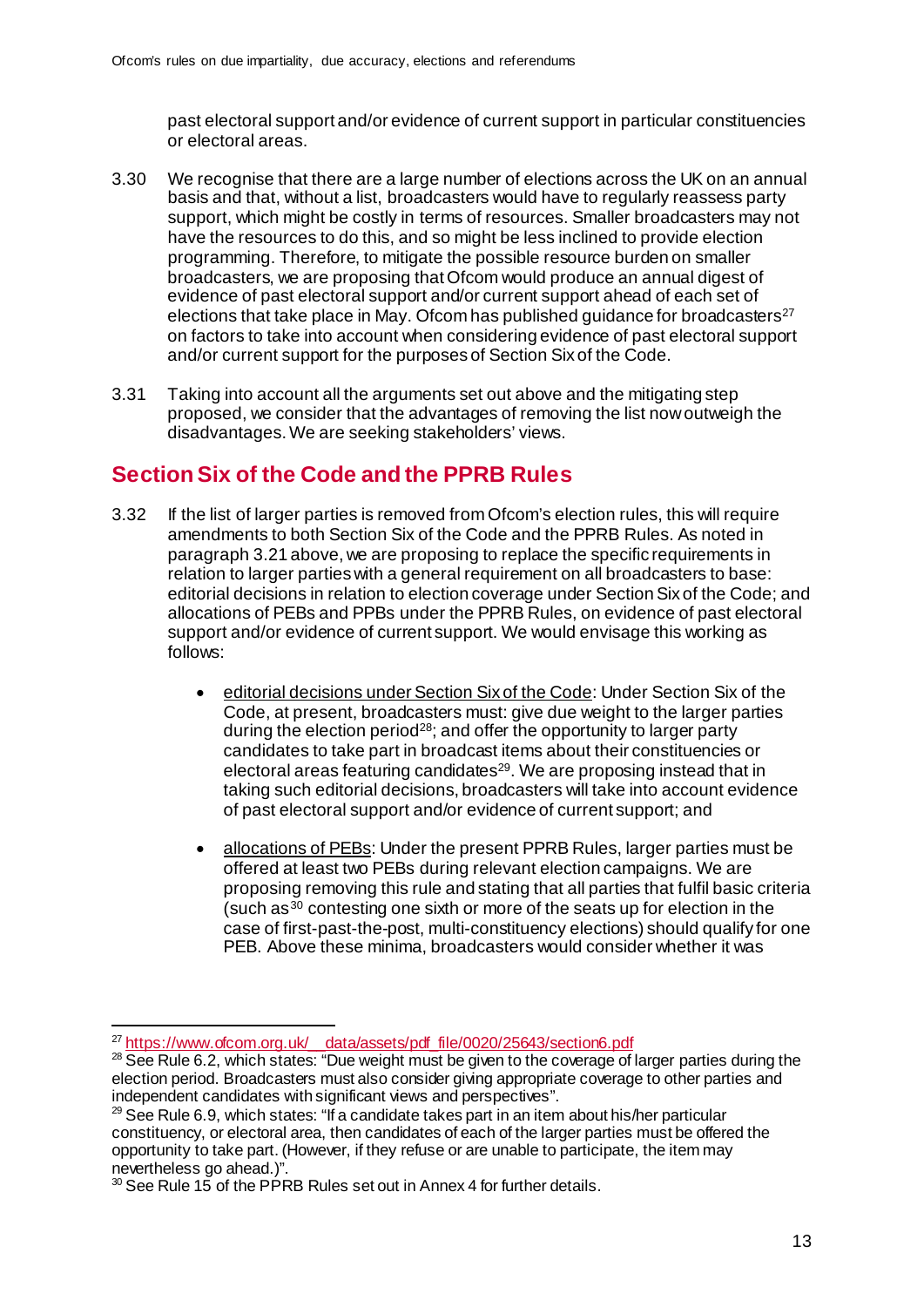past electoral support and/or evidence of current support in particular constituencies or electoral areas.

- 3.30 We recognise that there are a large number of elections across the UK on an annual basis and that, without a list, broadcasters would have to regularly reassess party support, which might be costly in terms of resources. Smaller broadcasters may not have the resources to do this, and so might be less inclined to provide election programming. Therefore, to mitigate the possible resource burden on smaller broadcasters, we are proposing that Ofcom would produce an annual digest of evidence of past electoral support and/or current support ahead of each set of elections that take place in May. Ofcom has published guidance for broadcasters<sup>[27](#page-15-0)</sup> on factors to take into account when considering evidence of past electoral support and/or current support for the purposes of Section Six of the Code.
- 3.31 Taking into account all the arguments set out above and the mitigating step proposed, we consider that the advantages of removing the list now outweigh the disadvantages.We are seeking stakeholders' views.

# **Section Six of the Code and the PPRB Rules**

- 3.32 If the list of larger parties is removed from Ofcom's election rules, this will require amendments to both Section Six of the Code and the PPRB Rules. As noted in paragraph 3.21 above, we are proposing to replace the specific requirements in relation to larger parties with a general requirement on all broadcasters to base: editorial decisions in relation to election coverage under Section Six of the Code; and allocations of PEBs and PPBs under the PPRB Rules, on evidence of past electoral support and/or evidence of current support. We would envisage this working as follows:
	- editorial decisions under Section Six of the Code: Under Section Six of the Code, at present, broadcasters must: give due weight to the larger parties during the election perio[d28](#page-15-1); and offer the opportunity to larger party candidates to take part in broadcast items about their constituencies or electoral areas featuring candidates<sup>29</sup>. We are proposing instead that in taking such editorial decisions, broadcasters will take into account evidence of past electoral support and/or evidence of current support; and
	- allocations of PEBs: Under the present PPRB Rules, larger parties must be offered at least two PEBs during relevant election campaigns. We are proposing removing this rule and stating that all parties that fulfil basic criteria (such as  $30$  contesting one sixth or more of the seats up for election in the case of first-past-the-post, multi-constituency elections) should qualify for one PEB. Above these minima, broadcasters would consider whether it was

<span id="page-15-0"></span><sup>&</sup>lt;sup>27</sup> https://www.ofcom.org.uk/ data/assets/pdf\_file/0020/25643/section6.pdf

<span id="page-15-1"></span><sup>&</sup>lt;sup>28</sup> See Rule 6.2, which states: "Due weight must be given to the coverage of larger parties during the election period. Broadcasters must also consider giving appropriate coverage to other parties and independent candidates with significant views and perspectives".

<span id="page-15-2"></span> $29$  See Rule 6.9, which states: "If a candidate takes part in an item about his/her particular constituency, or electoral area, then candidates of each of the larger parties must be offered the opportunity to take part. (However, if they refuse or are unable to participate, the item may nevertheless go ahead.)".

<span id="page-15-3"></span> $30$  See Rule 15 of the PPRB Rules set out in Annex 4 for further details.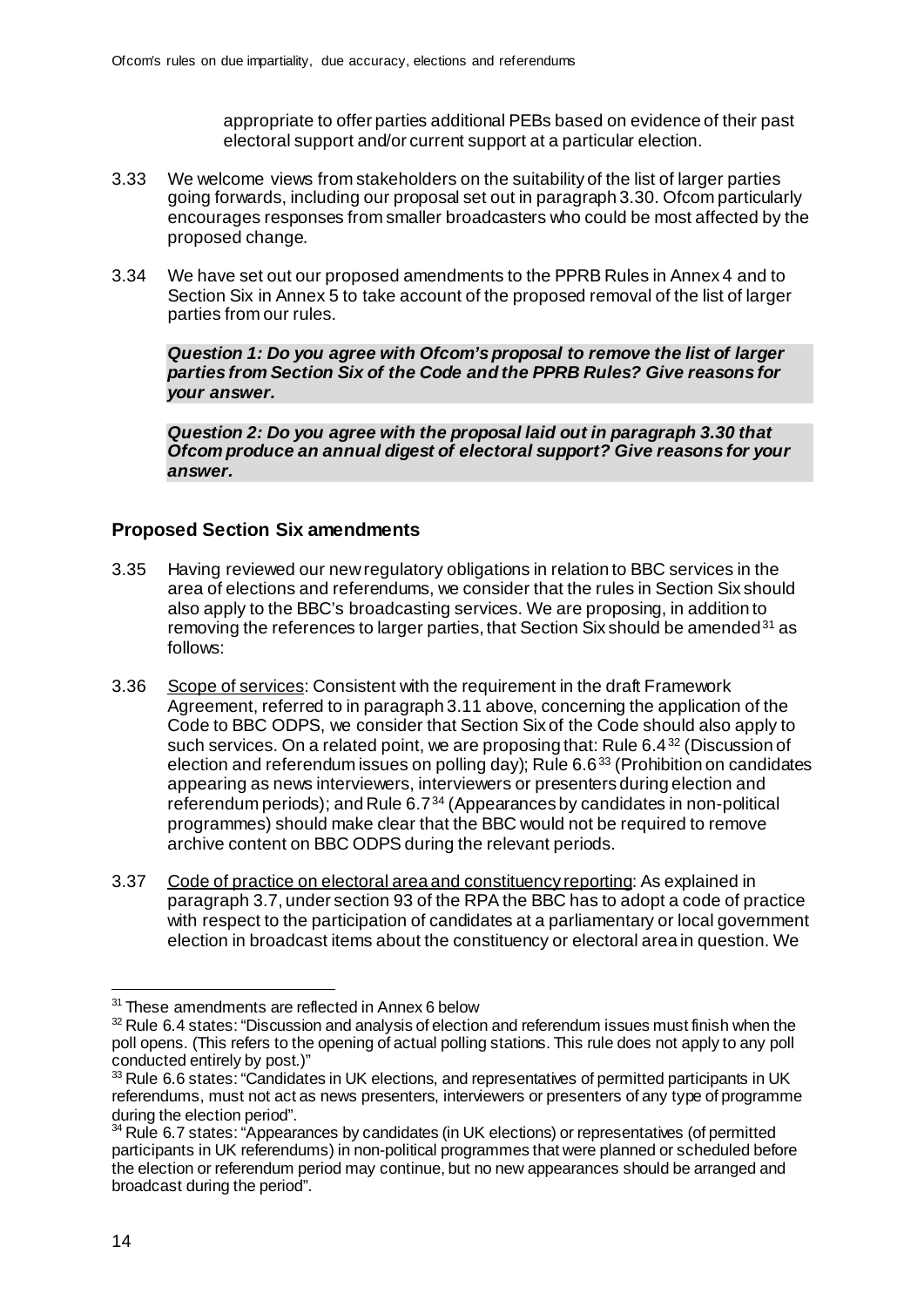appropriate to offer parties additional PEBs based on evidence of their past electoral support and/or current support at a particular election.

- 3.33 We welcome views from stakeholders on the suitability of the list of larger parties going forwards, including our proposal set out in paragraph 3.30. Ofcom particularly encourages responses from smaller broadcasters who could be most affected by the proposed change.
- 3.34 We have set out our proposed amendments to the PPRB Rules in Annex 4 and to Section Six in Annex 5 to take account of the proposed removal of the list of larger parties from our rules.

*Question 1: Do you agree with Ofcom's proposal to remove the list of larger parties from Section Six of the Code and the PPRB Rules? Give reasons for your answer.*

*Question 2: Do you agree with the proposal laid out in paragraph 3.30 that Ofcom produce an annual digest of electoral support? Give reasons for your answer.*

### **Proposed Section Six amendments**

- 3.35 Having reviewed our new regulatory obligations in relation to BBC services in the area of elections and referendums, we consider that the rules in Section Six should also apply to the BBC's broadcasting services. We are proposing, in addition to removing the references to larger parties, that Section Six should be amended<sup>[31](#page-16-0)</sup> as follows:
- 3.36 Scope of services: Consistent with the requirement in the draft Framework Agreement, referred to in paragraph 3.11 above, concerning the application of the Code to BBC ODPS, we consider that Section Six of the Code should also apply to such services. On a related point, we are proposing that: Rule 6.4[32](#page-16-1) (Discussion of election and referendum issues on polling day); Rule 6.6<sup>[33](#page-16-2)</sup> (Prohibition on candidates appearing as news interviewers, interviewers or presenters during election and referendum periods); and Rule 6.7[34](#page-16-3) (Appearances by candidates in non-political programmes) should make clear that the BBC would not be required to remove archive content on BBC ODPS during the relevant periods.
- 3.37 Code of practice on electoral area and constituency reporting: As explained in paragraph 3.7, under section 93 of the RPA the BBC has to adopt a code of practice with respect to the participation of candidates at a parliamentary or local government election in broadcast items about the constituency or electoral area in question. We

<span id="page-16-0"></span><sup>&</sup>lt;sup>31</sup> These amendments are reflected in Annex 6 below

<span id="page-16-1"></span> $32$  Rule 6.4 states: "Discussion and analysis of election and referendum issues must finish when the poll opens. (This refers to the opening of actual polling stations. This rule does not apply to any poll conducted entirely by post.)"

<span id="page-16-2"></span><sup>&</sup>lt;sup>33</sup> Rule 6.6 states: "Candidates in UK elections, and representatives of permitted participants in UK referendums, must not act as news presenters, interviewers or presenters of any type of programme during the election period".

<span id="page-16-3"></span><sup>&</sup>lt;sup>34</sup> Rule 6.7 states: "Appearances by candidates (in UK elections) or representatives (of permitted participants in UK referendums) in non-political programmes that were planned or scheduled before the election or referendum period may continue, but no new appearances should be arranged and broadcast during the period".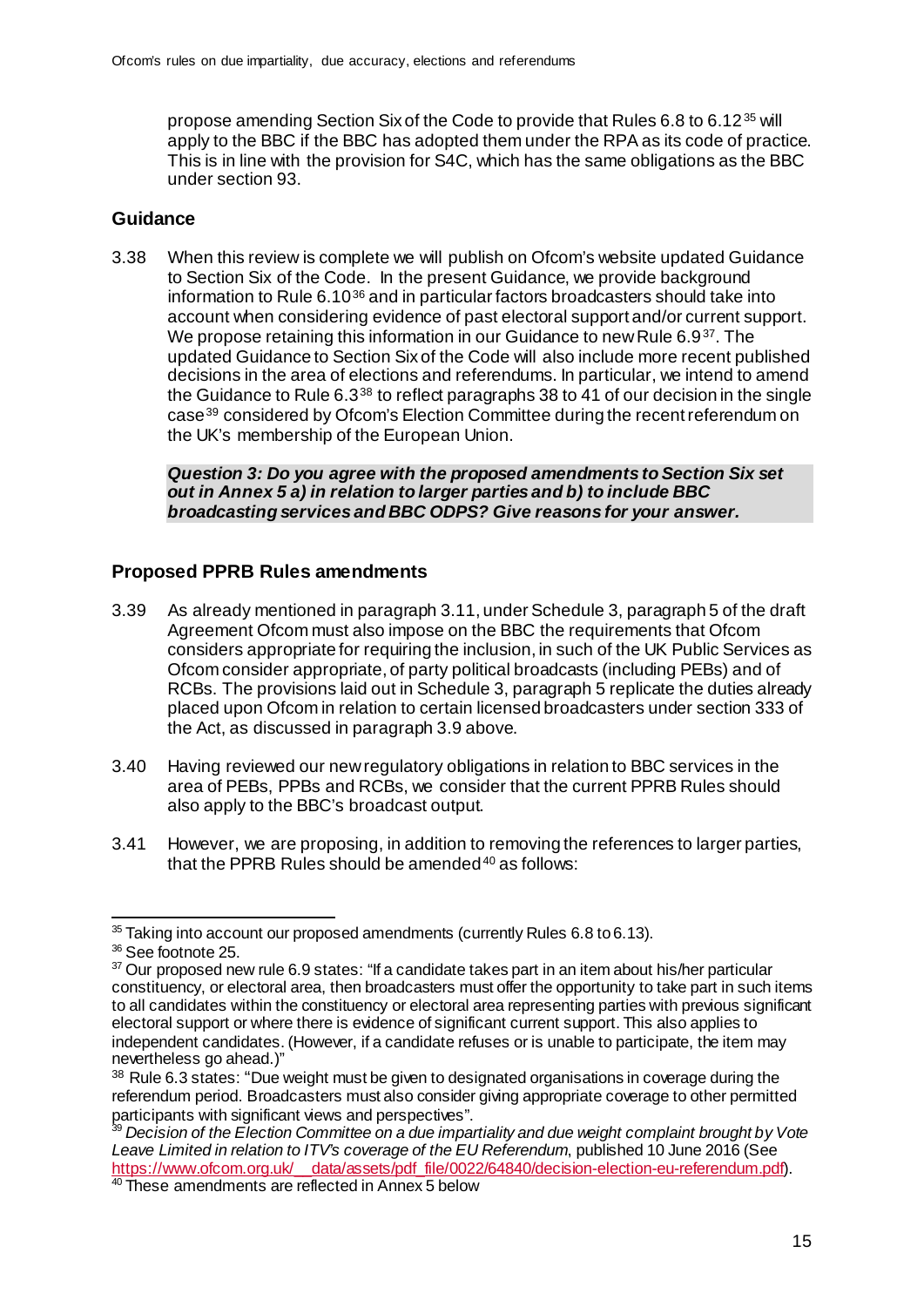propose amending Section Six of the Code to provide that Rules 6.8 to 6.12[35](#page-17-0) will apply to the BBC if the BBC has adopted them under the RPA as its code of practice. This is in line with the provision for S4C, which has the same obligations as the BBC under section 93.

### **Guidance**

3.38 When this review is complete we will publish on Ofcom's website updated Guidance to Section Six of the Code. In the present Guidance, we provide background information to Rule 6.10[36](#page-17-1) and in particular factors broadcasters should take into account when considering evidence of past electoral support and/or current support. We propose retaining this information in our Guidance to new Rule 6.9[37.](#page-17-2) The updated Guidance to Section Six of the Code will also include more recent published decisions in the area of elections and referendums. In particular, we intend to amend the Guidance to Rule 6.3[38](#page-17-3) to reflect paragraphs 38 to 41 of our decision in the single case[39](#page-17-4) considered by Ofcom's Election Committee during the recent referendum on the UK's membership of the European Union.

*Question 3: Do you agree with the proposed amendments to Section Six set out in Annex 5 a) in relation to larger parties and b) to include BBC broadcasting services and BBC ODPS? Give reasons for your answer.* 

### **Proposed PPRB Rules amendments**

- 3.39 As already mentioned in paragraph 3.11, under Schedule 3, paragraph 5 of the draft Agreement Ofcom must also impose on the BBC the requirements that Ofcom considers appropriate for requiring the inclusion, in such of the UK Public Services as Ofcom consider appropriate, of party political broadcasts (including PEBs) and of RCBs. The provisions laid out in Schedule 3, paragraph 5 replicate the duties already placed upon Ofcom in relation to certain licensed broadcasters under section 333 of the Act, as discussed in paragraph 3.9 above.
- 3.40 Having reviewed our new regulatory obligations in relation to BBC services in the area of PEBs, PPBs and RCBs, we consider that the current PPRB Rules should also apply to the BBC's broadcast output.
- 3.41 However, we are proposing, in addition to removing the references to larger parties, that the PPRB Rules should be amended<sup>[40](#page-17-5)</sup> as follows:

<span id="page-17-0"></span> $35$  Taking into account our proposed amendments (currently Rules 6.8 to 6.13).<br> $36$  See footnote 25.

<span id="page-17-2"></span><span id="page-17-1"></span> $37$  Our proposed new rule 6.9 states: "If a candidate takes part in an item about his/her particular constituency, or electoral area, then broadcasters must offer the opportunity to take part in such items to all candidates within the constituency or electoral area representing parties with previous significant electoral support or where there is evidence of significant current support. This also applies to independent candidates. (However, if a candidate refuses or is unable to participate, the item may nevertheless go ahead.)"

<span id="page-17-3"></span><sup>&</sup>lt;sup>38</sup> Rule 6.3 states: "Due weight must be given to designated organisations in coverage during the referendum period. Broadcasters must also consider giving appropriate coverage to other permitted participants with significant views and perspectives".

<span id="page-17-4"></span><sup>39</sup> *Decision of the Election Committee on a due impartiality and due weight complaint brought by Vote Leave Limited in relation to ITV's coverage of the EU Referendum*, published 10 June 2016 (See https://www.ofcom.org.uk/ data/assets/pdf file/0022/64840/decision-election-eu-referendum.pdf). 40 These amendments are reflected in Annex 5 below

<span id="page-17-5"></span>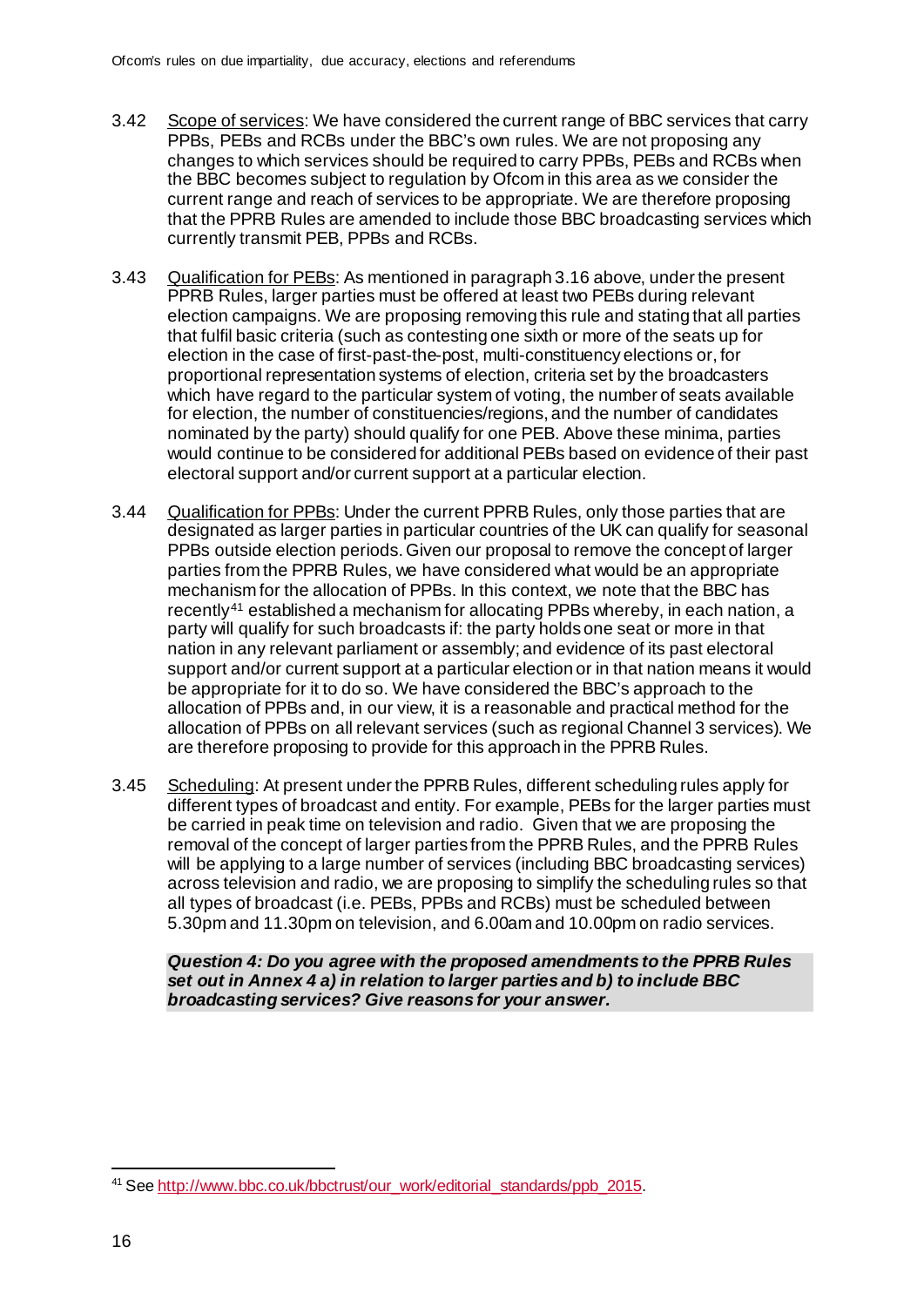- 3.42 Scope of services: We have considered the current range of BBC services that carry PPBs, PEBs and RCBs under the BBC's own rules. We are not proposing any changes to which services should be required to carry PPBs, PEBs and RCBs when the BBC becomes subject to regulation by Ofcom in this area as we consider the current range and reach of services to be appropriate. We are therefore proposing that the PPRB Rules are amended to include those BBC broadcasting services which currently transmit PEB, PPBs and RCBs.
- 3.43 Qualification for PEBs: As mentioned in paragraph 3.16 above, under the present PPRB Rules, larger parties must be offered at least two PEBs during relevant election campaigns. We are proposing removing this rule and stating that all parties that fulfil basic criteria (such as contesting one sixth or more of the seats up for election in the case of first-past-the-post, multi-constituency elections or, for proportional representation systems of election, criteria set by the broadcasters which have regard to the particular system of voting, the number of seats available for election, the number of constituencies/regions, and the number of candidates nominated by the party) should qualify for one PEB. Above these minima, parties would continue to be considered for additional PEBs based on evidence of their past electoral support and/or current support at a particular election.
- 3.44 Qualification for PPBs: Under the current PPRB Rules, only those parties that are designated as larger parties in particular countries of the UK can qualify for seasonal PPBs outside election periods. Given our proposal to remove the concept of larger parties from the PPRB Rules, we have considered what would be an appropriate mechanism for the allocation of PPBs. In this context, we note that the BBC has recently[41](#page-18-0) established a mechanism for allocating PPBs whereby, in each nation, a party will qualify for such broadcasts if: the party holds one seat or more in that nation in any relevant parliament or assembly; and evidence of its past electoral support and/or current support at a particular election or in that nation means it would be appropriate for it to do so. We have considered the BBC's approach to the allocation of PPBs and, in our view, it is a reasonable and practical method for the allocation of PPBs on all relevant services (such as regional Channel 3 services). We are therefore proposing to provide for this approach in the PPRB Rules.
- 3.45 Scheduling: At present under the PPRB Rules, different scheduling rules apply for different types of broadcast and entity. For example, PEBs for the larger parties must be carried in peak time on television and radio. Given that we are proposing the removal of the concept of larger parties from the PPRB Rules, and the PPRB Rules will be applying to a large number of services (including BBC broadcasting services) across television and radio, we are proposing to simplify the scheduling rules so that all types of broadcast (i.e. PEBs, PPBs and RCBs) must be scheduled between 5.30pm and 11.30pm on television, and 6.00am and 10.00pm on radio services.

#### *Question 4: Do you agree with the proposed amendments to the PPRB Rules set out in Annex 4 a) in relation to larger parties and b) to include BBC broadcasting services? Give reasons for your answer.*

<span id="page-18-0"></span><sup>&</sup>lt;sup>41</sup> See [http://www.bbc.co.uk/bbctrust/our\\_work/editorial\\_standards/ppb\\_2015.](http://www.bbc.co.uk/bbctrust/our_work/editorial_standards/ppb_2015)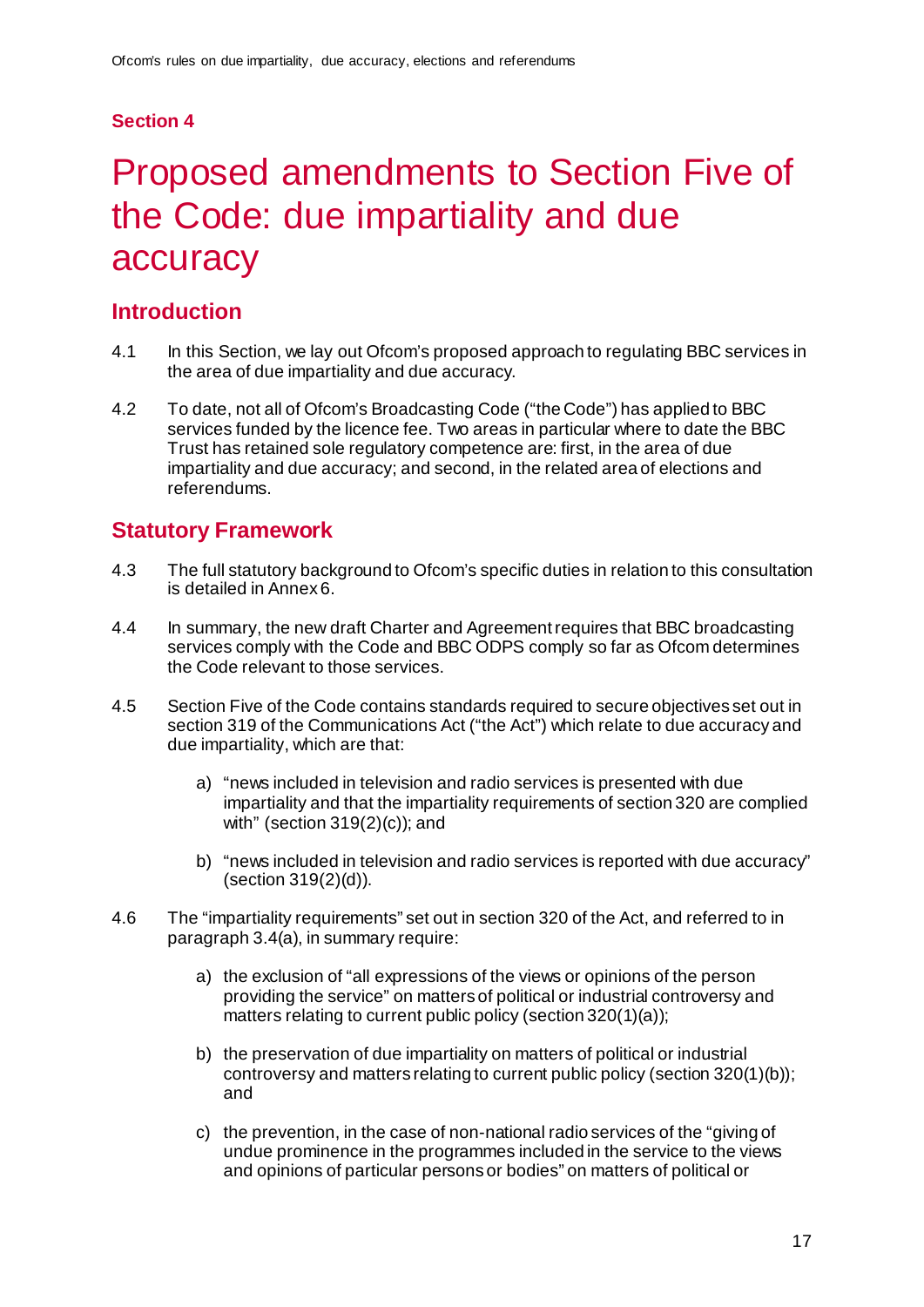## **Section 4**

# <span id="page-19-0"></span>4 Proposed amendments to Section Five of the Code: due impartiality and due accuracy

# **Introduction**

- 4.1 In this Section, we lay out Ofcom's proposed approach to regulating BBC services in the area of due impartiality and due accuracy.
- 4.2 To date, not all of Ofcom's Broadcasting Code ("the Code") has applied to BBC services funded by the licence fee. Two areas in particular where to date the BBC Trust has retained sole regulatory competence are: first, in the area of due impartiality and due accuracy; and second, in the related area of elections and referendums.

# **Statutory Framework**

- 4.3 The full statutory background to Ofcom's specific duties in relation to this consultation is detailed in Annex 6.
- 4.4 In summary, the new draft Charter and Agreement requires that BBC broadcasting services comply with the Code and BBC ODPS comply so far as Ofcom determines the Code relevant to those services.
- 4.5 Section Five of the Code contains standards required to secure objectives set out in section 319 of the Communications Act ("the Act") which relate to due accuracy and due impartiality, which are that:
	- a) "news included in television and radio services is presented with due impartiality and that the impartiality requirements of section 320 are complied with" (section 319(2)(c)); and
	- b) "news included in television and radio services is reported with due accuracy" (section 319(2)(d)).
- 4.6 The "impartiality requirements" set out in section 320 of the Act, and referred to in paragraph 3.4(a), in summary require:
	- a) the exclusion of "all expressions of the views or opinions of the person providing the service" on matters of political or industrial controversy and matters relating to current public policy (section 320(1)(a));
	- b) the preservation of due impartiality on matters of political or industrial controversy and matters relating to current public policy (section 320(1)(b)); and
	- c) the prevention, in the case of non-national radio services of the "giving of undue prominence in the programmes included in the service to the views and opinions of particular persons or bodies" on matters of political or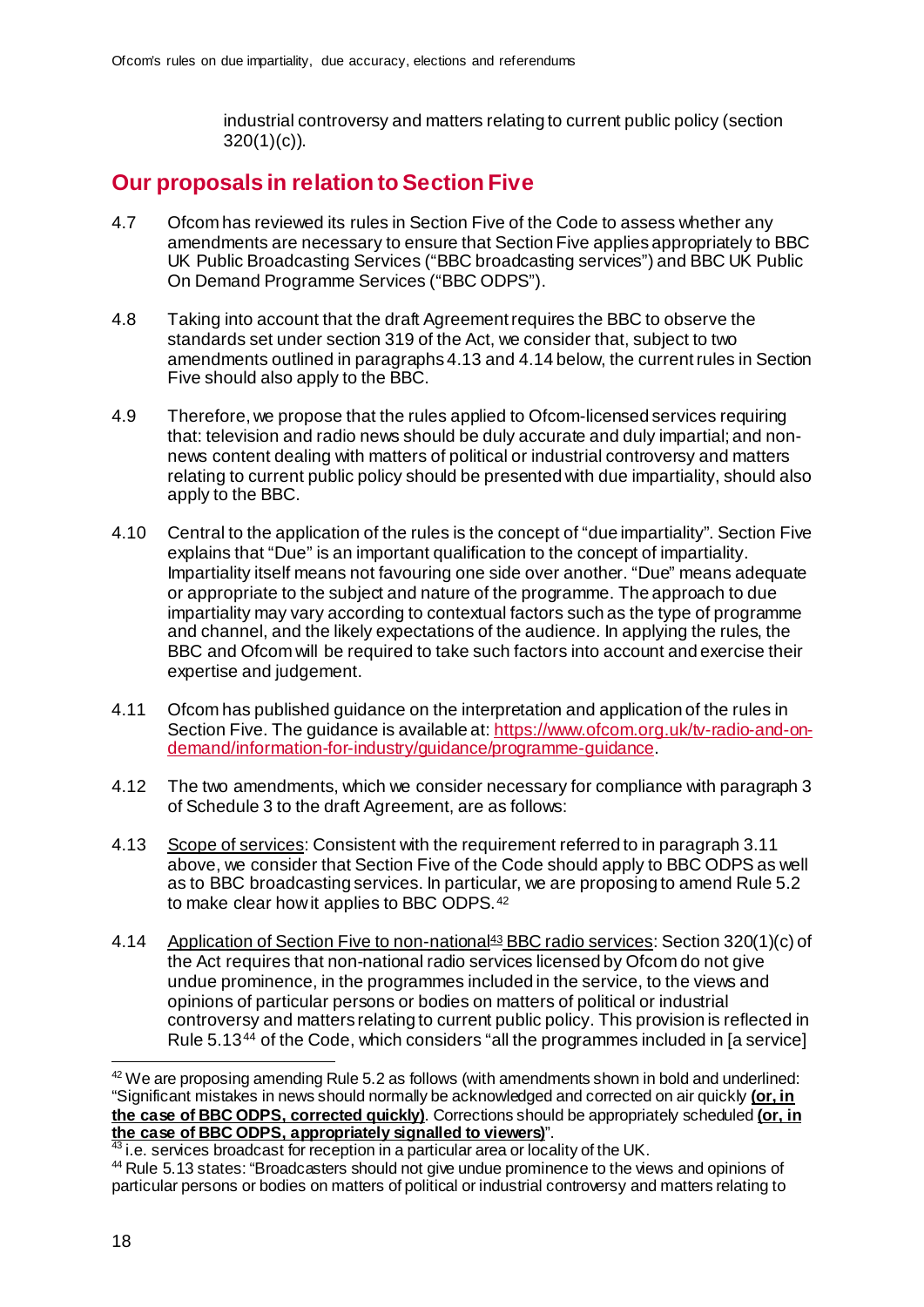industrial controversy and matters relating to current public policy (section  $320(1)(c)$ ).

# **Our proposals in relation to Section Five**

- 4.7 Ofcom has reviewed its rules in Section Five of the Code to assess whether any amendments are necessary to ensure that Section Five applies appropriately to BBC UK Public Broadcasting Services ("BBC broadcasting services") and BBC UK Public On Demand Programme Services ("BBC ODPS").
- 4.8 Taking into account that the draft Agreement requires the BBC to observe the standards set under section 319 of the Act, we consider that, subject to two amendments outlined in paragraphs 4.13 and 4.14 below, the current rules in Section Five should also apply to the BBC.
- 4.9 Therefore, we propose that the rules applied to Ofcom-licensed services requiring that: television and radio news should be duly accurate and duly impartial; and nonnews content dealing with matters of political or industrial controversy and matters relating to current public policy should be presented with due impartiality, should also apply to the BBC.
- 4.10 Central to the application of the rules is the concept of "due impartiality". Section Five explains that "Due" is an important qualification to the concept of impartiality. Impartiality itself means not favouring one side over another. "Due" means adequate or appropriate to the subject and nature of the programme. The approach to due impartiality may vary according to contextual factors such as the type of programme and channel, and the likely expectations of the audience. In applying the rules, the BBC and Ofcom will be required to take such factors into account and exercise their expertise and judgement.
- 4.11 Ofcom has published guidance on the interpretation and application of the rules in Section Five. The guidance is available at[: https://www.ofcom.org.uk/tv-radio-and-on](https://www.ofcom.org.uk/tv-radio-and-on-demand/information-for-industry/guidance/programme-guidance)[demand/information-for-industry/guidance/programme-guidance](https://www.ofcom.org.uk/tv-radio-and-on-demand/information-for-industry/guidance/programme-guidance).
- 4.12 The two amendments, which we consider necessary for compliance with paragraph 3 of Schedule 3 to the draft Agreement, are as follows:
- 4.13 Scope of services: Consistent with the requirement referred to in paragraph 3.11 above, we consider that Section Five of the Code should apply to BBC ODPS as well as to BBC broadcasting services. In particular, we are proposing to amend Rule 5.2 to make clear how it applies to BBC ODPS.[42](#page-20-0)
- 4.14 Application of Section Five to non-national<sup>43</sup> BBC radio services: Section 320(1)(c) of the Act requires that non-national radio services licensed by Ofcom do not give undue prominence, in the programmes included in the service, to the views and opinions of particular persons or bodies on matters of political or industrial controversy and matters relating to current public policy. This provision is reflected in Rule 5.13[44](#page-20-2) of the Code, which considers "all the programmes included in [a service]

<span id="page-20-0"></span> $42$  We are proposing amending Rule 5.2 as follows (with amendments shown in bold and underlined: "Significant mistakes in news should normally be acknowledged and corrected on air quickly **(or, in the case of BBC ODPS, corrected quickly)**. Corrections should be appropriately scheduled **(or, in** 

<span id="page-20-1"></span>**the case of BBC ODPS, appropriately signalled to viewers)**". <sup>43</sup> i.e. services broadcast for reception in a particular area or locality of the UK.

<span id="page-20-2"></span><sup>44</sup> Rule 5.13 states: "Broadcasters should not give undue prominence to the views and opinions of particular persons or bodies on matters of political or industrial controversy and matters relating to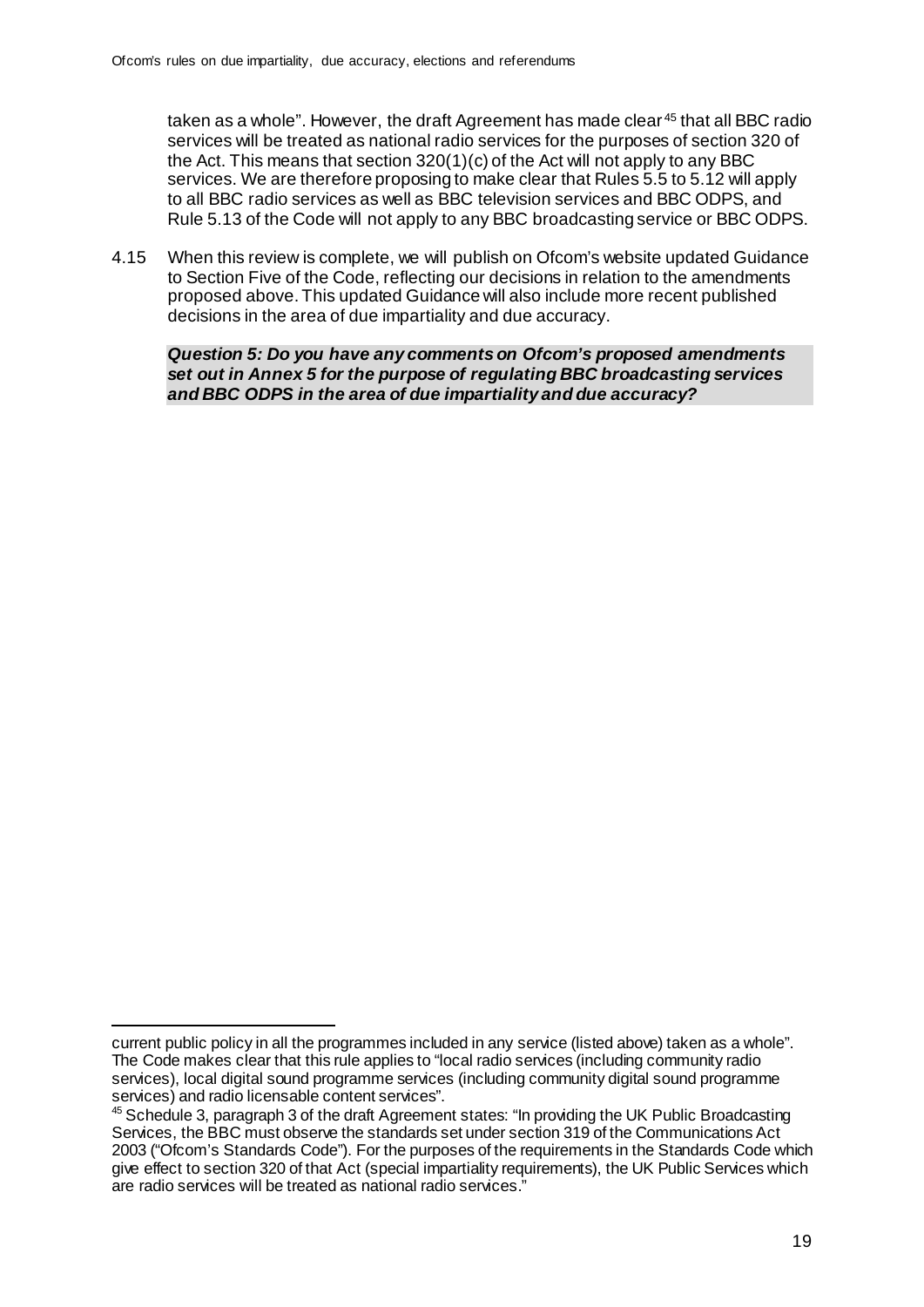taken as a whole". However, the draft Agreement has made clear [45](#page-21-0) that all BBC radio services will be treated as national radio services for the purposes of section 320 of the Act. This means that section  $320(1)(c)$  of the Act will not apply to any BBC services. We are therefore proposing to make clear that Rules 5.5 to 5.12 will apply to all BBC radio services as well as BBC television services and BBC ODPS, and Rule 5.13 of the Code will not apply to any BBC broadcasting service or BBC ODPS.

4.15 When this review is complete, we will publish on Ofcom's website updated Guidance to Section Five of the Code, reflecting our decisions in relation to the amendments proposed above. This updated Guidance will also include more recent published decisions in the area of due impartiality and due accuracy.

*Question 5: Do you have any comments on Ofcom's proposed amendments set out in Annex 5 for the purpose of regulating BBC broadcasting services and BBC ODPS in the area of due impartiality and due accuracy?*

current public policy in all the programmes included in any service (listed above) taken as a whole". The Code makes clear that this rule applies to "local radio services (including community radio services), local digital sound programme services (including community digital sound programme services) and radio licensable content services".

<span id="page-21-0"></span><sup>45</sup> Schedule 3, paragraph 3 of the draft Agreement states: "In providing the UK Public Broadcasting Services, the BBC must observe the standards set under section 319 of the Communications Act 2003 ("Ofcom's Standards Code"). For the purposes of the requirements in the Standards Code which give effect to section 320 of that Act (special impartiality requirements), the UK Public Services which are radio services will be treated as national radio services."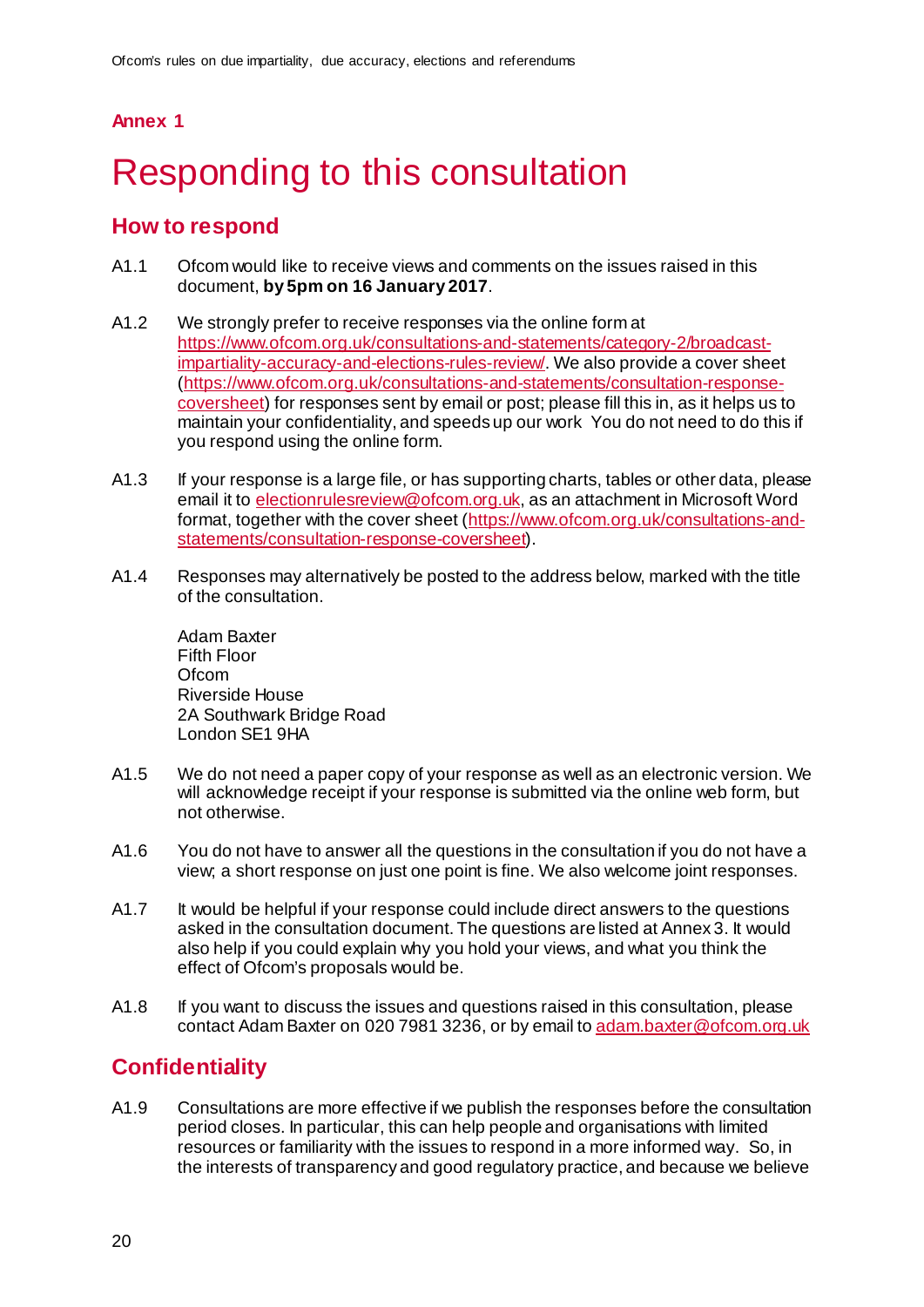## **Annex 1**

# <span id="page-22-0"></span>**Responding to this consultation**

## **How to respond**

- A1.1 Ofcom would like to receive views and comments on the issues raised in this document, **by 5pm on 16 January 2017**.
- A1.2 We strongly prefer to receive responses via the online form at [https://www.ofcom.org.uk/consultations-and-statements/category-2/broadcast](https://www.ofcom.org.uk/consultations-and-statements/category-2/broadcast-impartiality-accuracy-and-elections-rules-review/)[impartiality-accuracy-and-elections-rules-review/.](https://www.ofcom.org.uk/consultations-and-statements/category-2/broadcast-impartiality-accuracy-and-elections-rules-review/) We also provide a cover sheet [\(https://www.ofcom.org.uk/consultations-and-statements/consultation-response](https://www.ofcom.org.uk/consultations-and-statements/consultation-response-coversheet)[coversheet\)](https://www.ofcom.org.uk/consultations-and-statements/consultation-response-coversheet) for responses sent by email or post; please fill this in, as it helps us to maintain your confidentiality, and speeds up our work You do not need to do this if you respond using the online form.
- A1.3 If your response is a large file, or has supporting charts, tables or other data, please email it to [electionrulesreview@ofcom.org.uk](mailto:electionrulesreview@ofcom.org.uk), as an attachment in Microsoft Word format, together with the cover sheet [\(https://www.ofcom.org.uk/consultations-and](https://www.ofcom.org.uk/consultations-and-statements/consultation-response-coversheet)[statements/consultation-response-coversheet\)](https://www.ofcom.org.uk/consultations-and-statements/consultation-response-coversheet).
- A1.4 Responses may alternatively be posted to the address below, marked with the title of the consultation.

Adam Baxter Fifth Floor **Ofcom** Riverside House 2A Southwark Bridge Road London SE1 9HA

- A1.5 We do not need a paper copy of your response as well as an electronic version. We will acknowledge receipt if your response is submitted via the online web form, but not otherwise.
- A1.6 You do not have to answer all the questions in the consultation if you do not have a view; a short response on just one point is fine. We also welcome joint responses.
- A1.7 It would be helpful if your response could include direct answers to the questions asked in the consultation document. The questions are listed at Annex 3. It would also help if you could explain why you hold your views, and what you think the effect of Ofcom's proposals would be.
- A1.8 If you want to discuss the issues and questions raised in this consultation, please contact Adam Baxter on 020 7981 3236, or by email t[o adam.baxter@ofcom.org.uk](mailto:adam.baxter@ofcom.org.uk)

# **Confidentiality**

A1.9 Consultations are more effective if we publish the responses before the consultation period closes. In particular, this can help people and organisations with limited resources or familiarity with the issues to respond in a more informed way. So, in the interests of transparency and good regulatory practice, and because we believe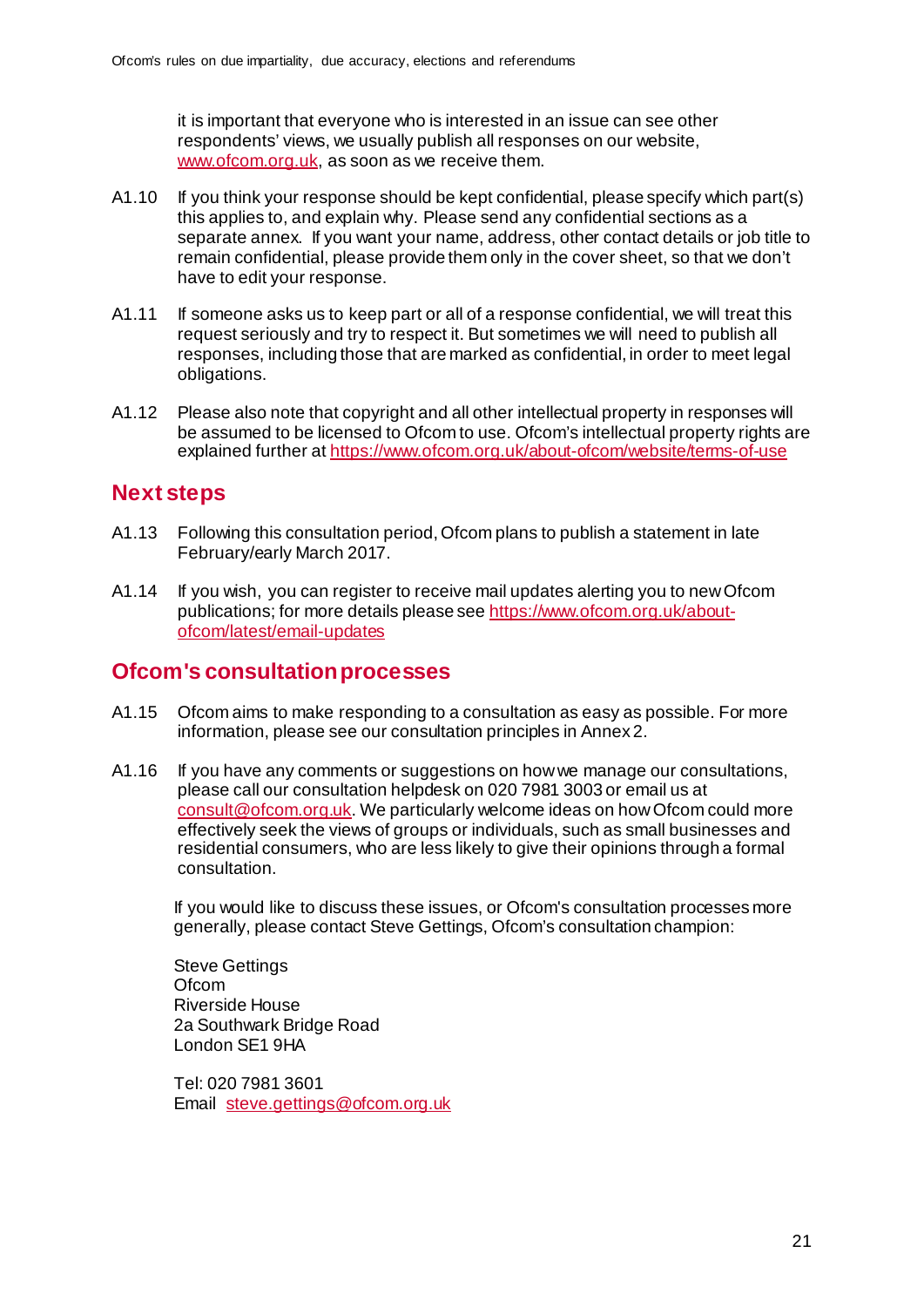it is important that everyone who is interested in an issue can see other respondents' views, we usually publish all responses on our website, [www.ofcom.org.uk,](http://www.ofcom.org.uk/) as soon as we receive them.

- A1.10 If you think your response should be kept confidential, please specify which part(s) this applies to, and explain why. Please send any confidential sections as a separate annex. If you want your name, address, other contact details or job title to remain confidential, please provide them only in the cover sheet, so that we don't have to edit your response.
- A1.11 If someone asks us to keep part or all of a response confidential, we will treat this request seriously and try to respect it. But sometimes we will need to publish all responses, including those that are marked as confidential, in order to meet legal obligations.
- A1.12 Please also note that copyright and all other intellectual property in responses will be assumed to be licensed to Ofcom to use. Ofcom's intellectual property rights are explained further a[t https://www.ofcom.org.uk/about-ofcom/website/terms-of-use](https://www.ofcom.org.uk/about-ofcom/website/terms-of-use)

## **Next steps**

- A1.13 Following this consultation period, Ofcom plans to publish a statement in late February/early March 2017.
- A1.14 If you wish, you can register to receive mail updates alerting you to new Ofcom publications; for more details please se[e https://www.ofcom.org.uk/about](https://www.ofcom.org.uk/about-ofcom/latest/email-updates)[ofcom/latest/email-updates](https://www.ofcom.org.uk/about-ofcom/latest/email-updates)

## **Ofcom's consultation processes**

- A1.15 Ofcom aims to make responding to a consultation as easy as possible. For more information, please see our consultation principles in Annex 2.
- A1.16 If you have any comments or suggestions on how we manage our consultations, please call our consultation helpdesk on 020 7981 3003 or email us at [consult@ofcom.org.uk](mailto:consult@ofcom.org.uk). We particularly welcome ideas on how Ofcom could more effectively seek the views of groups or individuals, such as small businesses and residential consumers, who are less likely to give their opinions through a formal consultation.

If you would like to discuss these issues, or Ofcom's consultation processes more generally, please contact Steve Gettings, Ofcom's consultation champion:

Steve Gettings **Ofcom** Riverside House 2a Southwark Bridge Road London SE1 9HA

Tel: 020 7981 3601 Email [steve.gettings@ofcom.org.uk](mailto:steve.gettings@ofcom.org.uk)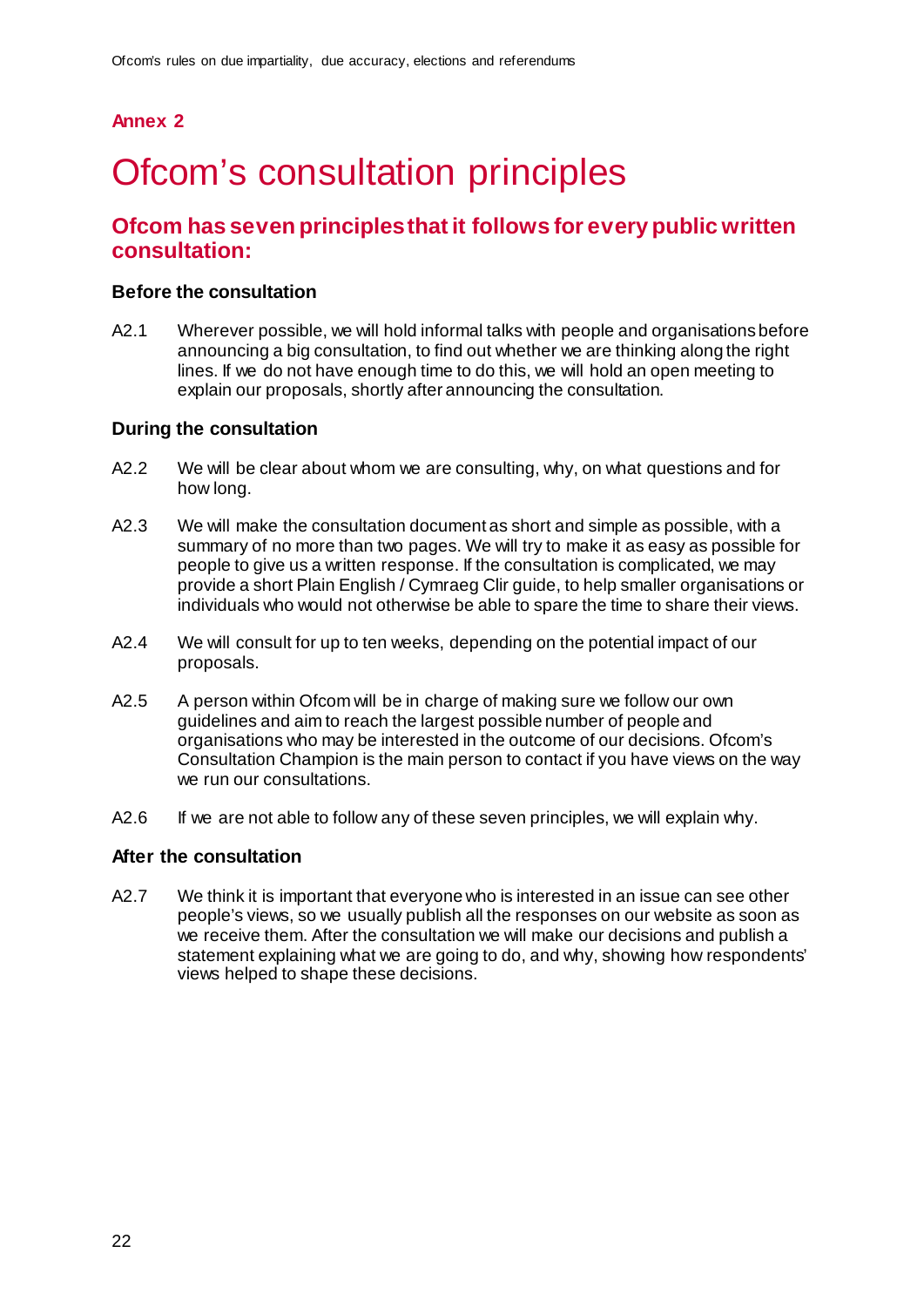## **Annex 2**

# <span id="page-24-0"></span>**Ofcom's consultation principles**

# **Ofcom has seven principles that it follows for every public written consultation:**

#### **Before the consultation**

A2.1 Wherever possible, we will hold informal talks with people and organisations before announcing a big consultation, to find out whether we are thinking along the right lines. If we do not have enough time to do this, we will hold an open meeting to explain our proposals, shortly after announcing the consultation.

## **During the consultation**

- A2.2 We will be clear about whom we are consulting, why, on what questions and for how long.
- A2.3 We will make the consultation document as short and simple as possible, with a summary of no more than two pages. We will try to make it as easy as possible for people to give us a written response. If the consultation is complicated, we may provide a short Plain English / Cymraeg Clir guide, to help smaller organisations or individuals who would not otherwise be able to spare the time to share their views.
- A2.4 We will consult for up to ten weeks, depending on the potential impact of our proposals.
- A2.5 A person within Ofcom will be in charge of making sure we follow our own guidelines and aim to reach the largest possible number of people and organisations who may be interested in the outcome of our decisions. Ofcom's Consultation Champion is the main person to contact if you have views on the way we run our consultations.
- A2.6 If we are not able to follow any of these seven principles, we will explain why.

#### **After the consultation**

A2.7 We think it is important that everyone who is interested in an issue can see other people's views, so we usually publish all the responses on our website as soon as we receive them. After the consultation we will make our decisions and publish a statement explaining what we are going to do, and why, showing how respondents' views helped to shape these decisions.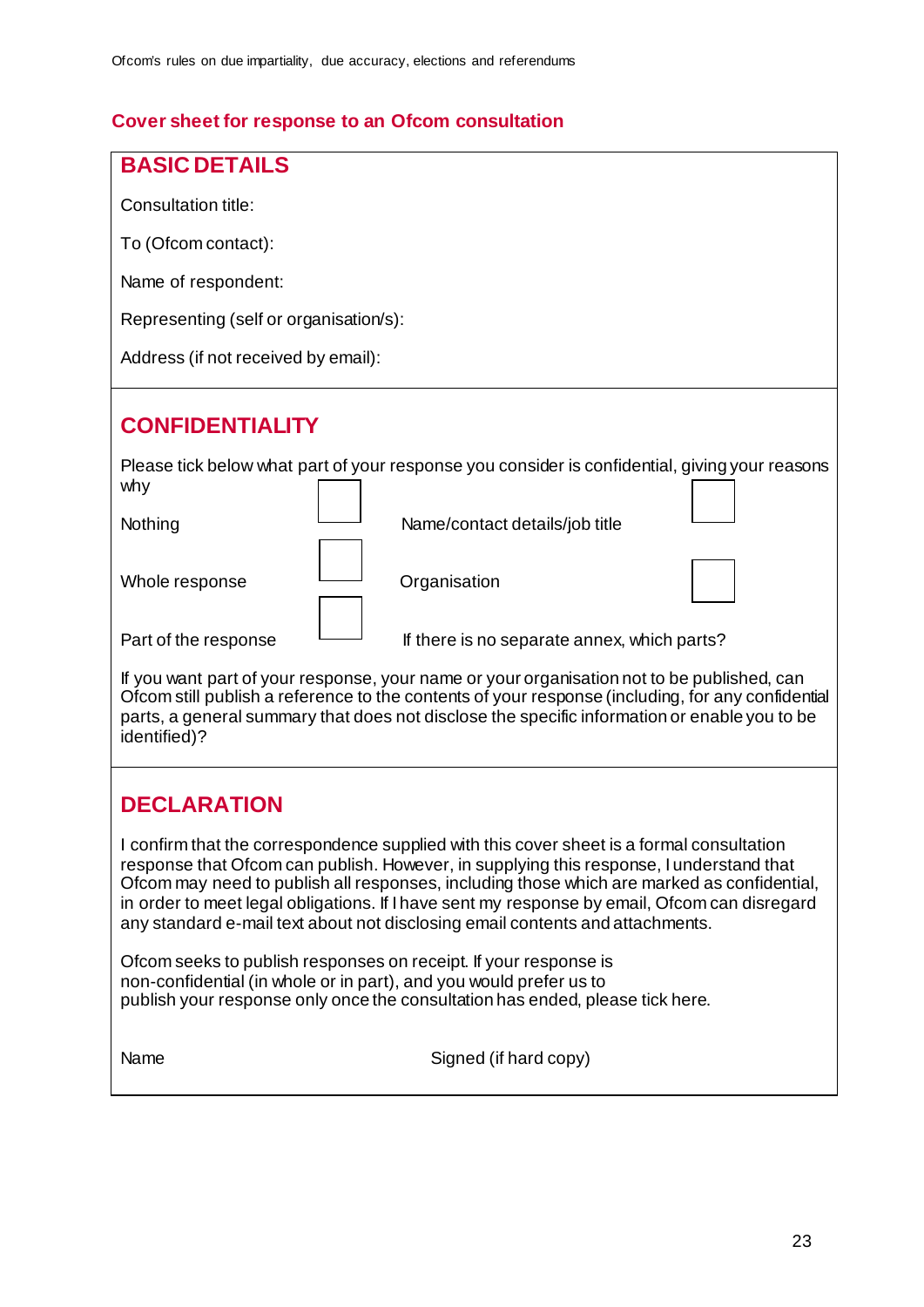# **Cover sheet for response to an Ofcom consultation**

| <b>BASIC DETAILS</b>                                                                                                                                                                                                                                                                                                                                                                                                                                                |  |  |  |
|---------------------------------------------------------------------------------------------------------------------------------------------------------------------------------------------------------------------------------------------------------------------------------------------------------------------------------------------------------------------------------------------------------------------------------------------------------------------|--|--|--|
| Consultation title:                                                                                                                                                                                                                                                                                                                                                                                                                                                 |  |  |  |
| To (Ofcom contact):                                                                                                                                                                                                                                                                                                                                                                                                                                                 |  |  |  |
| Name of respondent:                                                                                                                                                                                                                                                                                                                                                                                                                                                 |  |  |  |
| Representing (self or organisation/s):                                                                                                                                                                                                                                                                                                                                                                                                                              |  |  |  |
| Address (if not received by email):                                                                                                                                                                                                                                                                                                                                                                                                                                 |  |  |  |
| <b>CONFIDENTIALITY</b>                                                                                                                                                                                                                                                                                                                                                                                                                                              |  |  |  |
| Please tick below what part of your response you consider is confidential, giving your reasons<br>why                                                                                                                                                                                                                                                                                                                                                               |  |  |  |
| Nothing<br>Name/contact details/job title                                                                                                                                                                                                                                                                                                                                                                                                                           |  |  |  |
| Whole response<br>Organisation                                                                                                                                                                                                                                                                                                                                                                                                                                      |  |  |  |
| Part of the response<br>If there is no separate annex, which parts?                                                                                                                                                                                                                                                                                                                                                                                                 |  |  |  |
| If you want part of your response, your name or your organisation not to be published, can<br>Ofcom still publish a reference to the contents of your response (including, for any confidential<br>parts, a general summary that does not disclose the specific information or enable you to be<br>identified)?                                                                                                                                                     |  |  |  |
| <b>DECLARATION</b>                                                                                                                                                                                                                                                                                                                                                                                                                                                  |  |  |  |
| I confirm that the correspondence supplied with this cover sheet is a formal consultation<br>response that Ofcom can publish. However, in supplying this response, I understand that<br>Ofcom may need to publish all responses, including those which are marked as confidential,<br>in order to meet legal obligations. If I have sent my response by email, Ofcom can disregard<br>any standard e-mail text about not disclosing email contents and attachments. |  |  |  |
| Ofcom seeks to publish responses on receipt. If your response is<br>non-confidential (in whole or in part), and you would prefer us to<br>publish your response only once the consultation has ended, please tick here.                                                                                                                                                                                                                                             |  |  |  |
| Name<br>Signed (if hard copy)                                                                                                                                                                                                                                                                                                                                                                                                                                       |  |  |  |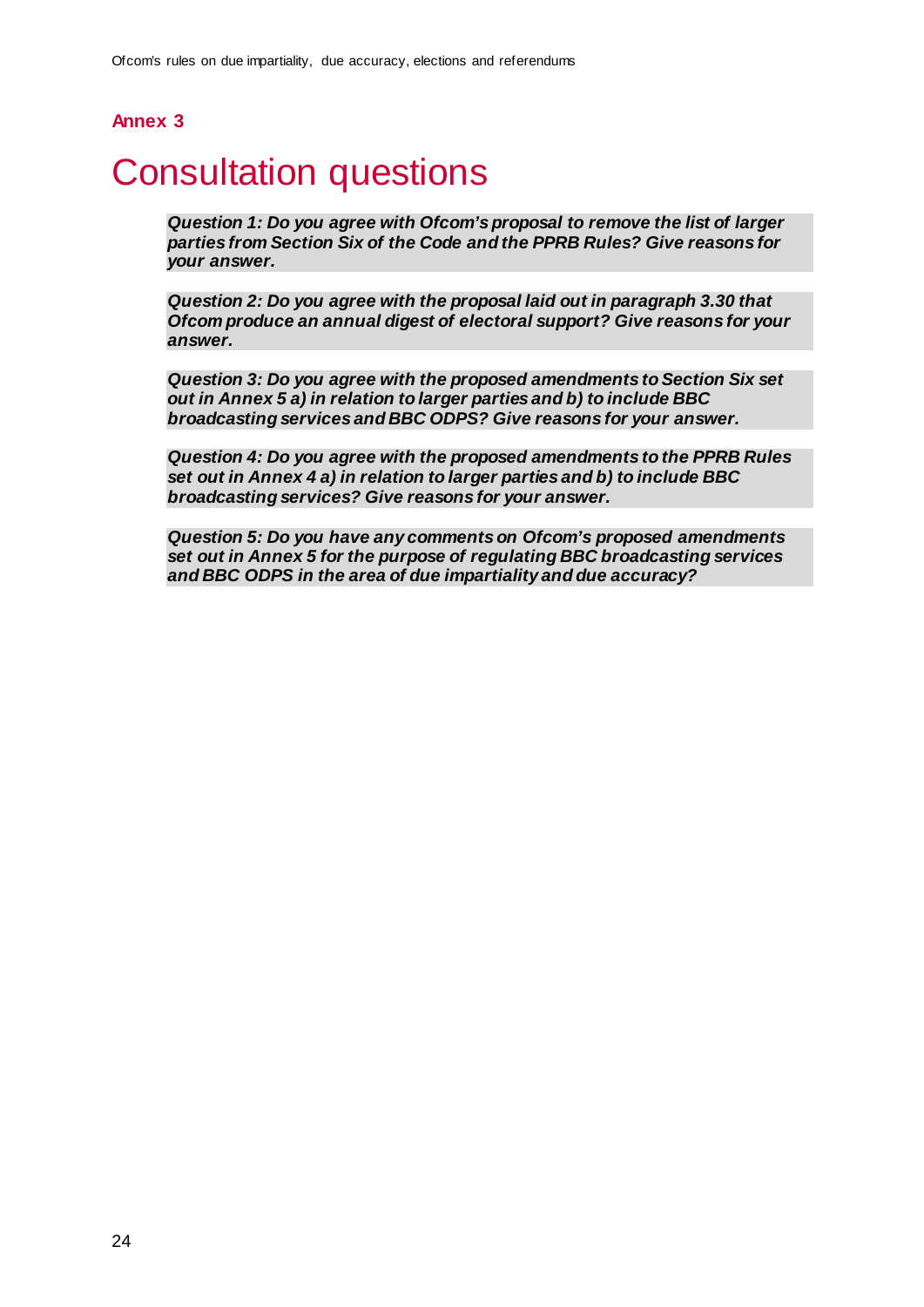## **Annex 3**

# <span id="page-26-0"></span>**Consultation questions**

*Question 1: Do you agree with Ofcom's proposal to remove the list of larger parties from Section Six of the Code and the PPRB Rules? Give reasons for your answer.*

*Question 2: Do you agree with the proposal laid out in paragraph 3.30 that Ofcom produce an annual digest of electoral support? Give reasons for your answer.* 

*Question 3: Do you agree with the proposed amendments to Section Six set out in Annex 5 a) in relation to larger parties and b) to include BBC broadcasting services and BBC ODPS? Give reasons for your answer.*

*Question 4: Do you agree with the proposed amendments to the PPRB Rules set out in Annex 4 a) in relation to larger parties and b) to include BBC broadcasting services? Give reasons for your answer.*

*Question 5: Do you have any comments on Ofcom's proposed amendments set out in Annex 5 for the purpose of regulating BBC broadcasting services and BBC ODPS in the area of due impartiality and due accuracy?*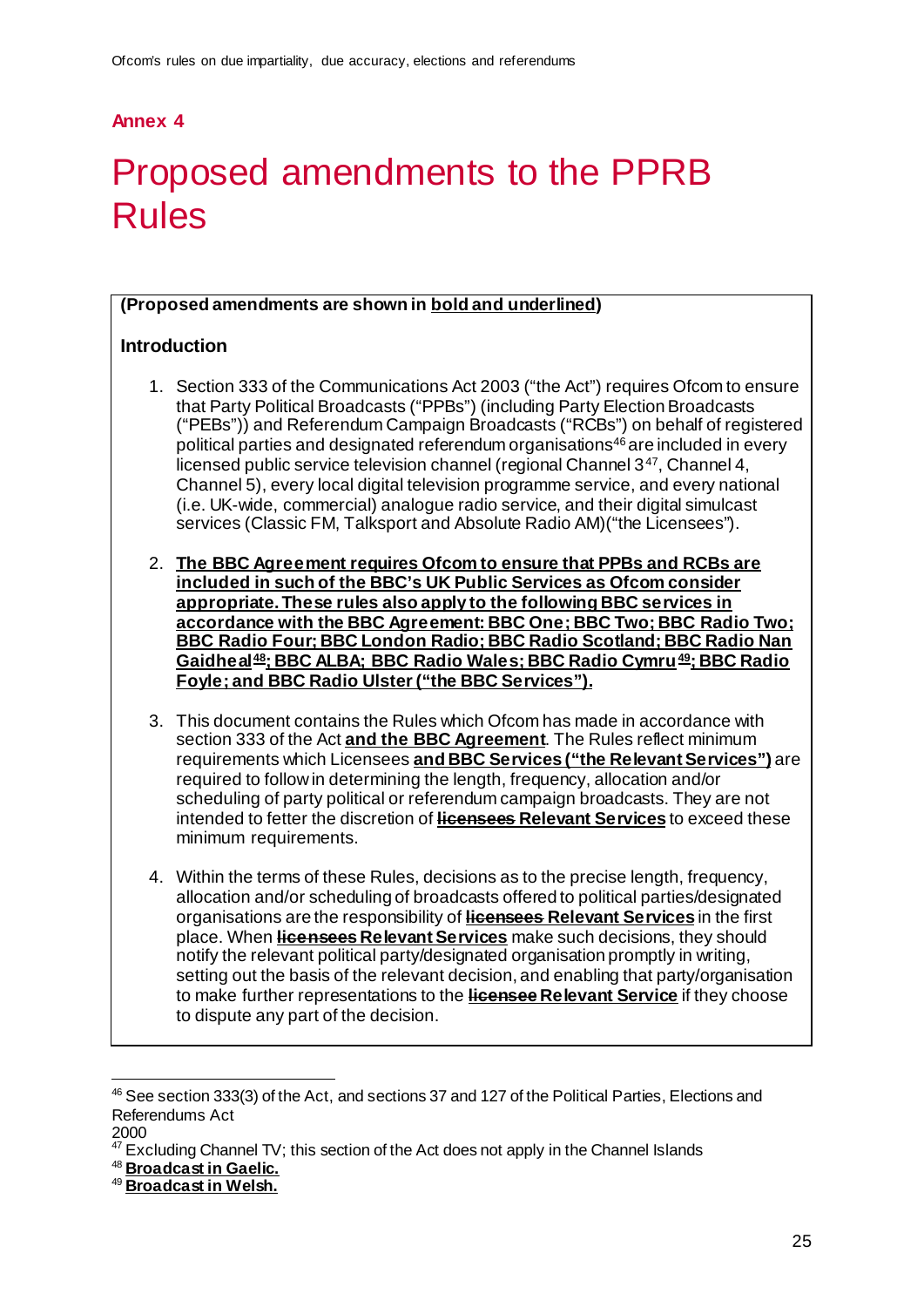# **Annex 4**

# <span id="page-27-0"></span>4 Proposed amendments to the PPRB Rules

### **(Proposed amendments are shown in bold and underlined)**

## **Introduction**

- 1. Section 333 of the Communications Act 2003 ("the Act") requires Ofcom to ensure that Party Political Broadcasts ("PPBs") (including Party Election Broadcasts ("PEBs")) and Referendum Campaign Broadcasts ("RCBs") on behalf of registered political parties and designated referendum organisations<sup>46</sup> are included in every licensed public service television channel (regional Channel 3<sup>[47](#page-27-2)</sup>, Channel 4, Channel 5), every local digital television programme service, and every national (i.e. UK-wide, commercial) analogue radio service, and their digital simulcast services (Classic FM, Talksport and Absolute Radio AM)("the Licensees").
- 2. **The BBC Agreement requires Ofcom to ensure that PPBs and RCBs are included in such of the BBC's UK Public Services as Ofcom consider appropriate. These rules also apply to the following BBC services in accordance with the BBC Agreement: BBC One; BBC Two; BBC Radio Two; BBC Radio Four; BBC London Radio; BBC Radio Scotland; BBC Radio Nan Gaidheal[48](#page-27-3); BBC ALBA; BBC Radio Wales; BBC Radio Cymru[49;](#page-27-4) BBC Radio Foyle; and BBC Radio Ulster ("the BBC Services").**
- 3. This document contains the Rules which Ofcom has made in accordance with section 333 of the Act **and the BBC Agreement**. The Rules reflect minimum requirements which Licensees **and BBC Services ("the Relevant Services")** are required to follow in determining the length, frequency, allocation and/or scheduling of party political or referendum campaign broadcasts. They are not intended to fetter the discretion of **licensees Relevant Services** to exceed these minimum requirements.
- 4. Within the terms of these Rules, decisions as to the precise length, frequency, allocation and/or scheduling of broadcasts offered to political parties/designated organisations are the responsibility of **licensees Relevant Services** in the first place. When **licensees Relevant Services** make such decisions, they should notify the relevant political party/designated organisation promptly in writing, setting out the basis of the relevant decision, and enabling that party/organisation to make further representations to the **licensee Relevant Service** if they choose to dispute any part of the decision.

<span id="page-27-3"></span><sup>48</sup> **Broadcast in Gaelic.**

<span id="page-27-1"></span> <sup>46</sup> See section 333(3) of the Act, and sections 37 and 127 of the Political Parties, Elections and Referendums Act

<sup>2000</sup>

<span id="page-27-2"></span> $47$  Excluding Channel TV; this section of the Act does not apply in the Channel Islands

<span id="page-27-4"></span><sup>49</sup> **Broadcast in Welsh.**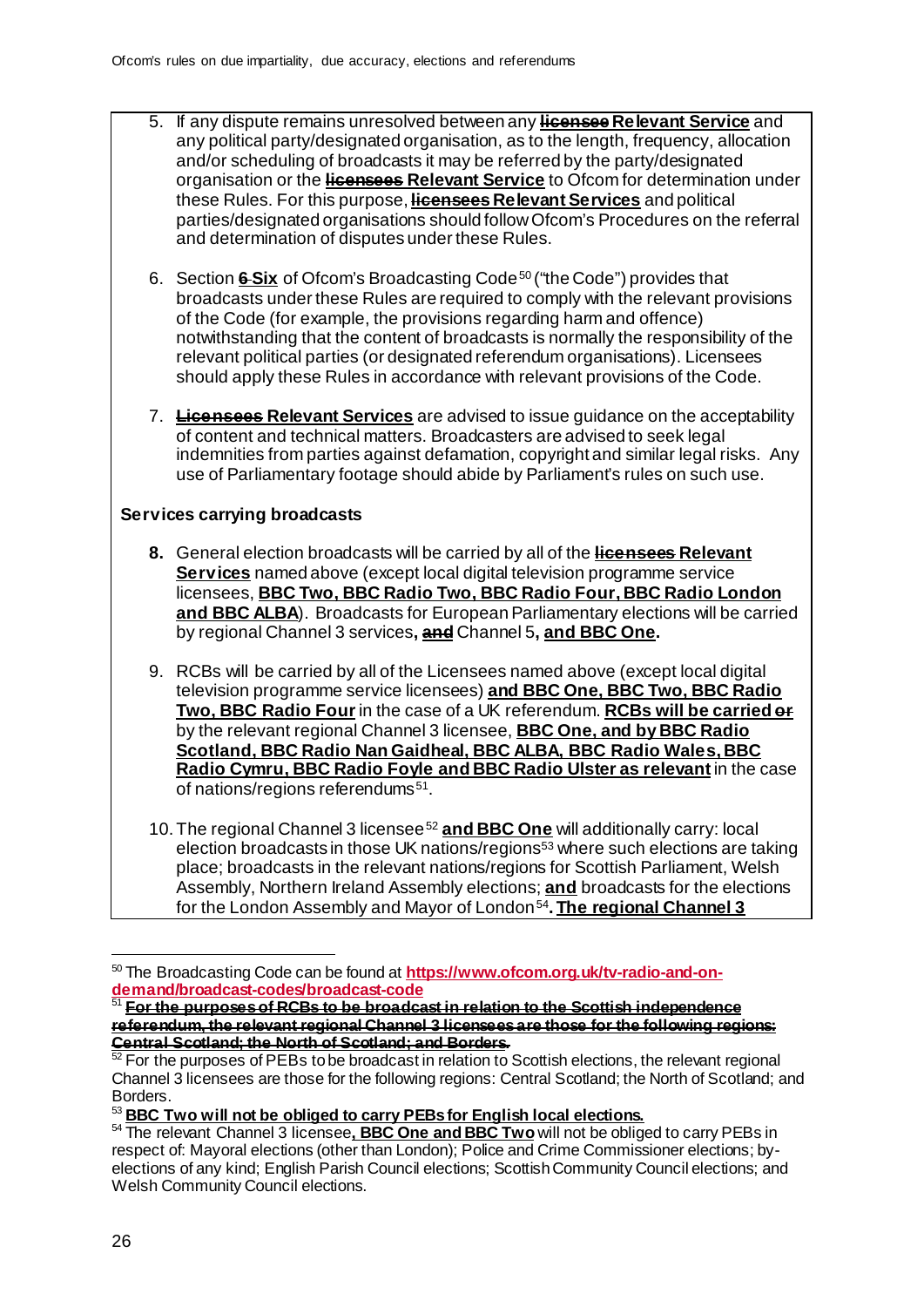- 5. If any dispute remains unresolved between any **licensee Relevant Service** and any political party/designated organisation, as to the length, frequency, allocation and/or scheduling of broadcasts it may be referred by the party/designated organisation or the **licensees Relevant Service** to Ofcom for determination under these Rules. For this purpose, **licensees Relevant Services** and political parties/designated organisations should follow Ofcom's Procedures on the referral and determination of disputes under these Rules.
- 6. Section **6 Six** of Ofcom's Broadcasting Code[50](#page-28-0) ("the Code") provides that broadcasts under these Rules are required to comply with the relevant provisions of the Code (for example, the provisions regarding harm and offence) notwithstanding that the content of broadcasts is normally the responsibility of the relevant political parties (or designated referendum organisations). Licensees should apply these Rules in accordance with relevant provisions of the Code.
- 7. **Licensees Relevant Services** are advised to issue guidance on the acceptability of content and technical matters. Broadcasters are advised to seek legal indemnities from parties against defamation, copyright and similar legal risks. Any use of Parliamentary footage should abide by Parliament's rules on such use.

## **Services carrying broadcasts**

- **8.** General election broadcasts will be carried by all of the **licensees Relevant Services** named above (except local digital television programme service licensees, **BBC Two, BBC Radio Two, BBC Radio Four, BBC Radio London and BBC ALBA**). Broadcasts for European Parliamentary elections will be carried by regional Channel 3 services**, and** Channel 5**, and BBC One.**
- 9. RCBs will be carried by all of the Licensees named above (except local digital television programme service licensees) **and BBC One, BBC Two, BBC Radio Two, BBC Radio Four**in the case of a UK referendum. **RCBs will be carried or** by the relevant regional Channel 3 licensee, **BBC One, and by BBC Radio Scotland, BBC Radio Nan Gaidheal, BBC ALBA, BBC Radio Wales, BBC Radio Cymru, BBC Radio Foyle and BBC Radio Ulster as relevant** in the case of nations/regions referendums<sup>[51](#page-28-1)</sup>.
- 10.The regional Channel 3 licensee[52](#page-28-2) **and BBC One** will additionally carry: local election broadcasts in those UK nations/regions[53](#page-28-3) where such elections are taking place; broadcasts in the relevant nations/regions for Scottish Parliament, Welsh Assembly, Northern Ireland Assembly elections; **and** broadcasts for the elections for the London Assembly and Mayor of London<sup>[54](#page-28-4)</sup>. The regional Channel 3

<span id="page-28-1"></span><sup>51</sup> **For the purposes of RCBs to be broadcast in relation to the Scottish independence referendum, the relevant regional Channel 3 licensees are those for the following regions:** 

<span id="page-28-0"></span><sup>50</sup> The Broadcasting Code can be found at **[https://www.ofcom.org.uk/tv-radio-and-on](https://www.ofcom.org.uk/tv-radio-and-on-demand/broadcast-codes/broadcast-code)[demand/broadcast-codes/broadcast-code](https://www.ofcom.org.uk/tv-radio-and-on-demand/broadcast-codes/broadcast-code)**

<span id="page-28-2"></span><sup>&</sup>lt;sup>52</sup> For the purposes of PEBs to be broadcast in relation to Scottish elections, the relevant regional Channel 3 licensees are those for the following regions: Central Scotland; the North of Scotland; and Borders.

<span id="page-28-3"></span><sup>53</sup> **BBC Two will not be obliged to carry PEBs for English local elections.**

<span id="page-28-4"></span><sup>54</sup> The relevant Channel 3 licensee**, BBC One and BBC Two** will not be obliged to carry PEBs in respect of: Mayoral elections (other than London); Police and Crime Commissioner elections; byelections of any kind; English Parish Council elections; Scottish Community Council elections; and Welsh Community Council elections.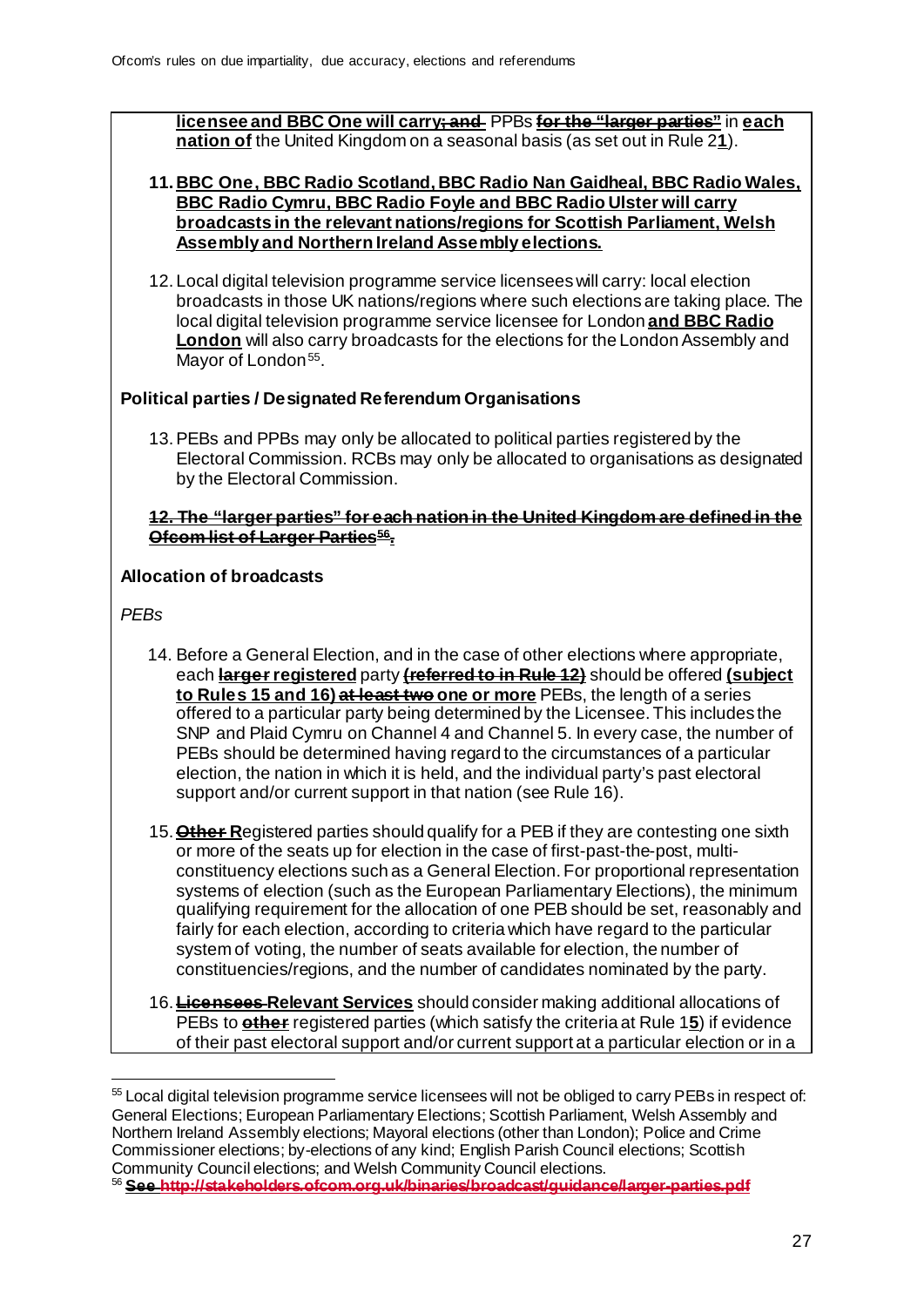**licensee and BBC One will carry; and** PPBs **for the "larger parties"** in **each nation of** the United Kingdom on a seasonal basis (as set out in Rule 2**1**).

#### **11. BBC One, BBC Radio Scotland, BBC Radio Nan Gaidheal, BBC Radio Wales, BBC Radio Cymru, BBC Radio Foyle and BBC Radio Ulster will carry broadcasts in the relevant nations/regions for Scottish Parliament, Welsh Assembly and Northern Ireland Assembly elections.**

12. Local digital television programme service licensees will carry: local election broadcasts in those UK nations/regions where such elections are taking place. The local digital television programme service licensee for London **and BBC Radio London** will also carry broadcasts for the elections for the London Assembly and Mayor of London<sup>[55](#page-29-0)</sup>.

### **Political parties / Designated Referendum Organisations**

13.PEBs and PPBs may only be allocated to political parties registered by the Electoral Commission. RCBs may only be allocated to organisations as designated by the Electoral Commission.

#### **12. The "larger parties" for each nation in the United Kingdom are defined in the Ofcom list of Larger Parties[56](#page-29-1).**

### **Allocation of broadcasts**

*PEBs*

- 14. Before a General Election, and in the case of other elections where appropriate, each **largerregistered** party **(referred to in Rule 12)** should be offered **(subject to Rules 15 and 16) at least two one or more** PEBs, the length of a series offered to a particular party being determined by the Licensee. This includes the SNP and Plaid Cymru on Channel 4 and Channel 5. In every case, the number of PEBs should be determined having regard to the circumstances of a particular election, the nation in which it is held, and the individual party's past electoral support and/or current support in that nation (see Rule 16).
- 15.**Other R**egistered parties should qualify for a PEB if they are contesting one sixth or more of the seats up for election in the case of first-past-the-post, multiconstituency elections such as a General Election. For proportional representation systems of election (such as the European Parliamentary Elections), the minimum qualifying requirement for the allocation of one PEB should be set, reasonably and fairly for each election, according to criteria which have regard to the particular system of voting, the number of seats available for election, the number of constituencies/regions, and the number of candidates nominated by the party.
- 16.**Licensees Relevant Services** should consider making additional allocations of PEBs to **other** registered parties (which satisfy the criteria at Rule 1**5**) if evidence of their past electoral support and/or current support at a particular election or in a

<span id="page-29-0"></span><sup>&</sup>lt;sup>55</sup> Local digital television programme service licensees will not be obliged to carry PEBs in respect of: General Elections; European Parliamentary Elections; Scottish Parliament, Welsh Assembly and Northern Ireland Assembly elections; Mayoral elections (other than London); Police and Crime Commissioner elections; by-elections of any kind; English Parish Council elections; Scottish Community Council elections; and Welsh Community Council elections.

<span id="page-29-1"></span><sup>56</sup> **Se[e http://stakeholders.ofcom.org.uk/binaries/broadcast/guidance/larger-parties.pdf](http://stakeholders.ofcom.org.uk/binaries/broadcast/guidance/larger-parties.pdf)**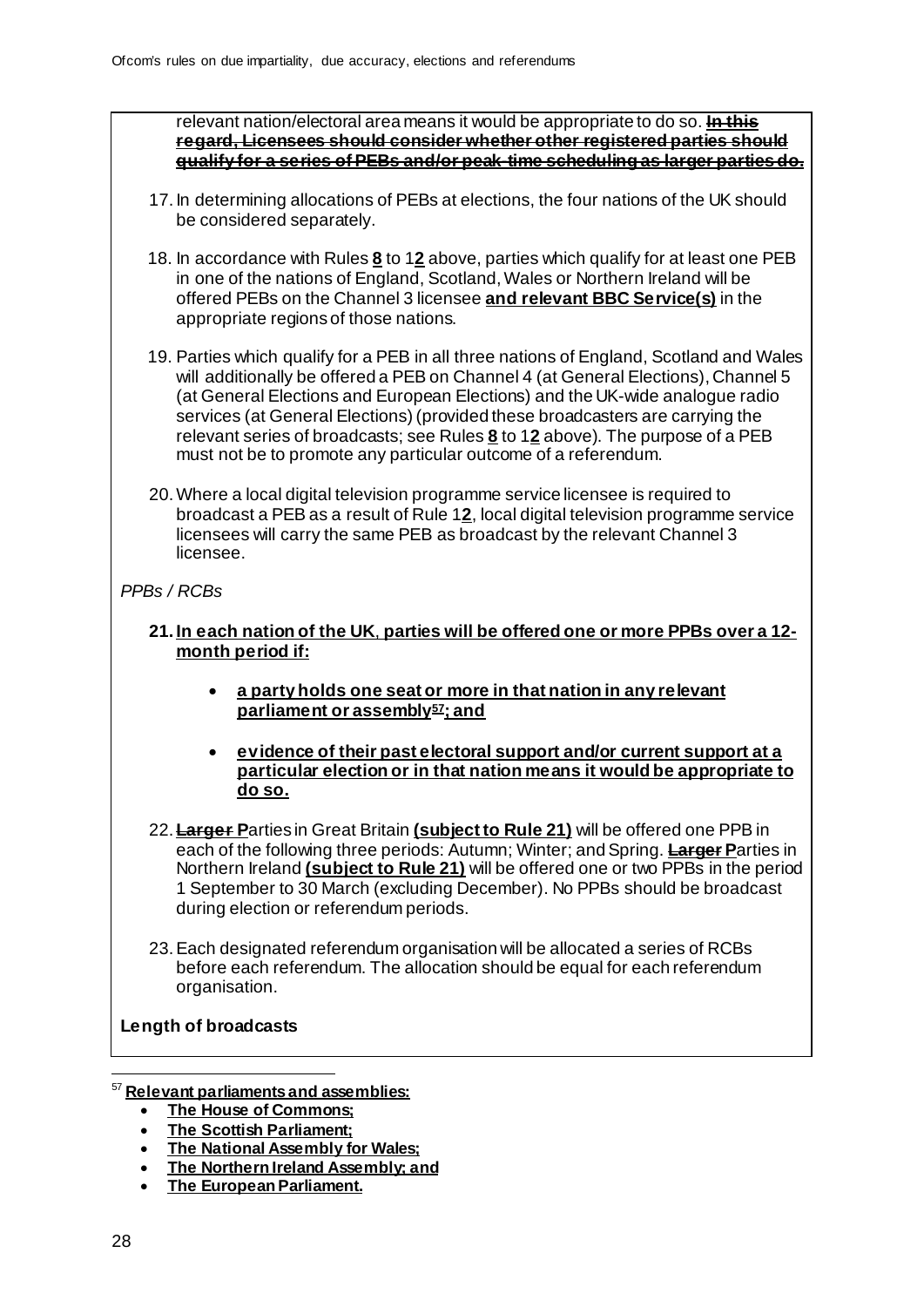relevant nation/electoral area means it would be appropriate to do so. **In this regard, Licensees should consider whether other registered parties should qualify for a series of PEBs and/or peak-time scheduling as larger parties do.**

- 17. In determining allocations of PEBs at elections, the four nations of the UK should be considered separately.
- 18. In accordance with Rules **8** to 1**2** above, parties which qualify for at least one PEB in one of the nations of England, Scotland, Wales or Northern Ireland will be offered PEBs on the Channel 3 licensee **and relevant BBC Service(s)** in the appropriate regions of those nations.
- 19. Parties which qualify for a PEB in all three nations of England, Scotland and Wales will additionally be offered a PEB on Channel 4 (at General Elections), Channel 5 (at General Elections and European Elections) and the UK-wide analogue radio services (at General Elections) (provided these broadcasters are carrying the relevant series of broadcasts; see Rules **8** to 1**2** above). The purpose of a PEB must not be to promote any particular outcome of a referendum.
- 20.Where a local digital television programme service licensee is required to broadcast a PEB as a result of Rule 1**2**, local digital television programme service licensees will carry the same PEB as broadcast by the relevant Channel 3 licensee.

### *PPBs / RCBs*

- **21. In each nation of the UK**, **parties will be offered one or more PPBs over a 12 month period if:**
	- **a party holds one seat or more in that nation in any relevant parliament or assembl[y57](#page-30-0); and**
	- **evidence of their past electoral support and/or current support at a particular election or in that nation means it would be appropriate to do so.**
- 22.**Larger P**arties in Great Britain **(subject to Rule 21)** will be offered one PPB in each of the following three periods: Autumn; Winter; and Spring. **Larger P**arties in Northern Ireland **(subject to Rule 21)** will be offered one or two PPBs in the period 1 September to 30 March (excluding December). No PPBs should be broadcast during election or referendum periods.
- 23.Each designated referendum organisation will be allocated a series of RCBs before each referendum. The allocation should be equal for each referendum organisation.

#### **Length of broadcasts**

- <span id="page-30-0"></span> 57 **Relevant parliaments and assemblies:**
	- **The House of Commons;**
	- **The Scottish Parliament;**
	- **The National Assembly for Wales;**
	- **The Northern Ireland Assembly; and**
	- **The European Parliament.**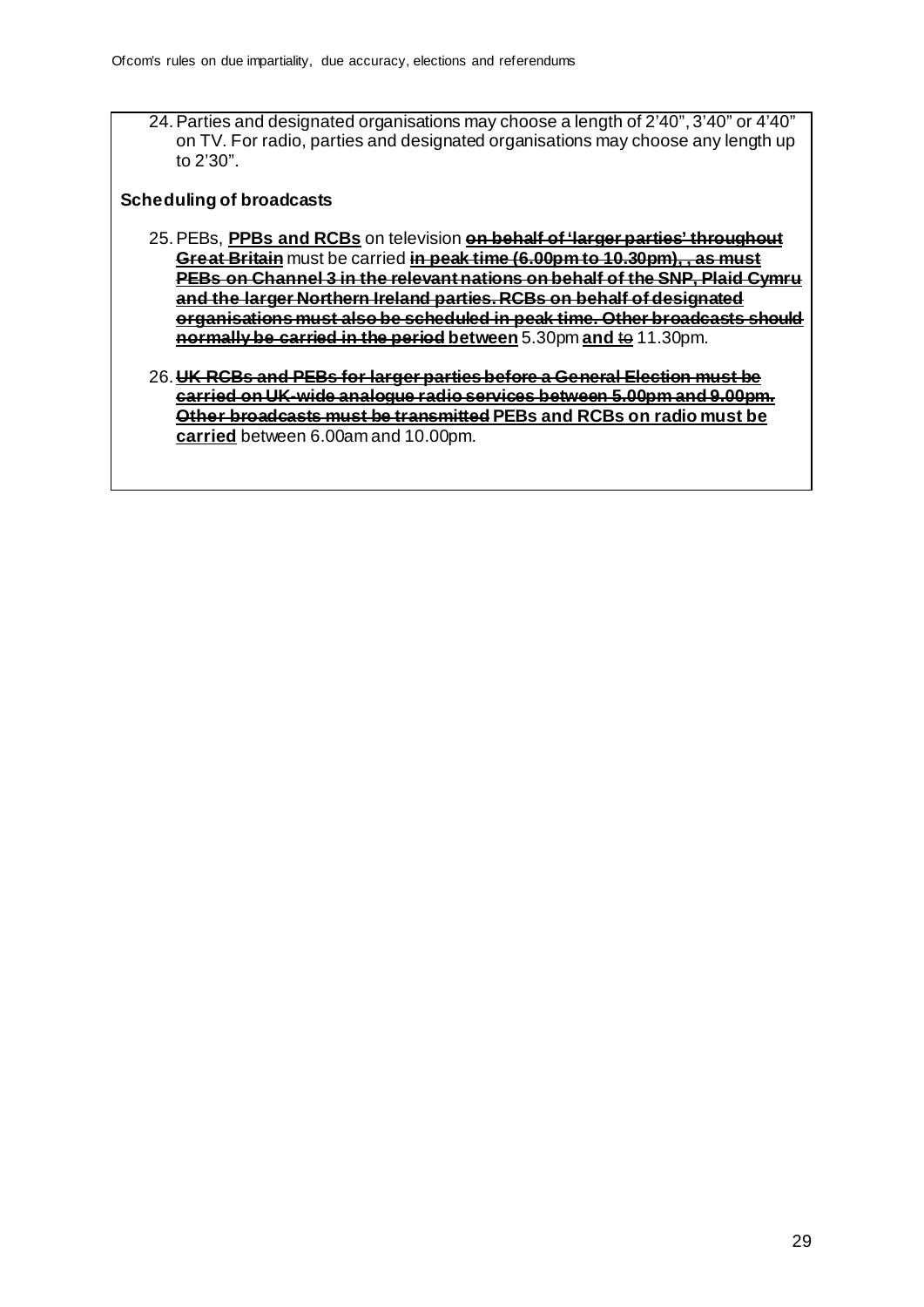24.Parties and designated organisations may choose a length of 2'40", 3'40" or 4'40" on TV. For radio, parties and designated organisations may choose any length up to 2'30".

### **Scheduling of broadcasts**

- 25.PEBs, **PPBs and RCBs** on television **on behalf of 'larger parties' throughout Great Britain** must be carried **in peak time (6.00pm to 10.30pm), , as must PEBs on Channel 3 in the relevant nations on behalf of the SNP, Plaid Cymru and the larger Northern Ireland parties. RCBs on behalf of designated organisations must also be scheduled in peak time. Other broadcasts should normally be carried in the period between** 5.30pm **and** to 11.30pm.
- 26. **UK RCBs and PEBs for larger parties before a General Election must be carried on UK-wide analogue radio services between 5.00pm and 9.00pm. Other broadcasts must be transmitted PEBs and RCBs on radio must be carried** between 6.00am and 10.00pm.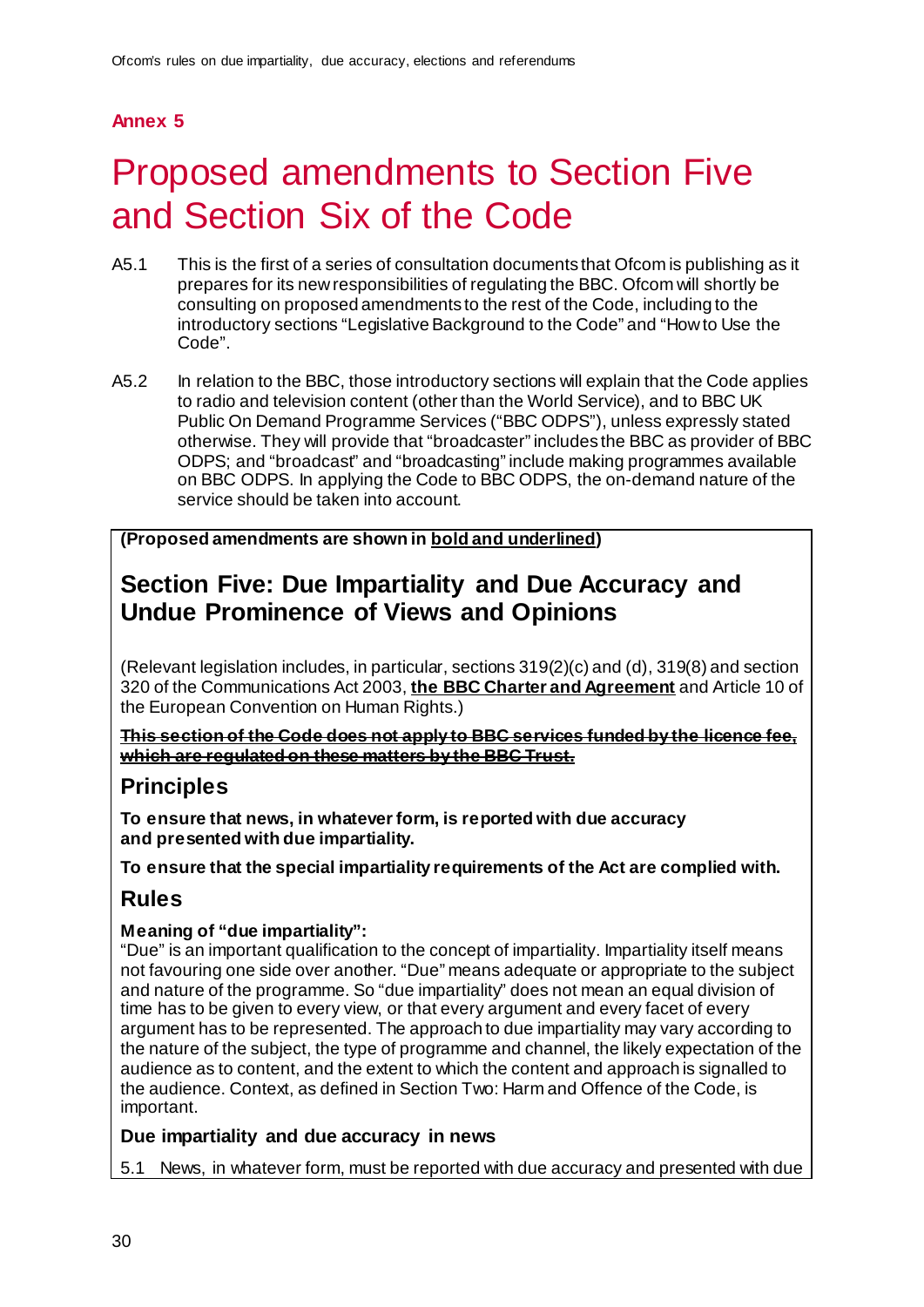## **Annex 5**

# <span id="page-32-0"></span>5 Proposed amendments to Section Five and Section Six of the Code

- A5.1 This is the first of a series of consultation documents that Ofcom is publishing as it prepares for its new responsibilities of regulating the BBC. Ofcom will shortly be consulting on proposed amendments to the rest of the Code, including to the introductory sections "Legislative Background to the Code" and "How to Use the Code".
- A5.2 In relation to the BBC, those introductory sections will explain that the Code applies to radio and television content (other than the World Service), and to BBC UK Public On Demand Programme Services ("BBC ODPS"), unless expressly stated otherwise. They will provide that "broadcaster" includes the BBC as provider of BBC ODPS; and "broadcast" and "broadcasting" include making programmes available on BBC ODPS. In applying the Code to BBC ODPS, the on-demand nature of the service should be taken into account.

**(Proposed amendments are shown in bold and underlined)**

# **Section Five: Due Impartiality and Due Accuracy and Undue Prominence of Views and Opinions**

(Relevant legislation includes, in particular, sections 319(2)(c) and (d), 319(8) and section 320 of the Communications Act 2003, **the BBC Charter and Agreement** and Article 10 of the European Convention on Human Rights.)

**This section of the Code does not apply to BBC services funded by the licence fee, which are regulated on these matters by the BBC Trust.**

## **Principles**

**To ensure that news, in whatever form, is reported with due accuracy and presented with due impartiality.**

**To ensure that the special impartiality requirements of the Act are complied with.**

## **Rules**

## **Meaning of "due impartiality":**

"Due" is an important qualification to the concept of impartiality. Impartiality itself means not favouring one side over another. "Due" means adequate or appropriate to the subject and nature of the programme. So "due impartiality" does not mean an equal division of time has to be given to every view, or that every argument and every facet of every argument has to be represented. The approach to due impartiality may vary according to the nature of the subject, the type of programme and channel, the likely expectation of the audience as to content, and the extent to which the content and approach is signalled to the audience. Context, as defined in Section Two: Harm and Offence of the Code, is important.

**Due impartiality and due accuracy in news** 

5.1 News, in whatever form, must be reported with due accuracy and presented with due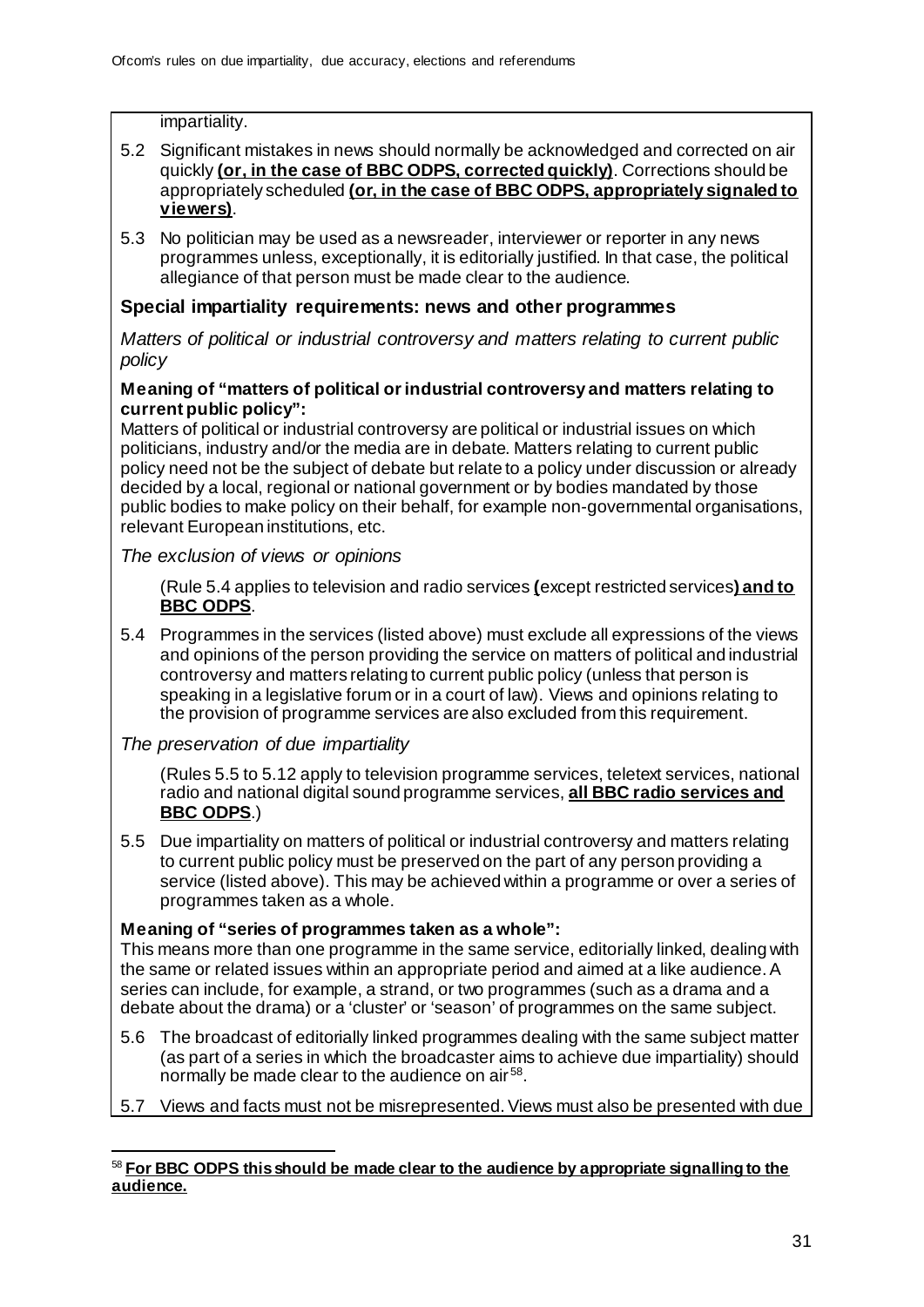impartiality.

- 5.2 Significant mistakes in news should normally be acknowledged and corrected on air quickly **(or, in the case of BBC ODPS, corrected quickly)**. Corrections should be appropriately scheduled **(or, in the case of BBC ODPS, appropriately signaled to viewers)**.
- 5.3 No politician may be used as a newsreader, interviewer or reporter in any news programmes unless, exceptionally, it is editorially justified. In that case, the political allegiance of that person must be made clear to the audience.

## **Special impartiality requirements: news and other programmes**

*Matters of political or industrial controversy and matters relating to current public policy*

### **Meaning of "matters of political or industrial controversy and matters relating to current public policy":**

Matters of political or industrial controversy are political or industrial issues on which politicians, industry and/or the media are in debate. Matters relating to current public policy need not be the subject of debate but relate to a policy under discussion or already decided by a local, regional or national government or by bodies mandated by those public bodies to make policy on their behalf, for example non-governmental organisations, relevant European institutions, etc.

*The exclusion of views or opinions*

(Rule 5.4 applies to television and radio services **(**except restricted services**) and to BBC ODPS**.

5.4 Programmes in the services (listed above) must exclude all expressions of the views and opinions of the person providing the service on matters of political and industrial controversy and matters relating to current public policy (unless that person is speaking in a legislative forum or in a court of law). Views and opinions relating to the provision of programme services are also excluded from this requirement.

*The preservation of due impartiality* 

(Rules 5.5 to 5.12 apply to television programme services, teletext services, national radio and national digital sound programme services, **all BBC radio services and BBC ODPS**.)

5.5 Due impartiality on matters of political or industrial controversy and matters relating to current public policy must be preserved on the part of any person providing a service (listed above). This may be achieved within a programme or over a series of programmes taken as a whole.

## **Meaning of "series of programmes taken as a whole":**

This means more than one programme in the same service, editorially linked, dealing with the same or related issues within an appropriate period and aimed at a like audience. A series can include, for example, a strand, or two programmes (such as a drama and a debate about the drama) or a 'cluster' or 'season' of programmes on the same subject.

- 5.6 The broadcast of editorially linked programmes dealing with the same subject matter (as part of a series in which the broadcaster aims to achieve due impartiality) should normally be made clear to the audience on air<sup>58</sup>.
- 5.7 Views and facts must not be misrepresented. Views must also be presented with due

<span id="page-33-0"></span> <sup>58</sup> **For BBC ODPS this should be made clear to the audience by appropriate signalling to the audience.**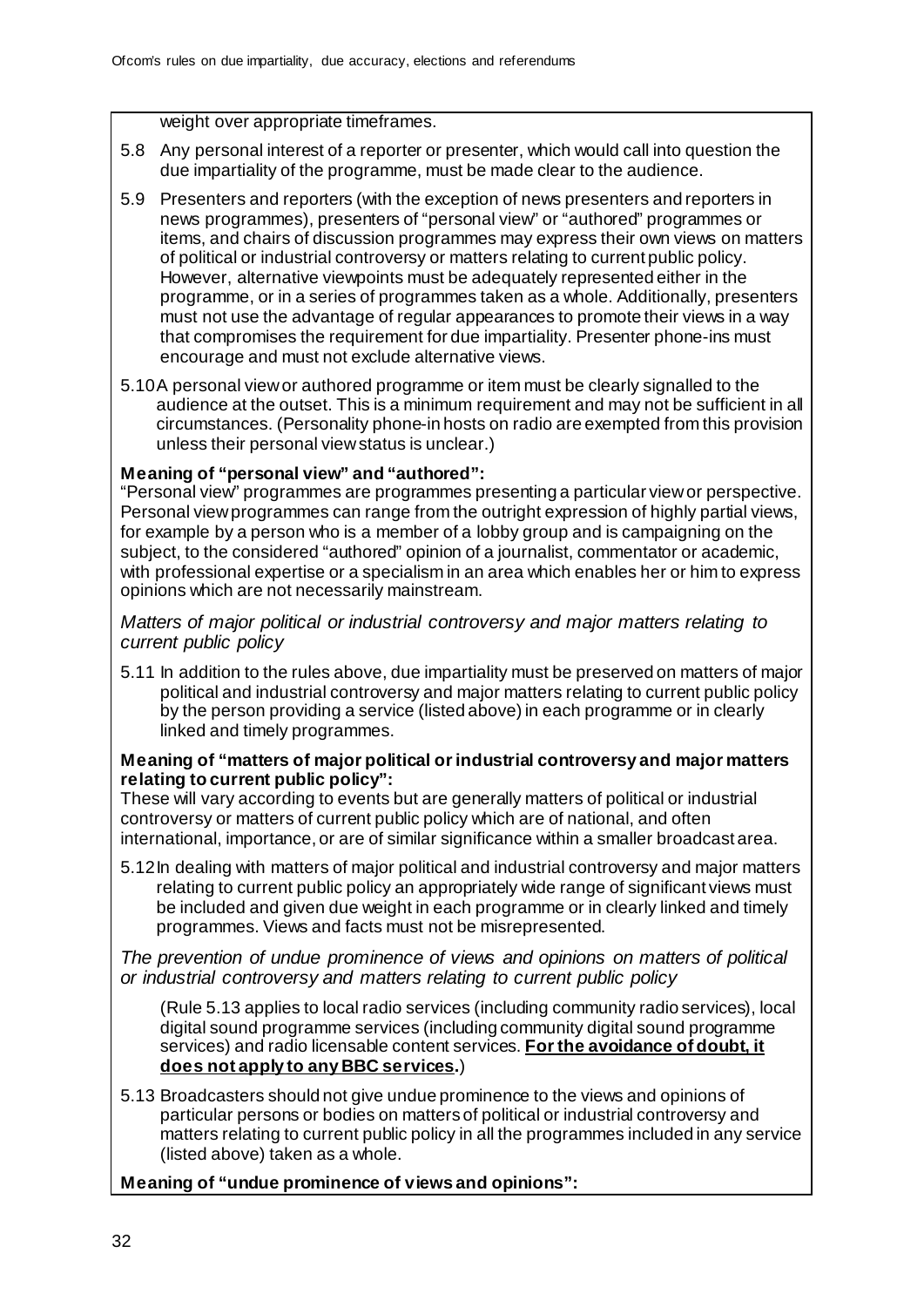weight over appropriate timeframes.

- 5.8 Any personal interest of a reporter or presenter, which would call into question the due impartiality of the programme, must be made clear to the audience.
- 5.9 Presenters and reporters (with the exception of news presenters and reporters in news programmes), presenters of "personal view" or "authored" programmes or items, and chairs of discussion programmes may express their own views on matters of political or industrial controversy or matters relating to current public policy. However, alternative viewpoints must be adequately represented either in the programme, or in a series of programmes taken as a whole. Additionally, presenters must not use the advantage of regular appearances to promote their views in a way that compromises the requirement for due impartiality. Presenter phone-ins must encourage and must not exclude alternative views.
- 5.10A personal view or authored programme or item must be clearly signalled to the audience at the outset. This is a minimum requirement and may not be sufficient in all circumstances. (Personality phone-in hosts on radio are exempted from this provision unless their personal view status is unclear.)

## **Meaning of "personal view" and "authored":**

"Personal view" programmes are programmes presenting a particular view or perspective. Personal view programmes can range from the outright expression of highly partial views, for example by a person who is a member of a lobby group and is campaigning on the subject, to the considered "authored" opinion of a journalist, commentator or academic, with professional expertise or a specialism in an area which enables her or him to express opinions which are not necessarily mainstream.

### *Matters of major political or industrial controversy and major matters relating to current public policy*

5.11 In addition to the rules above, due impartiality must be preserved on matters of major political and industrial controversy and major matters relating to current public policy by the person providing a service (listed above) in each programme or in clearly linked and timely programmes.

#### **Meaning of "matters of major political or industrial controversy and major matters relating to current public policy":**

These will vary according to events but are generally matters of political or industrial controversy or matters of current public policy which are of national, and often international, importance, or are of similar significance within a smaller broadcast area.

5.12In dealing with matters of major political and industrial controversy and major matters relating to current public policy an appropriately wide range of significant views must be included and given due weight in each programme or in clearly linked and timely programmes. Views and facts must not be misrepresented.

*The prevention of undue prominence of views and opinions on matters of political or industrial controversy and matters relating to current public policy* 

(Rule 5.13 applies to local radio services (including community radio services), local digital sound programme services (including community digital sound programme services) and radio licensable content services. **For the avoidance of doubt, it does not apply to any BBC services.**)

5.13 Broadcasters should not give undue prominence to the views and opinions of particular persons or bodies on matters of political or industrial controversy and matters relating to current public policy in all the programmes included in any service (listed above) taken as a whole.

#### **Meaning of "undue prominence of views and opinions":**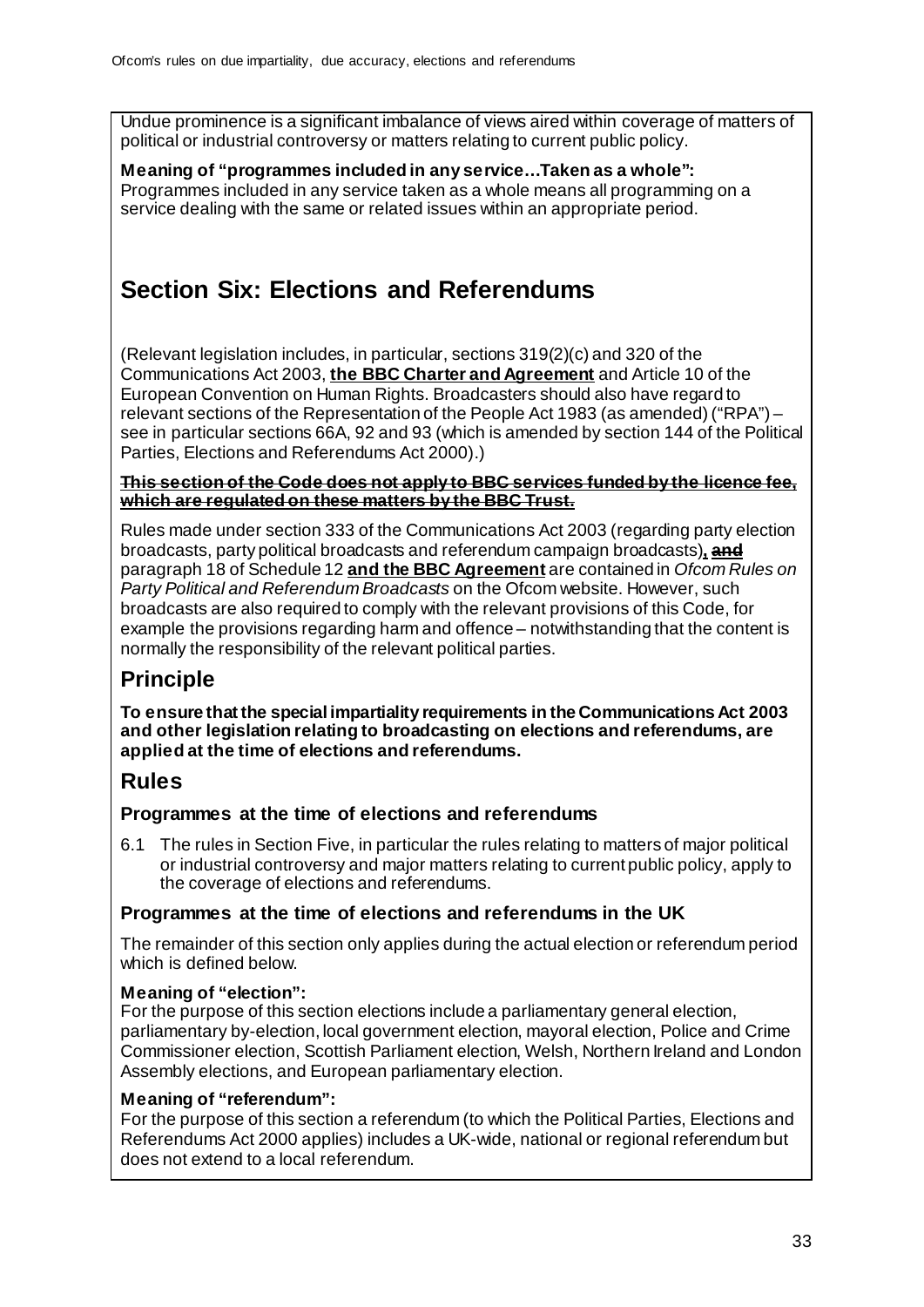Undue prominence is a significant imbalance of views aired within coverage of matters of political or industrial controversy or matters relating to current public policy.

#### **Meaning of "programmes included in any service…Taken as a whole":** Programmes included in any service taken as a whole means all programming on a service dealing with the same or related issues within an appropriate period.

# **Section Six: Elections and Referendums**

(Relevant legislation includes, in particular, sections 319(2)(c) and 320 of the Communications Act 2003, **the BBC Charter and Agreement** and Article 10 of the European Convention on Human Rights. Broadcasters should also have regard to relevant sections of the Representation of the People Act 1983 (as amended) ("RPA") – see in particular sections 66A, 92 and 93 (which is amended by section 144 of the Political Parties, Elections and Referendums Act 2000).)

#### **This section of the Code does not apply to BBC services funded by the licence fee, which are regulated on these matters by the BBC Trust.**

Rules made under section 333 of the Communications Act 2003 (regarding party election broadcasts, party political broadcasts and referendum campaign broadcasts)**, and** paragraph 18 of Schedule 12 **and the BBC Agreement** are contained in *Ofcom Rules on Party Political and Referendum Broadcasts* on the Ofcom website. However, such broadcasts are also required to comply with the relevant provisions of this Code, for example the provisions regarding harm and offence – notwithstanding that the content is normally the responsibility of the relevant political parties.

# **Principle**

**To ensure that the special impartiality requirements in the Communications Act 2003 and other legislation relating to broadcasting on elections and referendums, are applied at the time of elections and referendums.**

# **Rules**

## **Programmes at the time of elections and referendums**

6.1 The rules in Section Five, in particular the rules relating to matters of major political or industrial controversy and major matters relating to current public policy, apply to the coverage of elections and referendums.

## **Programmes at the time of elections and referendums in the UK**

The remainder of this section only applies during the actual election or referendum period which is defined below.

## **Meaning of "election":**

For the purpose of this section elections include a parliamentary general election, parliamentary by-election, local government election, mayoral election, Police and Crime Commissioner election, Scottish Parliament election, Welsh, Northern Ireland and London Assembly elections, and European parliamentary election.

## **Meaning of "referendum":**

For the purpose of this section a referendum (to which the Political Parties, Elections and Referendums Act 2000 applies) includes a UK-wide, national or regional referendum but does not extend to a local referendum.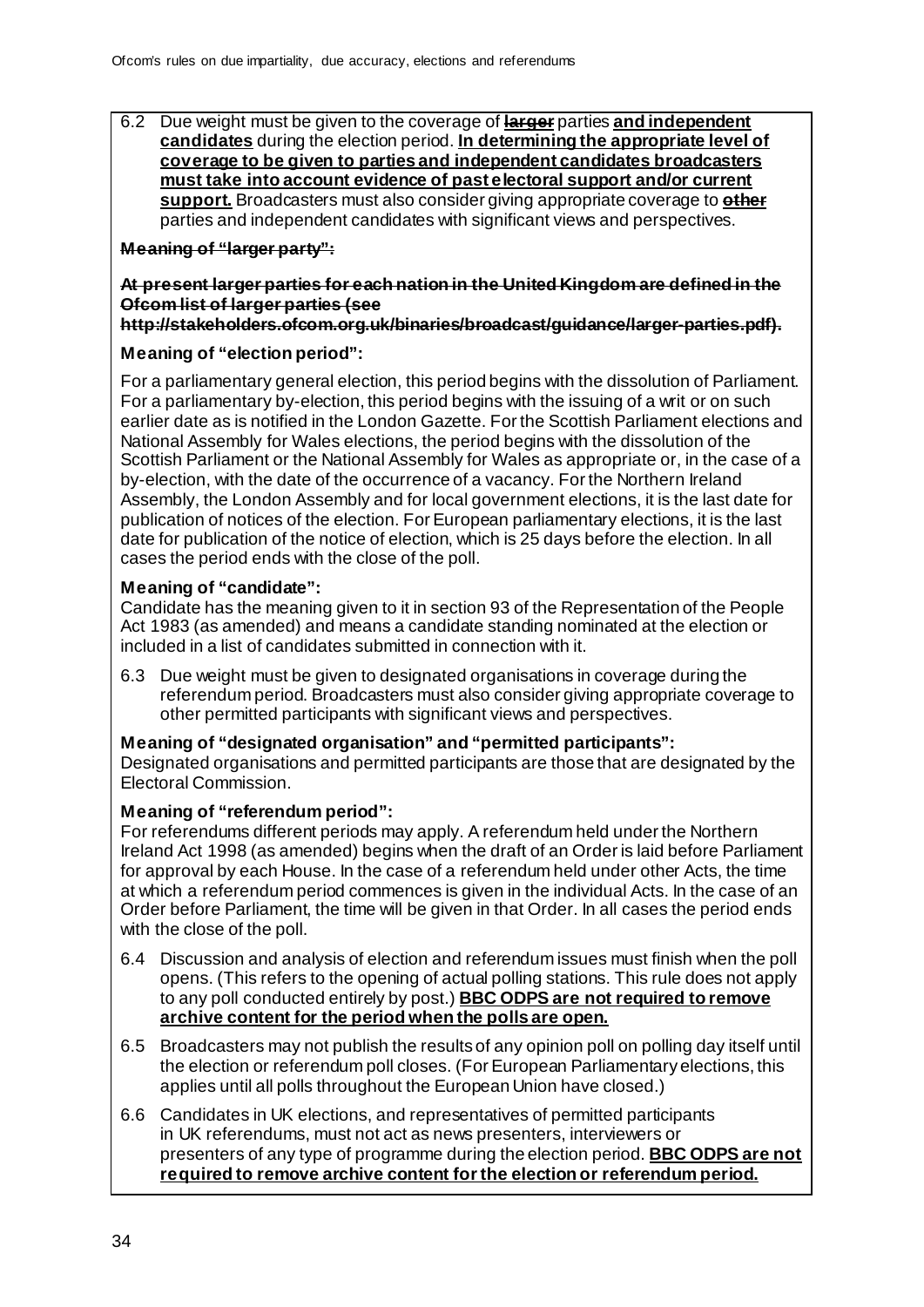6.2 Due weight must be given to the coverage of **larger** parties **and independent candidates** during the election period. **In determining the appropriate level of coverage to be given to parties and independent candidates broadcasters must take into account evidence of past electoral support and/or current support.** Broadcasters must also consider giving appropriate coverage to **other** parties and independent candidates with significant views and perspectives.

#### **Meaning of "larger party":**

#### **At present larger parties for each nation in the United Kingdom are defined in the Ofcom list of larger parties (see**

**http://stakeholders.ofcom.org.uk/binaries/broadcast/guidance/larger-parties.pdf).**

#### **Meaning of "election period":**

For a parliamentary general election, this period begins with the dissolution of Parliament. For a parliamentary by-election, this period begins with the issuing of a writ or on such earlier date as is notified in the London Gazette. For the Scottish Parliament elections and National Assembly for Wales elections, the period begins with the dissolution of the Scottish Parliament or the National Assembly for Wales as appropriate or, in the case of a by-election, with the date of the occurrence of a vacancy. For the Northern Ireland Assembly, the London Assembly and for local government elections, it is the last date for publication of notices of the election. For European parliamentary elections, it is the last date for publication of the notice of election, which is 25 days before the election. In all cases the period ends with the close of the poll.

#### **Meaning of "candidate":**

Candidate has the meaning given to it in section 93 of the Representation of the People Act 1983 (as amended) and means a candidate standing nominated at the election or included in a list of candidates submitted in connection with it.

6.3 Due weight must be given to designated organisations in coverage during the referendum period. Broadcasters must also consider giving appropriate coverage to other permitted participants with significant views and perspectives.

#### **Meaning of "designated organisation" and "permitted participants":**

Designated organisations and permitted participants are those that are designated by the Electoral Commission.

#### **Meaning of "referendum period":**

For referendums different periods may apply. A referendum held under the Northern Ireland Act 1998 (as amended) begins when the draft of an Order is laid before Parliament for approval by each House. In the case of a referendum held under other Acts, the time at which a referendum period commences is given in the individual Acts. In the case of an Order before Parliament, the time will be given in that Order. In all cases the period ends with the close of the poll.

- 6.4 Discussion and analysis of election and referendum issues must finish when the poll opens. (This refers to the opening of actual polling stations. This rule does not apply to any poll conducted entirely by post.) **BBC ODPS are not required to remove archive content for the period when the polls are open.**
- 6.5 Broadcasters may not publish the results of any opinion poll on polling day itself until the election or referendum poll closes. (For European Parliamentary elections, this applies until all polls throughout the European Union have closed.)
- 6.6 Candidates in UK elections, and representatives of permitted participants in UK referendums, must not act as news presenters, interviewers or presenters of any type of programme during the election period. **BBC ODPS are not required to remove archive content for the election or referendum period.**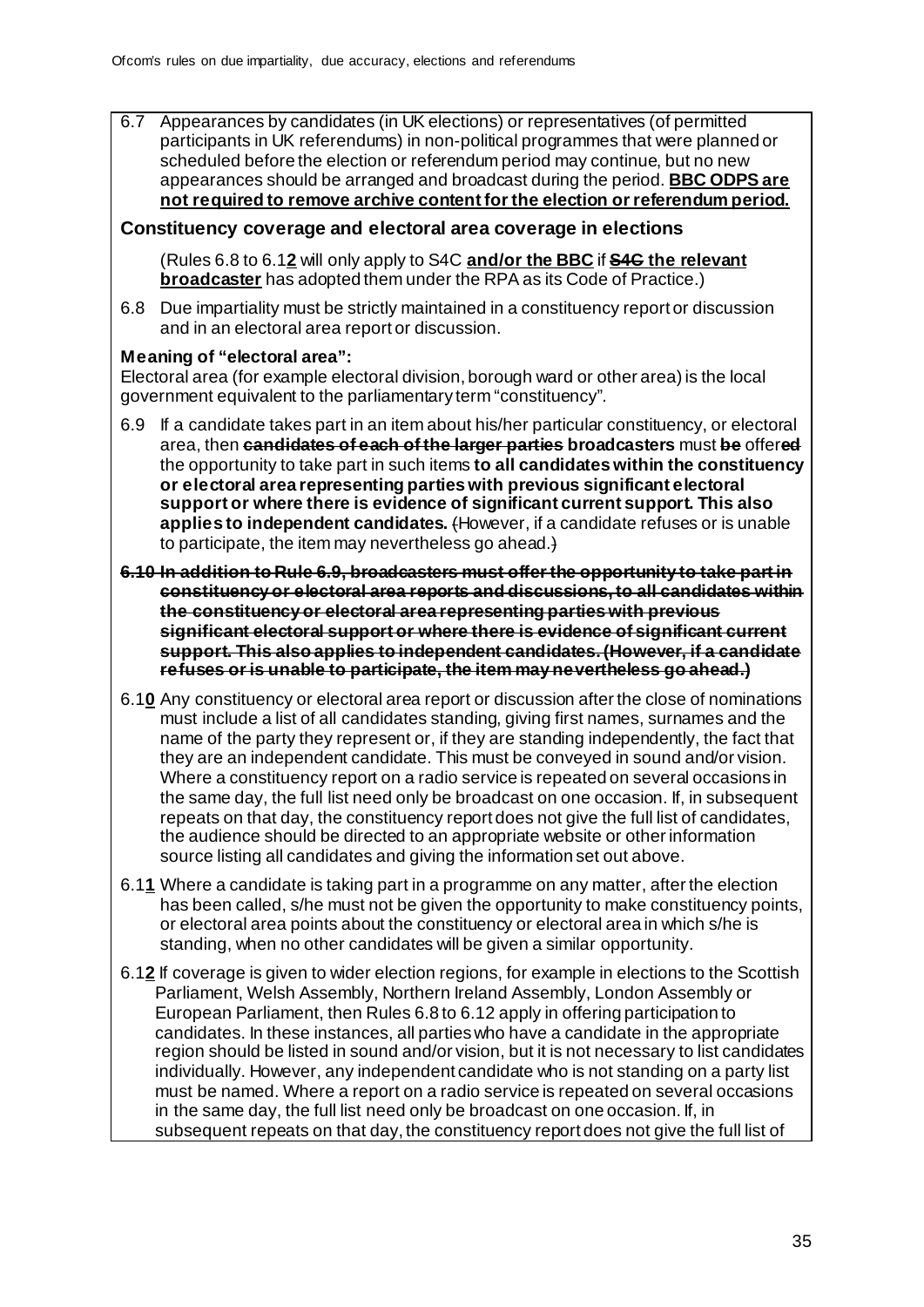6.7 Appearances by candidates (in UK elections) or representatives (of permitted participants in UK referendums) in non-political programmes that were planned or scheduled before the election or referendum period may continue, but no new appearances should be arranged and broadcast during the period. **BBC ODPS are not required to remove archive content for the election or referendum period.**

### **Constituency coverage and electoral area coverage in elections**

(Rules 6.8 to 6.1**2** will only apply to S4C **and/or the BBC** if **S4C the relevant broadcaster** has adopted them under the RPA as its Code of Practice.)

6.8 Due impartiality must be strictly maintained in a constituency report or discussion and in an electoral area report or discussion.

### **Meaning of "electoral area":**

Electoral area (for example electoral division, borough ward or other area) is the local government equivalent to the parliamentary term "constituency".

- 6.9 If a candidate takes part in an item about his/her particular constituency, or electoral area, then **candidates of each of the larger parties broadcasters** must **be** offer**ed** the opportunity to take part in such items **to all candidates within the constituency or electoral area representing parties with previous significant electoral support or where there is evidence of significant current support. This also applies to independent candidates.** (However, if a candidate refuses or is unable to participate, the item may nevertheless go ahead.)
- **6.10 In addition to Rule 6.9, broadcasters must offer the opportunity to take part in constituency or electoral area reports and discussions, to all candidates within the constituency or electoral area representing parties with previous significant electoral support or where there is evidence of significant current support. This also applies to independent candidates. (However, if a candidate refuses or is unable to participate, the item may nevertheless go ahead.)**
- 6.1**0** Any constituency or electoral area report or discussion after the close of nominations must include a list of all candidates standing, giving first names, surnames and the name of the party they represent or, if they are standing independently, the fact that they are an independent candidate. This must be conveyed in sound and/or vision. Where a constituency report on a radio service is repeated on several occasions in the same day, the full list need only be broadcast on one occasion. If, in subsequent repeats on that day, the constituency report does not give the full list of candidates, the audience should be directed to an appropriate website or other information source listing all candidates and giving the information set out above.
- 6.1**1** Where a candidate is taking part in a programme on any matter, after the election has been called, s/he must not be given the opportunity to make constituency points, or electoral area points about the constituency or electoral area in which s/he is standing, when no other candidates will be given a similar opportunity.
- 6.1**2** If coverage is given to wider election regions, for example in elections to the Scottish Parliament, Welsh Assembly, Northern Ireland Assembly, London Assembly or European Parliament, then Rules 6.8 to 6.12 apply in offering participation to candidates. In these instances, all parties who have a candidate in the appropriate region should be listed in sound and/or vision, but it is not necessary to list candidates individually. However, any independent candidate who is not standing on a party list must be named. Where a report on a radio service is repeated on several occasions in the same day, the full list need only be broadcast on one occasion. If, in subsequent repeats on that day, the constituency report does not give the full list of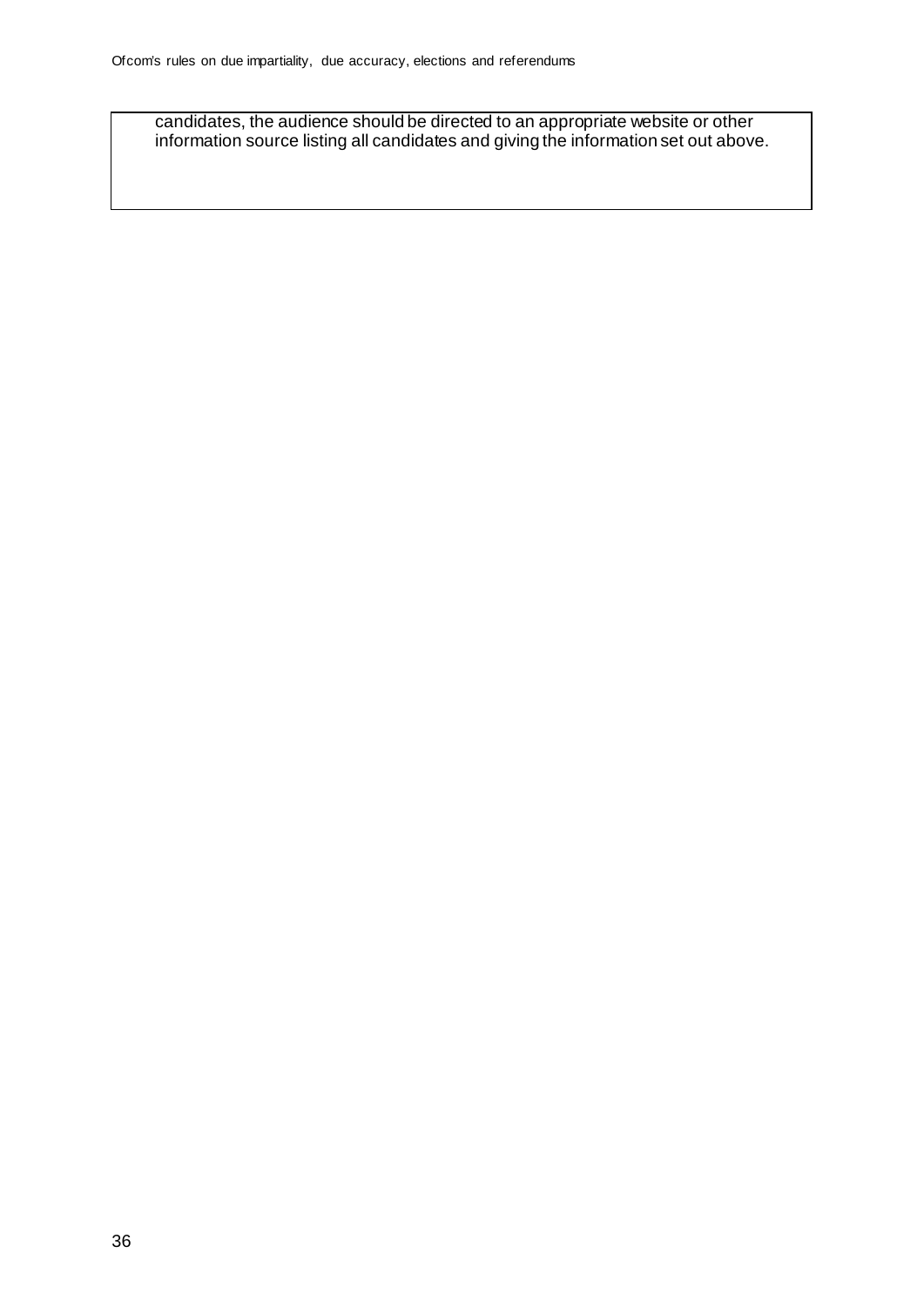candidates, the audience should be directed to an appropriate website or other information source listing all candidates and giving the information set out above.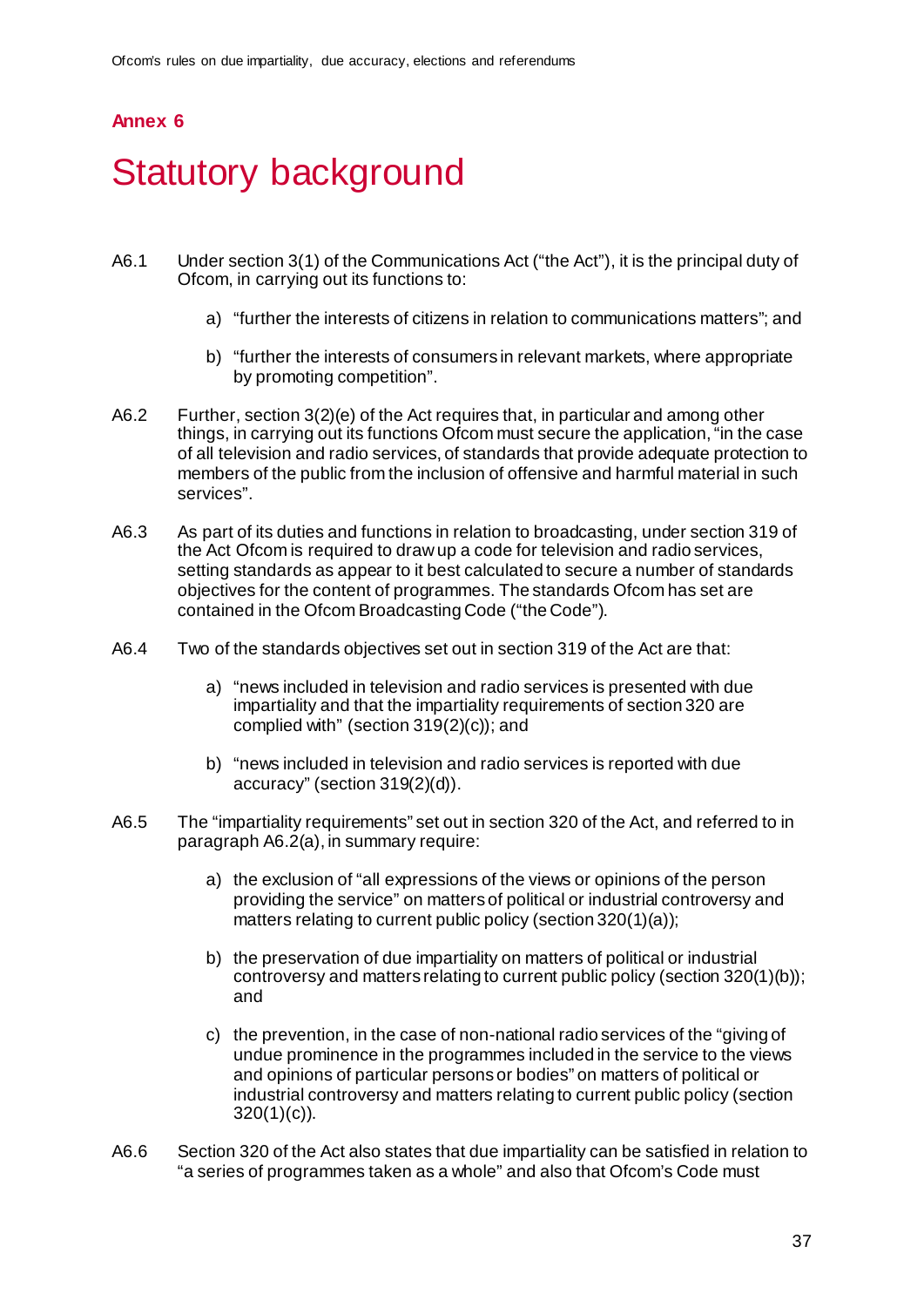## **Annex 6**

# <span id="page-39-0"></span>Statutory background

- A6.1 Under section 3(1) of the Communications Act ("the Act"), it is the principal duty of Ofcom, in carrying out its functions to:
	- a) "further the interests of citizens in relation to communications matters"; and
	- b) "further the interests of consumers in relevant markets, where appropriate by promoting competition".
- A6.2 Further, section 3(2)(e) of the Act requires that, in particular and among other things, in carrying out its functions Ofcom must secure the application, "in the case of all television and radio services, of standards that provide adequate protection to members of the public from the inclusion of offensive and harmful material in such services".
- A6.3 As part of its duties and functions in relation to broadcasting, under section 319 of the Act Ofcom is required to draw up a code for television and radio services, setting standards as appear to it best calculated to secure a number of standards objectives for the content of programmes. The standards Ofcom has set are contained in the Ofcom Broadcasting Code ("the Code").
- A6.4 Two of the standards objectives set out in section 319 of the Act are that:
	- a) "news included in television and radio services is presented with due impartiality and that the impartiality requirements of section 320 are complied with" (section 319(2)(c)); and
	- b) "news included in television and radio services is reported with due accuracy" (section 319(2)(d)).
- A6.5 The "impartiality requirements" set out in section 320 of the Act, and referred to in paragraph A6.2(a), in summary require:
	- a) the exclusion of "all expressions of the views or opinions of the person providing the service" on matters of political or industrial controversy and matters relating to current public policy (section 320(1)(a));
	- b) the preservation of due impartiality on matters of political or industrial controversy and matters relating to current public policy (section 320(1)(b)); and
	- c) the prevention, in the case of non-national radio services of the "giving of undue prominence in the programmes included in the service to the views and opinions of particular persons or bodies" on matters of political or industrial controversy and matters relating to current public policy (section  $320(1)(c)$ ).
- A6.6 Section 320 of the Act also states that due impartiality can be satisfied in relation to "a series of programmes taken as a whole" and also that Ofcom's Code must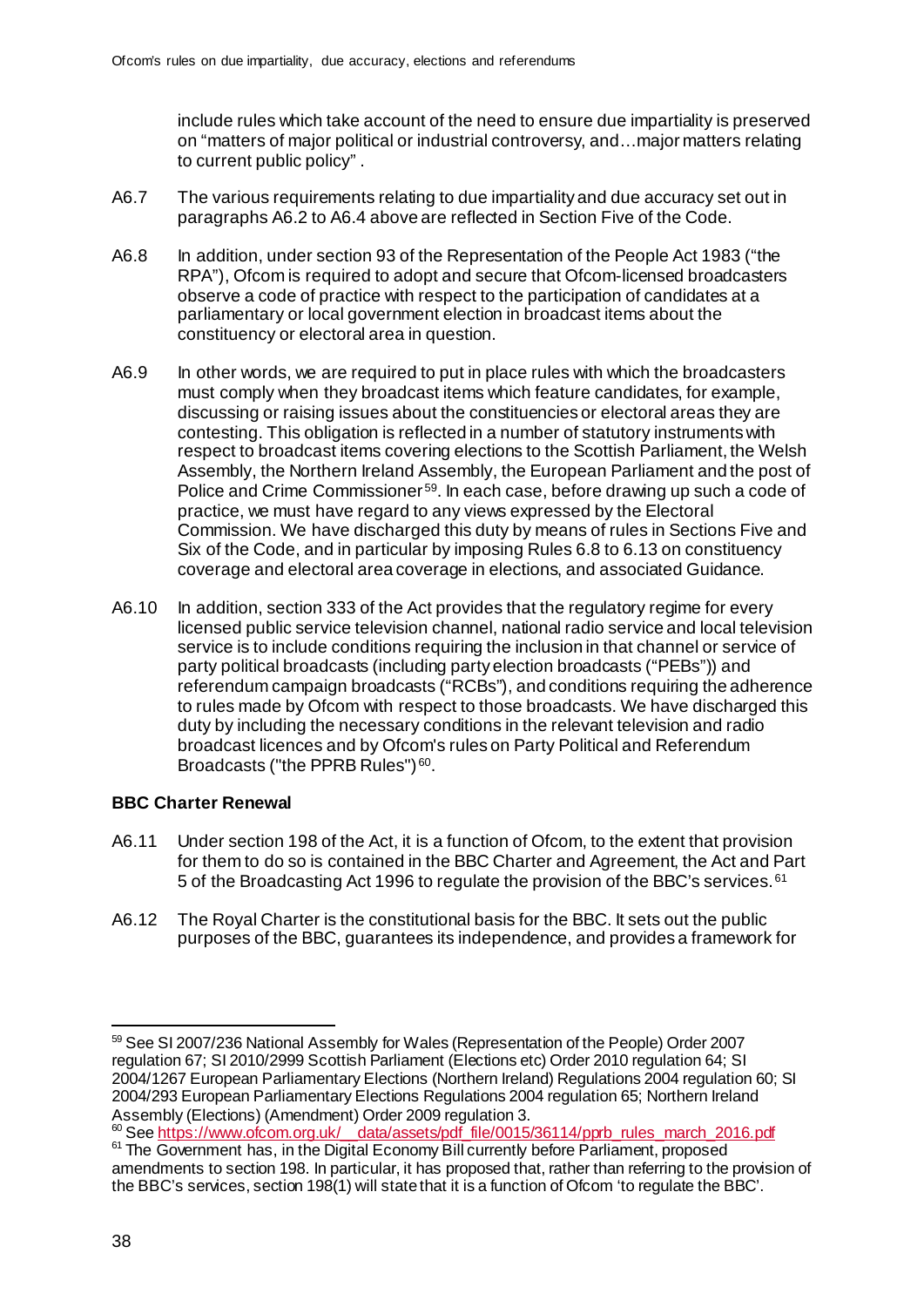include rules which take account of the need to ensure due impartiality is preserved on "matters of major political or industrial controversy, and…major matters relating to current public policy" .

- A6.7 The various requirements relating to due impartiality and due accuracy set out in paragraphs A6.2 to A6.4 above are reflected in Section Five of the Code.
- A6.8 In addition, under section 93 of the Representation of the People Act 1983 ("the RPA"), Ofcom is required to adopt and secure that Ofcom-licensed broadcasters observe a code of practice with respect to the participation of candidates at a parliamentary or local government election in broadcast items about the constituency or electoral area in question.
- A6.9 In other words, we are required to put in place rules with which the broadcasters must comply when they broadcast items which feature candidates, for example, discussing or raising issues about the constituencies or electoral areas they are contesting. This obligation is reflected in a number of statutory instruments with respect to broadcast items covering elections to the Scottish Parliament, the Welsh Assembly, the Northern Ireland Assembly, the European Parliament and the post of Police and Crime Commissioner<sup>59</sup>. In each case, before drawing up such a code of practice, we must have regard to any views expressed by the Electoral Commission. We have discharged this duty by means of rules in Sections Five and Six of the Code, and in particular by imposing Rules 6.8 to 6.13 on constituency coverage and electoral area coverage in elections, and associated Guidance.
- A6.10 In addition, section 333 of the Act provides that the regulatory regime for every licensed public service television channel, national radio service and local television service is to include conditions requiring the inclusion in that channel or service of party political broadcasts (including party election broadcasts ("PEBs")) and referendum campaign broadcasts ("RCBs"), and conditions requiring the adherence to rules made by Ofcom with respect to those broadcasts. We have discharged this duty by including the necessary conditions in the relevant television and radio broadcast licences and by Ofcom's rules on Party Political and Referendum Broadcasts ("the PPRB Rules") [60.](#page-40-1)

#### **BBC Charter Renewal**

- A6.11 Under section 198 of the Act, it is a function of Ofcom, to the extent that provision for them to do so is contained in the BBC Charter and Agreement, the Act and Part 5 of the Broadcasting Act 1996 to regulate the provision of the BBC's services. [61](#page-40-2)
- A6.12 The Royal Charter is the constitutional basis for the BBC. It sets out the public purposes of the BBC, guarantees its independence, and provides a framework for

<span id="page-40-1"></span><sup>60</sup> See [https://www.ofcom.org.uk/\\_\\_data/assets/pdf\\_file/0015/36114/pprb\\_rules\\_march\\_2016.pdf](https://www.ofcom.org.uk/__data/assets/pdf_file/0015/36114/pprb_rules_march_2016.pdf)

<span id="page-40-0"></span> <sup>59</sup> See SI 2007/236 National Assembly for Wales (Representation of the People) Order 2007 regulation 67; SI 2010/2999 Scottish Parliament (Elections etc) Order 2010 regulation 64; SI 2004/1267 European Parliamentary Elections (Northern Ireland) Regulations 2004 regulation 60; SI 2004/293 European Parliamentary Elections Regulations 2004 regulation 65; Northern Ireland Assembly (Elections) (Amendment) Order 2009 regulation 3.

<span id="page-40-2"></span><sup>&</sup>lt;sup>61</sup> The Government has, in the Digital Economy Bill currently before Parliament, proposed amendments to section 198. In particular, it has proposed that, rather than referring to the provision of the BBC's services, section 198(1) will state that it is a function of Ofcom 'to regulate the BBC'.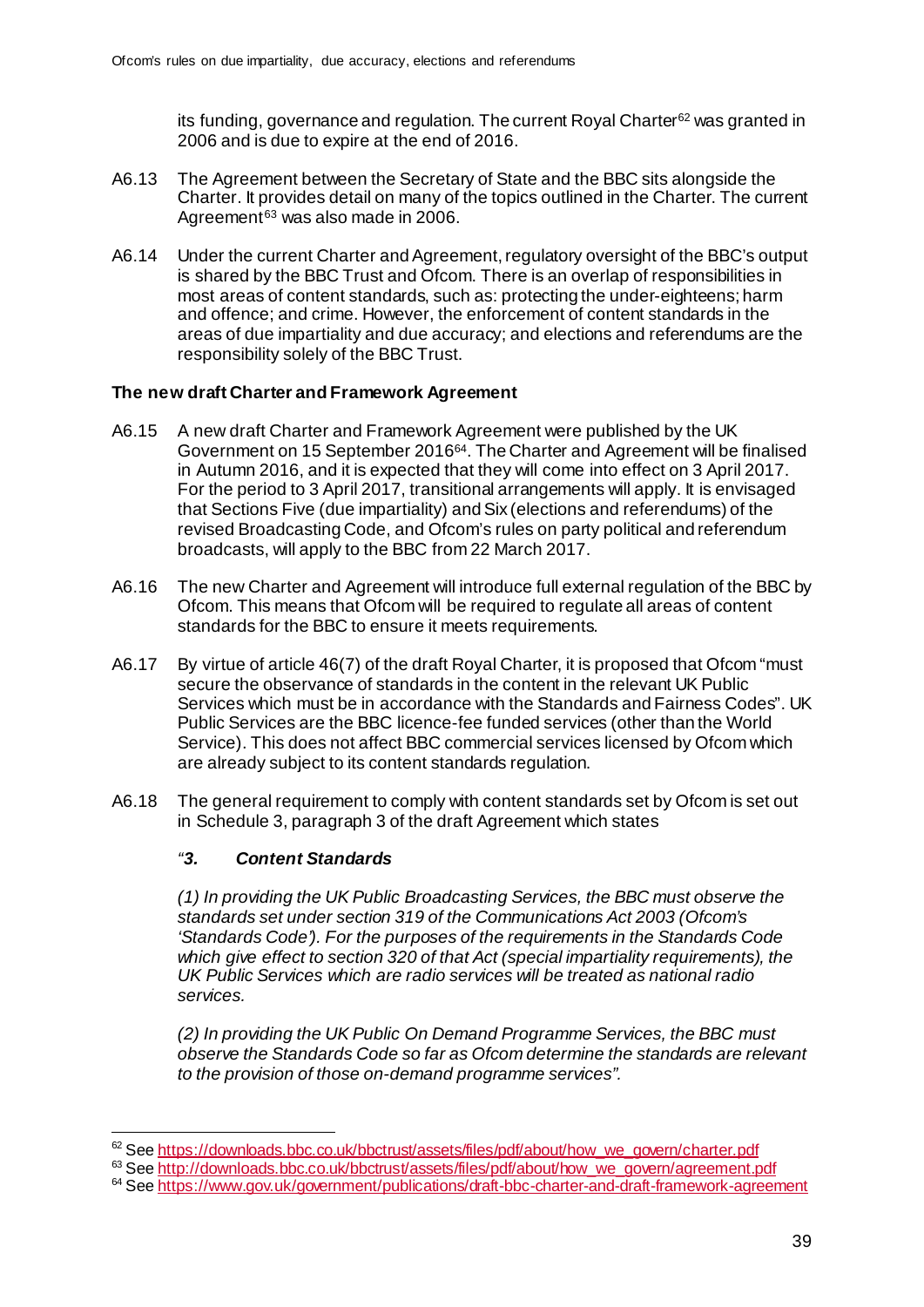its funding, governance and regulation. The current Royal Charter<sup>[62](#page-41-0)</sup> was granted in 2006 and is due to expire at the end of 2016.

- A6.13 The Agreement between the Secretary of State and the BBC sits alongside the Charter. It provides detail on many of the topics outlined in the Charter. The current Agreement<sup>[63](#page-41-1)</sup> was also made in 2006.
- A6.14 Under the current Charter and Agreement, regulatory oversight of the BBC's output is shared by the BBC Trust and Ofcom. There is an overlap of responsibilities in most areas of content standards, such as: protecting the under-eighteens; harm and offence; and crime. However, the enforcement of content standards in the areas of due impartiality and due accuracy; and elections and referendums are the responsibility solely of the BBC Trust.

#### **The new draft Charter and Framework Agreement**

- A6.15 A new draft Charter and Framework Agreement were published by the UK Government on 15 September 2016[64.](#page-41-2) The Charter and Agreement will be finalised in Autumn 2016, and it is expected that they will come into effect on 3 April 2017. For the period to 3 April 2017, transitional arrangements will apply. It is envisaged that Sections Five (due impartiality) and Six (elections and referendums) of the revised Broadcasting Code, and Ofcom's rules on party political and referendum broadcasts, will apply to the BBC from 22 March 2017.
- A6.16 The new Charter and Agreement will introduce full external regulation of the BBC by Ofcom. This means that Ofcom will be required to regulate all areas of content standards for the BBC to ensure it meets requirements.
- A6.17 By virtue of article 46(7) of the draft Royal Charter, it is proposed that Ofcom "must" secure the observance of standards in the content in the relevant UK Public Services which must be in accordance with the Standards and Fairness Codes". UK Public Services are the BBC licence-fee funded services (other than the World Service). This does not affect BBC commercial services licensed by Ofcom which are already subject to its content standards regulation.
- A6.18 The general requirement to comply with content standards set by Ofcom is set out in Schedule 3, paragraph 3 of the draft Agreement which states

#### *"3. Content Standards*

*(1) In providing the UK Public Broadcasting Services, the BBC must observe the standards set under section 319 of the Communications Act 2003 (Ofcom's 'Standards Code'). For the purposes of the requirements in the Standards Code which give effect to section 320 of that Act (special impartiality requirements), the UK Public Services which are radio services will be treated as national radio services.*

*(2) In providing the UK Public On Demand Programme Services, the BBC must observe the Standards Code so far as Ofcom determine the standards are relevant to the provision of those on-demand programme services".*

<span id="page-41-0"></span><sup>&</sup>lt;sup>62</sup> See [https://downloads.bbc.co.uk/bbctrust/assets/files/pdf/about/how\\_we\\_govern/charter.pdf](https://downloads.bbc.co.uk/bbctrust/assets/files/pdf/about/how_we_govern/charter.pdf)

<span id="page-41-1"></span><sup>&</sup>lt;sup>63</sup> See [http://downloads.bbc.co.uk/bbctrust/assets/files/pdf/about/how\\_we\\_govern/agreement.pdf](http://downloads.bbc.co.uk/bbctrust/assets/files/pdf/about/how_we_govern/agreement.pdf)

<span id="page-41-2"></span><sup>&</sup>lt;sup>64</sup> See<https://www.gov.uk/government/publications/draft-bbc-charter-and-draft-framework-agreement>